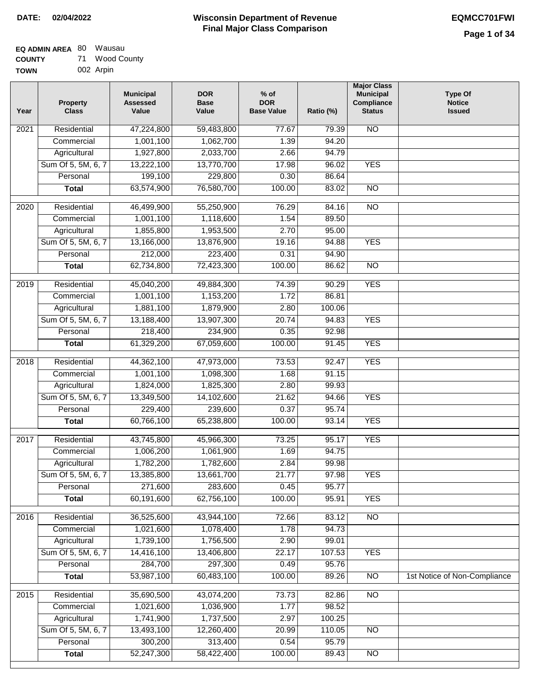| <b>EQ ADMIN AREA 80 Wausau</b> |    |             |
|--------------------------------|----|-------------|
| <b>COUNTY</b>                  | 71 | Wood County |

| <b>UUUIII</b> | . .       |  |
|---------------|-----------|--|
| TOWN          | 002 Arpin |  |
|               |           |  |

| Year              | <b>Property</b><br><b>Class</b> | <b>Municipal</b><br><b>Assessed</b><br>Value | <b>DOR</b><br><b>Base</b><br>Value | $%$ of<br><b>DOR</b><br><b>Base Value</b> | Ratio (%) | <b>Major Class</b><br><b>Municipal</b><br>Compliance<br><b>Status</b> | <b>Type Of</b><br><b>Notice</b><br><b>Issued</b> |
|-------------------|---------------------------------|----------------------------------------------|------------------------------------|-------------------------------------------|-----------|-----------------------------------------------------------------------|--------------------------------------------------|
| 2021              | Residential                     | 47,224,800                                   | 59,483,800                         | 77.67                                     | 79.39     | <b>NO</b>                                                             |                                                  |
|                   | Commercial                      | 1,001,100                                    | 1,062,700                          | 1.39                                      | 94.20     |                                                                       |                                                  |
|                   | Agricultural                    | 1,927,800                                    | 2,033,700                          | 2.66                                      | 94.79     |                                                                       |                                                  |
|                   | Sum Of 5, 5M, 6, 7              | 13,222,100                                   | 13,770,700                         | 17.98                                     | 96.02     | <b>YES</b>                                                            |                                                  |
|                   | Personal                        | 199,100                                      | 229,800                            | 0.30                                      | 86.64     |                                                                       |                                                  |
|                   | <b>Total</b>                    | 63,574,900                                   | 76,580,700                         | 100.00                                    | 83.02     | $\overline{NO}$                                                       |                                                  |
| $\overline{2020}$ | Residential                     | 46,499,900                                   | 55,250,900                         | 76.29                                     | 84.16     | $\overline{NO}$                                                       |                                                  |
|                   | Commercial                      | 1,001,100                                    | 1,118,600                          | 1.54                                      | 89.50     |                                                                       |                                                  |
|                   | Agricultural                    | 1,855,800                                    | 1,953,500                          | 2.70                                      | 95.00     |                                                                       |                                                  |
|                   | Sum Of 5, 5M, 6, 7              | 13,166,000                                   | 13,876,900                         | 19.16                                     | 94.88     | <b>YES</b>                                                            |                                                  |
|                   | Personal                        | 212,000                                      | 223,400                            | 0.31                                      | 94.90     |                                                                       |                                                  |
|                   | <b>Total</b>                    | 62,734,800                                   | 72,423,300                         | 100.00                                    | 86.62     | <b>NO</b>                                                             |                                                  |
|                   |                                 |                                              |                                    |                                           |           |                                                                       |                                                  |
| $\frac{1}{2019}$  | Residential                     | 45,040,200                                   | 49,884,300                         | 74.39                                     | 90.29     | <b>YES</b>                                                            |                                                  |
|                   | Commercial                      | 1,001,100                                    | 1,153,200                          | 1.72                                      | 86.81     |                                                                       |                                                  |
|                   | Agricultural                    | 1,881,100                                    | 1,879,900                          | 2.80                                      | 100.06    |                                                                       |                                                  |
|                   | Sum Of 5, 5M, 6, 7              | 13,188,400                                   | 13,907,300                         | 20.74                                     | 94.83     | <b>YES</b>                                                            |                                                  |
|                   | Personal                        | 218,400                                      | 234,900                            | 0.35                                      | 92.98     |                                                                       |                                                  |
|                   | <b>Total</b>                    | 61,329,200                                   | 67,059,600                         | 100.00                                    | 91.45     | <b>YES</b>                                                            |                                                  |
| 2018              | Residential                     | 44,362,100                                   | 47,973,000                         | 73.53                                     | 92.47     | <b>YES</b>                                                            |                                                  |
|                   | Commercial                      | 1,001,100                                    | 1,098,300                          | 1.68                                      | 91.15     |                                                                       |                                                  |
|                   | Agricultural                    | 1,824,000                                    | 1,825,300                          | 2.80                                      | 99.93     |                                                                       |                                                  |
|                   | Sum Of 5, 5M, 6, 7              | 13,349,500                                   | 14,102,600                         | 21.62                                     | 94.66     | <b>YES</b>                                                            |                                                  |
|                   | Personal                        | 229,400                                      | 239,600                            | 0.37                                      | 95.74     |                                                                       |                                                  |
|                   | <b>Total</b>                    | 60,766,100                                   | 65,238,800                         | 100.00                                    | 93.14     | <b>YES</b>                                                            |                                                  |
| 2017              | Residential                     | 43,745,800                                   | 45,966,300                         | 73.25                                     | 95.17     | <b>YES</b>                                                            |                                                  |
|                   | Commercial                      | 1,006,200                                    | 1,061,900                          | 1.69                                      | 94.75     |                                                                       |                                                  |
|                   | Agricultural                    | 1,782,200                                    | 1,782,600                          | 2.84                                      | 99.98     |                                                                       |                                                  |
|                   | Sum Of 5, 5M, 6, 7              | 13,385,800                                   | 13,661,700                         | 21.77                                     | 97.98     | <b>YES</b>                                                            |                                                  |
|                   | Personal                        | 271,600                                      | 283,600                            | 0.45                                      | 95.77     |                                                                       |                                                  |
|                   | <b>Total</b>                    | 60,191,600                                   | 62,756,100                         | 100.00                                    | 95.91     | <b>YES</b>                                                            |                                                  |
| 2016              | Residential                     | 36,525,600                                   | 43,944,100                         | 72.66                                     | 83.12     | N <sub>O</sub>                                                        |                                                  |
|                   | Commercial                      | 1,021,600                                    | 1,078,400                          | 1.78                                      | 94.73     |                                                                       |                                                  |
|                   | Agricultural                    | 1,739,100                                    | 1,756,500                          | 2.90                                      | 99.01     |                                                                       |                                                  |
|                   | Sum Of 5, 5M, 6, 7              | 14,416,100                                   | 13,406,800                         | 22.17                                     | 107.53    | <b>YES</b>                                                            |                                                  |
|                   | Personal                        | 284,700                                      | 297,300                            | 0.49                                      | 95.76     |                                                                       |                                                  |
|                   | <b>Total</b>                    | 53,987,100                                   | 60,483,100                         | 100.00                                    | 89.26     | $\overline{NO}$                                                       | 1st Notice of Non-Compliance                     |
| 2015              | Residential                     | 35,690,500                                   | 43,074,200                         | 73.73                                     | 82.86     | N <sub>O</sub>                                                        |                                                  |
|                   | Commercial                      | 1,021,600                                    | 1,036,900                          | 1.77                                      | 98.52     |                                                                       |                                                  |
|                   | Agricultural                    | 1,741,900                                    | 1,737,500                          | 2.97                                      | 100.25    |                                                                       |                                                  |
|                   | Sum Of 5, 5M, 6, 7              | 13,493,100                                   | 12,260,400                         | 20.99                                     | 110.05    | $\overline{NO}$                                                       |                                                  |
|                   | Personal                        | 300,200                                      | 313,400                            | 0.54                                      | 95.79     |                                                                       |                                                  |
|                   | <b>Total</b>                    | 52,247,300                                   | 58,422,400                         | 100.00                                    | 89.43     | $\overline{NO}$                                                       |                                                  |
|                   |                                 |                                              |                                    |                                           |           |                                                                       |                                                  |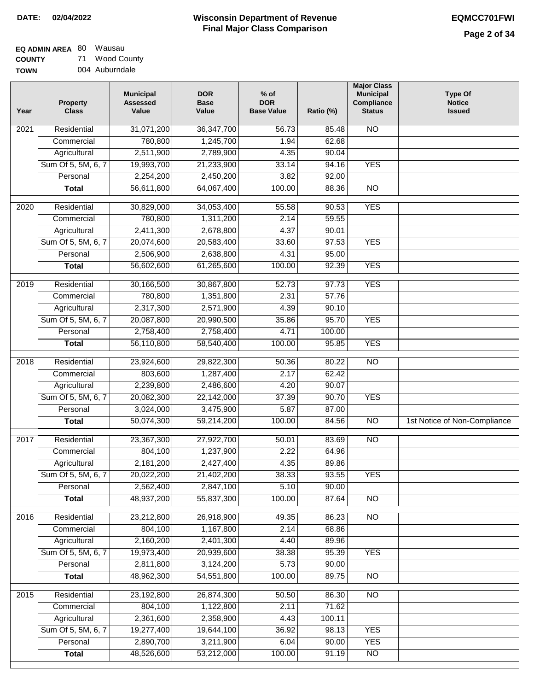| EQ ADMIN AREA 80 Wausau |    |             |
|-------------------------|----|-------------|
| <b>COUNTY</b>           | 71 | Wood County |

**TOWN** 004 Auburndale

| Year              | <b>Property</b><br><b>Class</b> | <b>Municipal</b><br><b>Assessed</b><br>Value | <b>DOR</b><br><b>Base</b><br>Value | % of<br><b>DOR</b><br><b>Base Value</b> | Ratio (%)             | <b>Major Class</b><br><b>Municipal</b><br>Compliance<br><b>Status</b> | <b>Type Of</b><br><b>Notice</b><br><b>Issued</b> |
|-------------------|---------------------------------|----------------------------------------------|------------------------------------|-----------------------------------------|-----------------------|-----------------------------------------------------------------------|--------------------------------------------------|
| $\overline{202}1$ | Residential                     | 31,071,200                                   | 36, 347, 700                       | 56.73                                   | 85.48                 | <b>NO</b>                                                             |                                                  |
|                   | Commercial                      | 780,800                                      | 1,245,700                          | 1.94                                    | 62.68                 |                                                                       |                                                  |
|                   | Agricultural                    | 2,511,900                                    | 2,789,900                          | 4.35                                    | 90.04                 |                                                                       |                                                  |
|                   | Sum Of 5, 5M, 6, 7              | 19,993,700                                   | 21,233,900                         | 33.14                                   | 94.16                 | <b>YES</b>                                                            |                                                  |
|                   | Personal                        | 2,254,200                                    | 2,450,200                          | 3.82                                    | 92.00                 |                                                                       |                                                  |
|                   | <b>Total</b>                    | 56,611,800                                   | 64,067,400                         | 100.00                                  | 88.36                 | $\overline{NO}$                                                       |                                                  |
| $\overline{2020}$ | Residential                     | 30,829,000                                   | 34,053,400                         | 55.58                                   | 90.53                 | <b>YES</b>                                                            |                                                  |
|                   | Commercial                      | 780,800                                      | 1,311,200                          | 2.14                                    | 59.55                 |                                                                       |                                                  |
|                   | Agricultural                    | 2,411,300                                    | 2,678,800                          | 4.37                                    | 90.01                 |                                                                       |                                                  |
|                   | Sum Of 5, 5M, 6, 7              | 20,074,600                                   | 20,583,400                         | 33.60                                   | 97.53                 | <b>YES</b>                                                            |                                                  |
|                   | Personal                        | 2,506,900                                    | 2,638,800                          | 4.31                                    | 95.00                 |                                                                       |                                                  |
|                   | <b>Total</b>                    | 56,602,600                                   | 61,265,600                         | 100.00                                  | 92.39                 | <b>YES</b>                                                            |                                                  |
|                   |                                 |                                              |                                    |                                         |                       |                                                                       |                                                  |
| 2019              | Residential                     | 30,166,500                                   | 30,867,800                         | 52.73                                   | 97.73                 | <b>YES</b>                                                            |                                                  |
|                   | Commercial                      | 780,800                                      | 1,351,800                          | 2.31                                    | $\frac{57.76}{57.76}$ |                                                                       |                                                  |
|                   | Agricultural                    | 2,317,300                                    | 2,571,900                          | 4.39                                    | 90.10                 |                                                                       |                                                  |
|                   | Sum Of 5, 5M, 6, 7              | 20,087,800                                   | 20,990,500                         | 35.86                                   | 95.70                 | <b>YES</b>                                                            |                                                  |
|                   | Personal                        | 2,758,400                                    | 2,758,400                          | 4.71                                    | 100.00                |                                                                       |                                                  |
|                   | <b>Total</b>                    | 56,110,800                                   | 58,540,400                         | 100.00                                  | 95.85                 | <b>YES</b>                                                            |                                                  |
| 2018              | Residential                     | 23,924,600                                   | 29,822,300                         | 50.36                                   | 80.22                 | $\overline{NO}$                                                       |                                                  |
|                   | Commercial                      | 803,600                                      | 1,287,400                          | 2.17                                    | 62.42                 |                                                                       |                                                  |
|                   | Agricultural                    | 2,239,800                                    | 2,486,600                          | 4.20                                    | 90.07                 |                                                                       |                                                  |
|                   | Sum Of 5, 5M, 6, 7              | 20,082,300                                   | 22,142,000                         | 37.39                                   | 90.70                 | <b>YES</b>                                                            |                                                  |
|                   | Personal                        | 3,024,000                                    | 3,475,900                          | 5.87                                    | 87.00                 |                                                                       |                                                  |
|                   | <b>Total</b>                    | 50,074,300                                   | 59,214,200                         | 100.00                                  | 84.56                 | $\overline{NO}$                                                       | 1st Notice of Non-Compliance                     |
| 2017              | Residential                     | 23,367,300                                   | 27,922,700                         | 50.01                                   | 83.69                 | $\overline{NO}$                                                       |                                                  |
|                   | Commercial                      | 804,100                                      | 1,237,900                          | 2.22                                    | 64.96                 |                                                                       |                                                  |
|                   | Agricultural                    | 2,181,200                                    | 2,427,400                          | 4.35                                    | 89.86                 |                                                                       |                                                  |
|                   | Sum Of 5, 5M, 6, 7              | 20,022,200                                   | 21,402,200                         | 38.33                                   | 93.55                 | <b>YES</b>                                                            |                                                  |
|                   | Personal                        | 2,562,400                                    | 2,847,100                          | 5.10                                    | 90.00                 |                                                                       |                                                  |
|                   | <b>Total</b>                    | 48,937,200                                   | 55,837,300                         | 100.00                                  | 87.64                 | <b>NO</b>                                                             |                                                  |
| 2016              | Residential                     | 23,212,800                                   | 26,918,900                         | 49.35                                   | 86.23                 | N <sub>O</sub>                                                        |                                                  |
|                   | Commercial                      | 804,100                                      | 1,167,800                          | 2.14                                    | 68.86                 |                                                                       |                                                  |
|                   | Agricultural                    | 2,160,200                                    | 2,401,300                          | 4.40                                    | 89.96                 |                                                                       |                                                  |
|                   | Sum Of 5, 5M, 6, 7              | 19,973,400                                   | 20,939,600                         | 38.38                                   | 95.39                 | <b>YES</b>                                                            |                                                  |
|                   | Personal                        | 2,811,800                                    | 3,124,200                          | 5.73                                    | 90.00                 |                                                                       |                                                  |
|                   | <b>Total</b>                    | 48,962,300                                   | 54,551,800                         | 100.00                                  | 89.75                 | N <sub>O</sub>                                                        |                                                  |
|                   |                                 |                                              |                                    |                                         |                       |                                                                       |                                                  |
| 2015              | Residential                     | 23,192,800                                   | 26,874,300                         | 50.50                                   | 86.30                 | N <sub>O</sub>                                                        |                                                  |
|                   | Commercial                      | 804,100                                      | 1,122,800                          | 2.11                                    | 71.62                 |                                                                       |                                                  |
|                   | Agricultural                    | 2,361,600                                    | 2,358,900                          | 4.43                                    | 100.11                |                                                                       |                                                  |
|                   | Sum Of 5, 5M, 6, 7              | 19,277,400                                   | 19,644,100                         | 36.92                                   | 98.13                 | <b>YES</b>                                                            |                                                  |
|                   | Personal                        | 2,890,700                                    | 3,211,900                          | 6.04                                    | 90.00                 | <b>YES</b>                                                            |                                                  |
|                   | <b>Total</b>                    | 48,526,600                                   | 53,212,000                         | 100.00                                  | 91.19                 | <b>NO</b>                                                             |                                                  |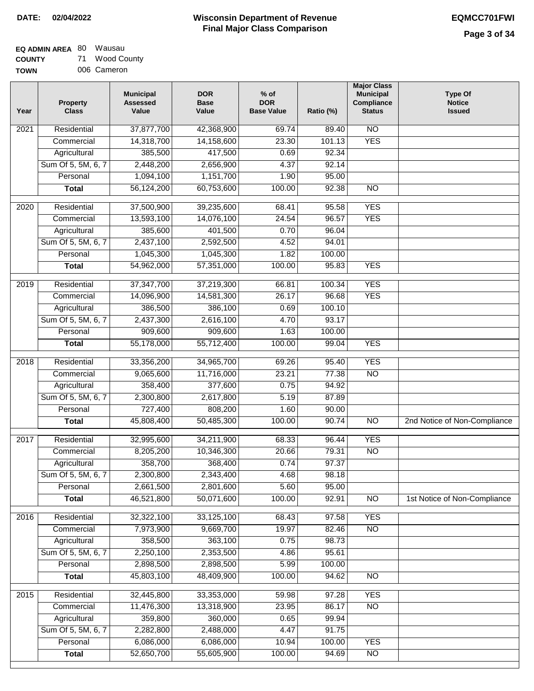| EQ ADMIN AREA 80 Wausau |    |             |
|-------------------------|----|-------------|
| <b>COUNTY</b>           | 71 | Wood County |

**TOWN** 006 Cameron

| Year              | <b>Property</b><br><b>Class</b> | <b>Municipal</b><br><b>Assessed</b><br>Value | <b>DOR</b><br><b>Base</b><br>Value | $%$ of<br><b>DOR</b><br><b>Base Value</b> | Ratio (%) | <b>Major Class</b><br><b>Municipal</b><br>Compliance<br><b>Status</b> | <b>Type Of</b><br><b>Notice</b><br><b>Issued</b> |
|-------------------|---------------------------------|----------------------------------------------|------------------------------------|-------------------------------------------|-----------|-----------------------------------------------------------------------|--------------------------------------------------|
| 2021              | Residential                     | 37,877,700                                   | 42,368,900                         | 69.74                                     | 89.40     | $\overline{NO}$                                                       |                                                  |
|                   | Commercial                      | 14,318,700                                   | 14,158,600                         | 23.30                                     | 101.13    | <b>YES</b>                                                            |                                                  |
|                   | Agricultural                    | 385,500                                      | 417,500                            | 0.69                                      | 92.34     |                                                                       |                                                  |
|                   | Sum Of 5, 5M, 6, 7              | 2,448,200                                    | 2,656,900                          | 4.37                                      | 92.14     |                                                                       |                                                  |
|                   | Personal                        | 1,094,100                                    | 1,151,700                          | 1.90                                      | 95.00     |                                                                       |                                                  |
|                   | <b>Total</b>                    | 56,124,200                                   | 60,753,600                         | 100.00                                    | 92.38     | $\overline{NO}$                                                       |                                                  |
| $\overline{2020}$ | Residential                     | 37,500,900                                   | 39,235,600                         | 68.41                                     | 95.58     | <b>YES</b>                                                            |                                                  |
|                   | Commercial                      | 13,593,100                                   | 14,076,100                         | 24.54                                     | 96.57     | <b>YES</b>                                                            |                                                  |
|                   | Agricultural                    | 385,600                                      | 401,500                            | 0.70                                      | 96.04     |                                                                       |                                                  |
|                   | Sum Of 5, 5M, 6, 7              | 2,437,100                                    | 2,592,500                          | 4.52                                      | 94.01     |                                                                       |                                                  |
|                   | Personal                        | 1,045,300                                    | 1,045,300                          | 1.82                                      | 100.00    |                                                                       |                                                  |
|                   | <b>Total</b>                    | 54,962,000                                   | 57,351,000                         | 100.00                                    | 95.83     | <b>YES</b>                                                            |                                                  |
|                   |                                 |                                              |                                    |                                           |           |                                                                       |                                                  |
| $\frac{1}{2019}$  | Residential                     | 37,347,700                                   | 37,219,300                         | 66.81                                     | 100.34    | <b>YES</b>                                                            |                                                  |
|                   | Commercial                      | 14,096,900                                   | 14,581,300                         | 26.17                                     | 96.68     | <b>YES</b>                                                            |                                                  |
|                   | Agricultural                    | 386,500                                      | 386,100                            | 0.69                                      | 100.10    |                                                                       |                                                  |
|                   | Sum Of 5, 5M, 6, 7              | 2,437,300                                    | 2,616,100                          | 4.70                                      | 93.17     |                                                                       |                                                  |
|                   | Personal                        | 909,600                                      | 909,600                            | 1.63                                      | 100.00    |                                                                       |                                                  |
|                   | <b>Total</b>                    | 55,178,000                                   | 55,712,400                         | 100.00                                    | 99.04     | <b>YES</b>                                                            |                                                  |
| 2018              | Residential                     | 33,356,200                                   | 34,965,700                         | 69.26                                     | 95.40     | <b>YES</b>                                                            |                                                  |
|                   | Commercial                      | 9,065,600                                    | 11,716,000                         | 23.21                                     | 77.38     | <b>NO</b>                                                             |                                                  |
|                   | Agricultural                    | 358,400                                      | 377,600                            | 0.75                                      | 94.92     |                                                                       |                                                  |
|                   | Sum Of 5, 5M, 6, 7              | 2,300,800                                    | 2,617,800                          | 5.19                                      | 87.89     |                                                                       |                                                  |
|                   | Personal                        | 727,400                                      | 808,200                            | 1.60                                      | 90.00     |                                                                       |                                                  |
|                   | <b>Total</b>                    | 45,808,400                                   | 50,485,300                         | 100.00                                    | 90.74     | <b>NO</b>                                                             | 2nd Notice of Non-Compliance                     |
| 2017              | Residential                     | 32,995,600                                   | 34,211,900                         | 68.33                                     | 96.44     | <b>YES</b>                                                            |                                                  |
|                   | Commercial                      | 8,205,200                                    | 10,346,300                         | 20.66                                     | 79.31     | <b>NO</b>                                                             |                                                  |
|                   | Agricultural                    | 358,700                                      | 368,400                            | 0.74                                      | 97.37     |                                                                       |                                                  |
|                   | Sum Of 5, 5M, 6, 7              | 2,300,800                                    | 2,343,400                          | 4.68                                      | 98.18     |                                                                       |                                                  |
|                   | Personal                        | 2,661,500                                    | 2,801,600                          | 5.60                                      | 95.00     |                                                                       |                                                  |
|                   | <b>Total</b>                    | 46,521,800                                   | 50,071,600                         | 100.00                                    | 92.91     | $\overline{10}$                                                       | 1st Notice of Non-Compliance                     |
| 2016              | Residential                     | 32,322,100                                   | 33,125,100                         | 68.43                                     | 97.58     | <b>YES</b>                                                            |                                                  |
|                   | Commercial                      | 7,973,900                                    | 9,669,700                          | 19.97                                     | 82.46     | $\overline{NO}$                                                       |                                                  |
|                   | Agricultural                    | 358,500                                      | 363,100                            | 0.75                                      | 98.73     |                                                                       |                                                  |
|                   | Sum Of 5, 5M, 6, 7              | 2,250,100                                    | 2,353,500                          | 4.86                                      | 95.61     |                                                                       |                                                  |
|                   | Personal                        | 2,898,500                                    | 2,898,500                          | 5.99                                      | 100.00    |                                                                       |                                                  |
|                   | <b>Total</b>                    | 45,803,100                                   | 48,409,900                         | 100.00                                    | 94.62     | $\overline{NO}$                                                       |                                                  |
| 2015              | Residential                     | 32,445,800                                   | 33,353,000                         | 59.98                                     | 97.28     | <b>YES</b>                                                            |                                                  |
|                   | Commercial                      | 11,476,300                                   | 13,318,900                         | 23.95                                     | 86.17     | $\overline{NO}$                                                       |                                                  |
|                   | Agricultural                    | 359,800                                      | 360,000                            | 0.65                                      | 99.94     |                                                                       |                                                  |
|                   | Sum Of 5, 5M, 6, 7              | 2,282,800                                    | 2,488,000                          | 4.47                                      | 91.75     |                                                                       |                                                  |
|                   | Personal                        | 6,086,000                                    | 6,086,000                          | 10.94                                     | 100.00    | <b>YES</b>                                                            |                                                  |
|                   | <b>Total</b>                    | 52,650,700                                   | 55,605,900                         | 100.00                                    | 94.69     | $\overline{NO}$                                                       |                                                  |
|                   |                                 |                                              |                                    |                                           |           |                                                                       |                                                  |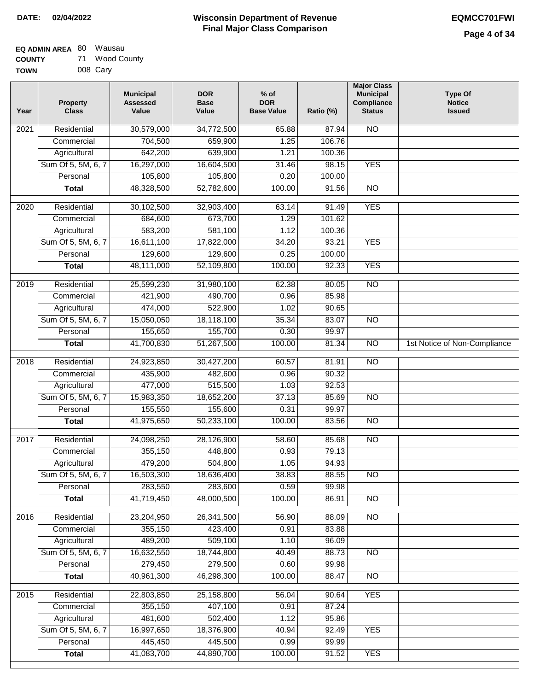| <b>EQ ADMIN AREA 80 Wausau</b> |    |             |
|--------------------------------|----|-------------|
| <b>COUNTY</b>                  | 71 | Wood County |

**TOWN** 008 Cary

| Year | <b>Property</b><br><b>Class</b> | <b>Municipal</b><br><b>Assessed</b><br>Value | <b>DOR</b><br><b>Base</b><br>Value | $%$ of<br><b>DOR</b><br><b>Base Value</b> | Ratio (%) | <b>Major Class</b><br><b>Municipal</b><br>Compliance<br><b>Status</b> | <b>Type Of</b><br><b>Notice</b><br><b>Issued</b> |
|------|---------------------------------|----------------------------------------------|------------------------------------|-------------------------------------------|-----------|-----------------------------------------------------------------------|--------------------------------------------------|
| 2021 | Residential                     | 30,579,000                                   | 34,772,500                         | 65.88                                     | 87.94     | <b>NO</b>                                                             |                                                  |
|      | Commercial                      | 704,500                                      | 659,900                            | 1.25                                      | 106.76    |                                                                       |                                                  |
|      | Agricultural                    | 642,200                                      | 639,900                            | 1.21                                      | 100.36    |                                                                       |                                                  |
|      | Sum Of 5, 5M, 6, 7              | 16,297,000                                   | 16,604,500                         | 31.46                                     | 98.15     | <b>YES</b>                                                            |                                                  |
|      | Personal                        | 105,800                                      | 105,800                            | 0.20                                      | 100.00    |                                                                       |                                                  |
|      | <b>Total</b>                    | 48,328,500                                   | 52,782,600                         | 100.00                                    | 91.56     | $\overline{NO}$                                                       |                                                  |
| 2020 | Residential                     | 30,102,500                                   | 32,903,400                         | 63.14                                     | 91.49     | <b>YES</b>                                                            |                                                  |
|      | Commercial                      | 684,600                                      | 673,700                            | 1.29                                      | 101.62    |                                                                       |                                                  |
|      | Agricultural                    | 583,200                                      | 581,100                            | 1.12                                      | 100.36    |                                                                       |                                                  |
|      | Sum Of 5, 5M, 6, 7              | 16,611,100                                   | 17,822,000                         | 34.20                                     | 93.21     | <b>YES</b>                                                            |                                                  |
|      | Personal                        | 129,600                                      | 129,600                            | 0.25                                      | 100.00    |                                                                       |                                                  |
|      | <b>Total</b>                    | 48,111,000                                   | 52,109,800                         | 100.00                                    | 92.33     | <b>YES</b>                                                            |                                                  |
| 2019 | Residential                     | 25,599,230                                   | 31,980,100                         | 62.38                                     | 80.05     | $\overline{10}$                                                       |                                                  |
|      | Commercial                      | 421,900                                      | 490,700                            | 0.96                                      | 85.98     |                                                                       |                                                  |
|      | Agricultural                    | 474,000                                      | 522,900                            | 1.02                                      | 90.65     |                                                                       |                                                  |
|      | Sum Of 5, 5M, 6, 7              | 15,050,050                                   | 18,118,100                         | 35.34                                     | 83.07     | $\overline{NO}$                                                       |                                                  |
|      | Personal                        | 155,650                                      | 155,700                            | 0.30                                      | 99.97     |                                                                       |                                                  |
|      | <b>Total</b>                    | 41,700,830                                   | 51,267,500                         | 100.00                                    | 81.34     | $\overline{NO}$                                                       | 1st Notice of Non-Compliance                     |
| 2018 | Residential                     | 24,923,850                                   | 30,427,200                         | 60.57                                     | 81.91     | $\overline{NO}$                                                       |                                                  |
|      | Commercial                      | 435,900                                      | 482,600                            | 0.96                                      | 90.32     |                                                                       |                                                  |
|      | Agricultural                    | 477,000                                      | 515,500                            | 1.03                                      | 92.53     |                                                                       |                                                  |
|      | Sum Of 5, 5M, 6, 7              | 15,983,350                                   | 18,652,200                         | 37.13                                     | 85.69     | $\overline{NO}$                                                       |                                                  |
|      | Personal                        | 155,550                                      | 155,600                            | 0.31                                      | 99.97     |                                                                       |                                                  |
|      | <b>Total</b>                    | 41,975,650                                   | 50,233,100                         | 100.00                                    | 83.56     | <b>NO</b>                                                             |                                                  |
| 2017 | Residential                     | 24,098,250                                   | 28,126,900                         | 58.60                                     | 85.68     | <b>NO</b>                                                             |                                                  |
|      | Commercial                      | 355,150                                      | 448,800                            | 0.93                                      | 79.13     |                                                                       |                                                  |
|      | Agricultural                    | 479,200                                      | 504,800                            | 1.05                                      | 94.93     |                                                                       |                                                  |
|      | Sum Of 5, 5M, 6, 7              | 16,503,300                                   | 18,636,400                         | 38.83                                     | 88.55     | <b>NO</b>                                                             |                                                  |
|      | Personal                        | 283,550                                      | 283,600                            | 0.59                                      | 99.98     |                                                                       |                                                  |
|      | <b>Total</b>                    | 41,719,450                                   | 48,000,500                         | 100.00                                    | 86.91     | <b>NO</b>                                                             |                                                  |
| 2016 | Residential                     | 23,204,950                                   | 26,341,500                         | 56.90                                     | 88.09     | N <sub>O</sub>                                                        |                                                  |
|      | Commercial                      | 355,150                                      | 423,400                            | 0.91                                      | 83.88     |                                                                       |                                                  |
|      | Agricultural                    | 489,200                                      | 509,100                            | 1.10                                      | 96.09     |                                                                       |                                                  |
|      | Sum Of 5, 5M, 6, 7              | 16,632,550                                   | 18,744,800                         | 40.49                                     | 88.73     | N <sub>O</sub>                                                        |                                                  |
|      | Personal                        | 279,450                                      | 279,500                            | 0.60                                      | 99.98     |                                                                       |                                                  |
|      | <b>Total</b>                    | 40,961,300                                   | 46,298,300                         | 100.00                                    | 88.47     | N <sub>O</sub>                                                        |                                                  |
| 2015 | Residential                     | 22,803,850                                   | 25,158,800                         | 56.04                                     | 90.64     | <b>YES</b>                                                            |                                                  |
|      | Commercial                      | 355,150                                      | 407,100                            | 0.91                                      | 87.24     |                                                                       |                                                  |
|      | Agricultural                    | 481,600                                      | 502,400                            | 1.12                                      | 95.86     |                                                                       |                                                  |
|      | Sum Of 5, 5M, 6, 7              | 16,997,650                                   | 18,376,900                         | 40.94                                     | 92.49     | <b>YES</b>                                                            |                                                  |
|      | Personal                        | 445,450                                      | 445,500                            | 0.99                                      | 99.99     |                                                                       |                                                  |
|      | <b>Total</b>                    | 41,083,700                                   | 44,890,700                         | 100.00                                    | 91.52     | <b>YES</b>                                                            |                                                  |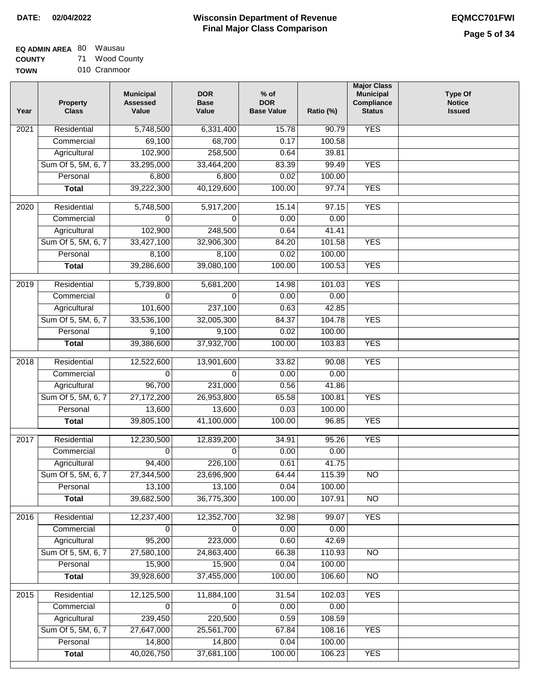### **Wisconsin Department of Revenue Final Major Class Comparison DATE: 02/04/2022 EQMCC701FWI**

┑

**EQ ADMIN AREA** 80 Wausau

**COUNTY TOWN** 71 Wood County 010 Cranmoor

| Year              | <b>Property</b><br><b>Class</b> | <b>Municipal</b><br><b>Assessed</b><br>Value | <b>DOR</b><br><b>Base</b><br>Value | $%$ of<br><b>DOR</b><br><b>Base Value</b> | Ratio (%)        | <b>Major Class</b><br><b>Municipal</b><br>Compliance<br><b>Status</b> | <b>Type Of</b><br><b>Notice</b><br><b>Issued</b> |
|-------------------|---------------------------------|----------------------------------------------|------------------------------------|-------------------------------------------|------------------|-----------------------------------------------------------------------|--------------------------------------------------|
| 2021              | Residential                     | 5,748,500                                    | 6,331,400                          | 15.78                                     | 90.79            | <b>YES</b>                                                            |                                                  |
|                   | Commercial                      | 69,100                                       | 68,700                             | 0.17                                      | 100.58           |                                                                       |                                                  |
|                   | Agricultural                    | 102,900                                      | 258,500                            | 0.64                                      | 39.81            |                                                                       |                                                  |
|                   | Sum Of 5, 5M, 6, 7              | 33,295,000                                   | 33,464,200                         | 83.39                                     | 99.49            | <b>YES</b>                                                            |                                                  |
|                   | Personal                        | 6,800                                        | 6,800                              | 0.02                                      | 100.00           |                                                                       |                                                  |
|                   | <b>Total</b>                    | 39,222,300                                   | 40,129,600                         | 100.00                                    | 97.74            | <b>YES</b>                                                            |                                                  |
| $\overline{2020}$ | Residential                     | 5,748,500                                    | 5,917,200                          | 15.14                                     | 97.15            | <b>YES</b>                                                            |                                                  |
|                   | Commercial                      | 0                                            | $\Omega$                           | 0.00                                      | 0.00             |                                                                       |                                                  |
|                   | Agricultural                    | 102,900                                      | 248,500                            | 0.64                                      | 41.41            |                                                                       |                                                  |
|                   | Sum Of 5, 5M, 6, 7              | 33,427,100                                   | 32,906,300                         | 84.20                                     | 101.58           | <b>YES</b>                                                            |                                                  |
|                   | Personal                        | 8,100                                        | 8,100                              | 0.02                                      | 100.00           |                                                                       |                                                  |
|                   | <b>Total</b>                    | 39,286,600                                   | 39,080,100                         | 100.00                                    | 100.53           | <b>YES</b>                                                            |                                                  |
|                   |                                 |                                              |                                    |                                           |                  |                                                                       |                                                  |
| 2019              | Residential                     | 5,739,800                                    | 5,681,200                          | 14.98                                     | 101.03           | <b>YES</b>                                                            |                                                  |
|                   | Commercial                      | $\Omega$                                     | 0                                  | 0.00                                      | 0.00             |                                                                       |                                                  |
|                   | Agricultural                    | 101,600                                      | 237,100                            | 0.63                                      | 42.85            |                                                                       |                                                  |
|                   | Sum Of 5, 5M, 6, 7              | 33,536,100                                   | 32,005,300                         | 84.37                                     | 104.78           | <b>YES</b>                                                            |                                                  |
|                   | Personal                        | 9,100                                        | 9,100                              | 0.02                                      | 100.00           |                                                                       |                                                  |
|                   | <b>Total</b>                    | 39,386,600                                   | 37,932,700                         | 100.00                                    | 103.83           | <b>YES</b>                                                            |                                                  |
| $\overline{2018}$ | Residential                     | 12,522,600                                   | 13,901,600                         | 33.82                                     | 90.08            | <b>YES</b>                                                            |                                                  |
|                   | Commercial                      | 0                                            | $\Omega$                           | 0.00                                      | 0.00             |                                                                       |                                                  |
|                   | Agricultural                    | 96,700                                       | 231,000                            | 0.56                                      | 41.86            |                                                                       |                                                  |
|                   | Sum Of 5, 5M, 6, 7              | 27,172,200                                   | 26,953,800                         | 65.58                                     | 100.81           | <b>YES</b>                                                            |                                                  |
|                   | Personal                        | 13,600                                       | 13,600                             | 0.03                                      | 100.00           |                                                                       |                                                  |
|                   | <b>Total</b>                    | 39,805,100                                   | 41,100,000                         | 100.00                                    | 96.85            | <b>YES</b>                                                            |                                                  |
|                   |                                 |                                              |                                    |                                           |                  |                                                                       |                                                  |
| 2017              | Residential                     | 12,230,500                                   | 12,839,200                         | 34.91                                     | 95.26            | <b>YES</b>                                                            |                                                  |
|                   | Commercial                      | 0                                            | $\Omega$                           | 0.00                                      | 0.00             |                                                                       |                                                  |
|                   | Agricultural                    | 94,400                                       | 226,100                            | 0.61                                      | 41.75            |                                                                       |                                                  |
|                   | Sum Of 5, 5M, 6, 7              | 27,344,500                                   | 23,696,900                         | 64.44                                     | 115.39           | $\overline{NO}$                                                       |                                                  |
|                   | Personal                        | 13,100                                       | 13,100                             | 0.04                                      | 100.00           |                                                                       |                                                  |
|                   | <b>Total</b>                    | 39,682,500                                   | 36,775,300                         | 100.00                                    | 107.91           | $\overline{NO}$                                                       |                                                  |
| 2016              | Residential                     | 12,237,400                                   | 12,352,700                         | 32.98                                     | 99.07            | <b>YES</b>                                                            |                                                  |
|                   | Commercial                      | 0                                            | $\Omega$                           | 0.00                                      | 0.00             |                                                                       |                                                  |
|                   | Agricultural                    | 95,200                                       | 223,000                            | 0.60                                      | 42.69            |                                                                       |                                                  |
|                   | Sum Of 5, 5M, 6, 7              | 27,580,100                                   | 24,863,400                         | 66.38                                     | 110.93           | <b>NO</b>                                                             |                                                  |
|                   | Personal                        | 15,900                                       | 15,900                             | 0.04                                      | 100.00           |                                                                       |                                                  |
|                   | <b>Total</b>                    | 39,928,600                                   | 37,455,000                         | 100.00                                    | 106.60           | $\overline{NO}$                                                       |                                                  |
|                   |                                 |                                              |                                    |                                           |                  |                                                                       |                                                  |
| 2015              | Residential                     | 12,125,500                                   | 11,884,100<br>$\Omega$             | 31.54                                     | 102.03           | <b>YES</b>                                                            |                                                  |
|                   | Commercial                      | $\overline{0}$                               |                                    | 0.00                                      | 0.00             |                                                                       |                                                  |
|                   | Agricultural                    | 239,450                                      | 220,500                            | 0.59                                      | 108.59           |                                                                       |                                                  |
|                   | Sum Of 5, 5M, 6, 7              | 27,647,000                                   | 25,561,700                         | 67.84                                     | 108.16           | <b>YES</b>                                                            |                                                  |
|                   | Personal<br><b>Total</b>        | 14,800<br>40,026,750                         | 14,800<br>37,681,100               | 0.04<br>100.00                            | 100.00<br>106.23 | <b>YES</b>                                                            |                                                  |
|                   |                                 |                                              |                                    |                                           |                  |                                                                       |                                                  |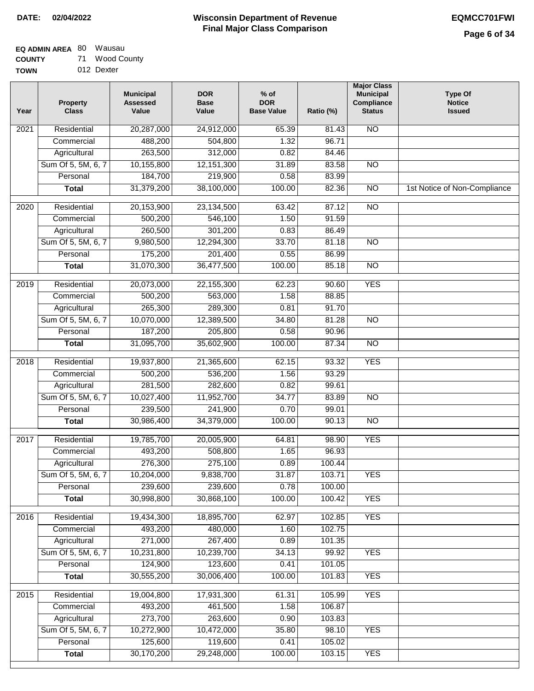### **Wisconsin Department of Revenue Final Major Class Comparison DATE: 02/04/2022 EQMCC701FWI**

**EQ ADMIN AREA** 80 Wausau **COUNTY**

**TOWN** 71 Wood County 012 Dexter

| Year             | <b>Property</b><br><b>Class</b> | <b>Municipal</b><br><b>Assessed</b><br>Value | <b>DOR</b><br><b>Base</b><br>Value | $%$ of<br><b>DOR</b><br><b>Base Value</b> | Ratio (%) | <b>Major Class</b><br><b>Municipal</b><br>Compliance<br><b>Status</b> | <b>Type Of</b><br><b>Notice</b><br><b>Issued</b> |
|------------------|---------------------------------|----------------------------------------------|------------------------------------|-------------------------------------------|-----------|-----------------------------------------------------------------------|--------------------------------------------------|
| 2021             | Residential                     | 20,287,000                                   | 24,912,000                         | 65.39                                     | 81.43     | <b>NO</b>                                                             |                                                  |
|                  | Commercial                      | 488,200                                      | 504,800                            | 1.32                                      | 96.71     |                                                                       |                                                  |
|                  | Agricultural                    | 263,500                                      | 312,000                            | 0.82                                      | 84.46     |                                                                       |                                                  |
|                  | Sum Of 5, 5M, 6, 7              | 10,155,800                                   | 12, 151, 300                       | 31.89                                     | 83.58     | $\overline{NO}$                                                       |                                                  |
|                  | Personal                        | 184,700                                      | 219,900                            | 0.58                                      | 83.99     |                                                                       |                                                  |
|                  | <b>Total</b>                    | 31,379,200                                   | 38,100,000                         | 100.00                                    | 82.36     | $\overline{NO}$                                                       | 1st Notice of Non-Compliance                     |
| $\frac{1}{2020}$ | Residential                     | 20,153,900                                   | 23,134,500                         | 63.42                                     | 87.12     | $\overline{NO}$                                                       |                                                  |
|                  | Commercial                      | 500,200                                      | 546,100                            | 1.50                                      | 91.59     |                                                                       |                                                  |
|                  | Agricultural                    | 260,500                                      | 301,200                            | 0.83                                      | 86.49     |                                                                       |                                                  |
|                  | Sum Of 5, 5M, 6, 7              | 9,980,500                                    | 12,294,300                         | 33.70                                     | 81.18     | <b>NO</b>                                                             |                                                  |
|                  | Personal                        | 175,200                                      | 201,400                            | 0.55                                      | 86.99     |                                                                       |                                                  |
|                  | <b>Total</b>                    | 31,070,300                                   | 36,477,500                         | 100.00                                    | 85.18     | $\overline{NO}$                                                       |                                                  |
|                  |                                 |                                              |                                    |                                           |           |                                                                       |                                                  |
| $\frac{1}{2019}$ | Residential                     | 20,073,000                                   | 22,155,300                         | 62.23                                     | 90.60     | <b>YES</b>                                                            |                                                  |
|                  | Commercial                      | 500,200                                      | 563,000                            | 1.58                                      | 88.85     |                                                                       |                                                  |
|                  | Agricultural                    | 265,300                                      | 289,300                            | 0.81                                      | 91.70     |                                                                       |                                                  |
|                  | Sum Of 5, 5M, 6, 7              | 10,070,000                                   | 12,389,500                         | 34.80                                     | 81.28     | $\overline{NO}$                                                       |                                                  |
|                  | Personal                        | 187,200                                      | 205,800                            | 0.58                                      | 90.96     |                                                                       |                                                  |
|                  | <b>Total</b>                    | 31,095,700                                   | 35,602,900                         | 100.00                                    | 87.34     | $\overline{NO}$                                                       |                                                  |
| 2018             | Residential                     | 19,937,800                                   | 21,365,600                         | 62.15                                     | 93.32     | <b>YES</b>                                                            |                                                  |
|                  | Commercial                      | 500,200                                      | 536,200                            | 1.56                                      | 93.29     |                                                                       |                                                  |
|                  | Agricultural                    | 281,500                                      | 282,600                            | 0.82                                      | 99.61     |                                                                       |                                                  |
|                  | Sum Of 5, 5M, 6, 7              | 10,027,400                                   | 11,952,700                         | 34.77                                     | 83.89     | <b>NO</b>                                                             |                                                  |
|                  | Personal                        | 239,500                                      | 241,900                            | 0.70                                      | 99.01     |                                                                       |                                                  |
|                  | <b>Total</b>                    | 30,986,400                                   | 34,379,000                         | 100.00                                    | 90.13     | $\overline{NO}$                                                       |                                                  |
| 2017             | Residential                     | 19,785,700                                   | 20,005,900                         | 64.81                                     | 98.90     | <b>YES</b>                                                            |                                                  |
|                  | Commercial                      | 493,200                                      | 508,800                            | 1.65                                      | 96.93     |                                                                       |                                                  |
|                  | Agricultural                    | 276,300                                      | 275,100                            | 0.89                                      | 100.44    |                                                                       |                                                  |
|                  | Sum Of 5, 5M, 6, 7              | 10,204,000                                   | 9,838,700                          | 31.87                                     | 103.71    | <b>YES</b>                                                            |                                                  |
|                  | Personal                        | 239,600                                      | 239,600                            | 0.78                                      | 100.00    |                                                                       |                                                  |
|                  | <b>Total</b>                    | 30,998,800                                   | 30,868,100                         | 100.00                                    | 100.42    | <b>YES</b>                                                            |                                                  |
| 2016             | Residential                     | 19,434,300                                   | 18,895,700                         | 62.97                                     | 102.85    | <b>YES</b>                                                            |                                                  |
|                  | Commercial                      | 493,200                                      | 480,000                            | 1.60                                      | 102.75    |                                                                       |                                                  |
|                  | Agricultural                    | 271,000                                      | 267,400                            | 0.89                                      | 101.35    |                                                                       |                                                  |
|                  | Sum Of 5, 5M, 6, 7              | 10,231,800                                   | 10,239,700                         | 34.13                                     | 99.92     | <b>YES</b>                                                            |                                                  |
|                  | Personal                        | 124,900                                      | 123,600                            | 0.41                                      | 101.05    |                                                                       |                                                  |
|                  | <b>Total</b>                    | 30,555,200                                   | 30,006,400                         | 100.00                                    | 101.83    | <b>YES</b>                                                            |                                                  |
|                  |                                 |                                              |                                    |                                           |           |                                                                       |                                                  |
| 2015             | Residential                     | 19,004,800                                   | 17,931,300                         | 61.31                                     | 105.99    | <b>YES</b>                                                            |                                                  |
|                  | Commercial                      | 493,200                                      | 461,500                            | 1.58                                      | 106.87    |                                                                       |                                                  |
|                  | Agricultural                    | 273,700                                      | 263,600                            | 0.90                                      | 103.83    |                                                                       |                                                  |
|                  | Sum Of 5, 5M, 6, 7              | 10,272,900                                   | 10,472,000                         | 35.80                                     | 98.10     | <b>YES</b>                                                            |                                                  |
|                  | Personal                        | 125,600                                      | 119,600                            | 0.41                                      | 105.02    |                                                                       |                                                  |
|                  | <b>Total</b>                    | 30,170,200                                   | 29,248,000                         | 100.00                                    | 103.15    | <b>YES</b>                                                            |                                                  |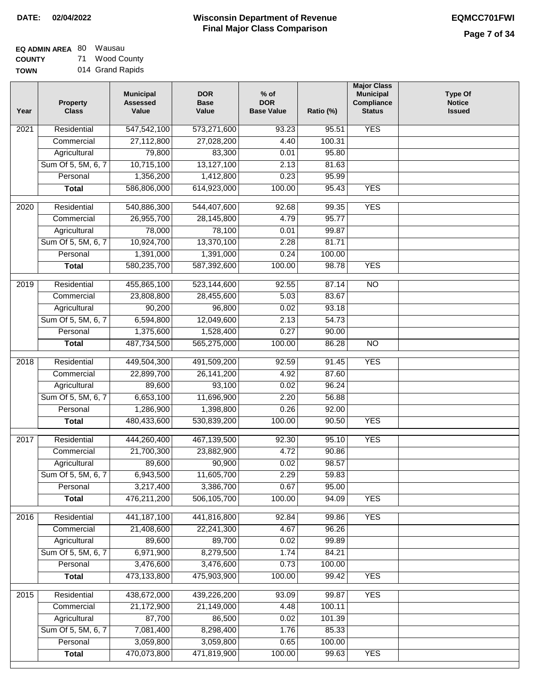| <b>EQ ADMIN AREA 80 Wausau</b> |    |             |
|--------------------------------|----|-------------|
| <b>COUNTY</b>                  | 71 | Wood County |

**TOWN** 014 Grand Rapids

| Year              | <b>Property</b><br><b>Class</b>    | <b>Municipal</b><br><b>Assessed</b><br>Value | <b>DOR</b><br><b>Base</b><br>Value | $%$ of<br><b>DOR</b><br><b>Base Value</b> | Ratio (%)          | <b>Major Class</b><br><b>Municipal</b><br>Compliance<br><b>Status</b> | <b>Type Of</b><br><b>Notice</b><br><b>Issued</b> |
|-------------------|------------------------------------|----------------------------------------------|------------------------------------|-------------------------------------------|--------------------|-----------------------------------------------------------------------|--------------------------------------------------|
| $\overline{202}1$ | Residential                        | 547,542,100                                  | 573,271,600                        | 93.23                                     | 95.51              | <b>YES</b>                                                            |                                                  |
|                   | Commercial                         | 27,112,800                                   | 27,028,200                         | 4.40                                      | 100.31             |                                                                       |                                                  |
|                   | Agricultural                       | 79,800                                       | 83,300                             | 0.01                                      | 95.80              |                                                                       |                                                  |
|                   | Sum Of 5, 5M, 6, 7                 | 10,715,100                                   | 13,127,100                         | 2.13                                      | 81.63              |                                                                       |                                                  |
|                   | Personal                           | 1,356,200                                    | 1,412,800                          | 0.23                                      | 95.99              |                                                                       |                                                  |
|                   | <b>Total</b>                       | 586,806,000                                  | 614,923,000                        | 100.00                                    | 95.43              | <b>YES</b>                                                            |                                                  |
| $\overline{2020}$ | Residential                        | 540,886,300                                  | 544,407,600                        | 92.68                                     | 99.35              | <b>YES</b>                                                            |                                                  |
|                   | Commercial                         | 26,955,700                                   | 28,145,800                         | 4.79                                      | 95.77              |                                                                       |                                                  |
|                   | Agricultural                       | 78,000                                       | 78,100                             | 0.01                                      | 99.87              |                                                                       |                                                  |
|                   | Sum Of 5, 5M, 6, 7                 | 10,924,700                                   | 13,370,100                         | 2.28                                      | 81.71              |                                                                       |                                                  |
|                   | Personal                           | 1,391,000                                    | 1,391,000                          | 0.24                                      | 100.00             |                                                                       |                                                  |
|                   | <b>Total</b>                       | 580,235,700                                  | 587,392,600                        | 100.00                                    | 98.78              | <b>YES</b>                                                            |                                                  |
| 2019              | Residential                        | 455,865,100                                  | 523,144,600                        | 92.55                                     | 87.14              | $\overline{NO}$                                                       |                                                  |
|                   | Commercial                         | 23,808,800                                   | 28,455,600                         | 5.03                                      | 83.67              |                                                                       |                                                  |
|                   | Agricultural                       | 90,200                                       | 96,800                             | 0.02                                      | 93.18              |                                                                       |                                                  |
|                   | Sum Of 5, 5M, 6, 7                 | 6,594,800                                    | 12,049,600                         | 2.13                                      | $\overline{54.73}$ |                                                                       |                                                  |
|                   | Personal                           | 1,375,600                                    | 1,528,400                          | 0.27                                      | 90.00              |                                                                       |                                                  |
|                   | <b>Total</b>                       | 487,734,500                                  | 565,275,000                        | 100.00                                    | 86.28              | $\overline{NO}$                                                       |                                                  |
|                   |                                    |                                              |                                    |                                           |                    |                                                                       |                                                  |
| 2018              | Residential                        | 449,504,300                                  | 491,509,200                        | 92.59                                     | 91.45              | <b>YES</b>                                                            |                                                  |
|                   | Commercial                         | 22,899,700                                   | 26, 141, 200                       | 4.92                                      | 87.60              |                                                                       |                                                  |
|                   | Agricultural                       | 89,600                                       | 93,100                             | 0.02                                      | 96.24              |                                                                       |                                                  |
|                   | Sum Of 5, 5M, 6, 7                 | 6,653,100                                    | 11,696,900                         | 2.20                                      | 56.88              |                                                                       |                                                  |
|                   | Personal                           | 1,286,900                                    | 1,398,800                          | 0.26                                      | 92.00              |                                                                       |                                                  |
|                   | <b>Total</b>                       | 480,433,600                                  | 530,839,200                        | 100.00                                    | 90.50              | <b>YES</b>                                                            |                                                  |
| $\overline{2017}$ | Residential                        | 444,260,400                                  | 467,139,500                        | 92.30                                     | 95.10              | <b>YES</b>                                                            |                                                  |
|                   | Commercial                         | 21,700,300                                   | 23,882,900                         | 4.72                                      | 90.86              |                                                                       |                                                  |
|                   | Agricultural                       | 89,600                                       | 90,900                             | 0.02                                      | 98.57              |                                                                       |                                                  |
|                   | Sum Of 5, 5M, 6, 7                 | 6,943,500                                    | 11,605,700                         | 2.29                                      | 59.83              |                                                                       |                                                  |
|                   | Personal                           | 3,217,400                                    | 3,386,700                          | 0.67                                      | 95.00              |                                                                       |                                                  |
|                   | <b>Total</b>                       | 476,211,200                                  | 506,105,700                        | 100.00                                    | 94.09              | <b>YES</b>                                                            |                                                  |
| 2016              | Residential                        | 441, 187, 100                                | 441,816,800                        | 92.84                                     | 99.86              | <b>YES</b>                                                            |                                                  |
|                   | Commercial                         | 21,408,600                                   | 22,241,300                         | 4.67                                      | 96.26              |                                                                       |                                                  |
|                   | Agricultural                       | 89,600                                       | 89,700                             | 0.02                                      | 99.89              |                                                                       |                                                  |
|                   | Sum Of 5, 5M, 6, 7                 | 6,971,900                                    | 8,279,500                          | 1.74                                      | 84.21              |                                                                       |                                                  |
|                   | Personal                           | 3,476,600                                    | 3,476,600                          | 0.73                                      | 100.00             |                                                                       |                                                  |
|                   | <b>Total</b>                       | 473,133,800                                  | 475,903,900                        | 100.00                                    | 99.42              | <b>YES</b>                                                            |                                                  |
|                   |                                    |                                              |                                    |                                           |                    |                                                                       |                                                  |
| 2015              | Residential                        | 438,672,000                                  | 439,226,200                        | 93.09                                     | 99.87              | <b>YES</b>                                                            |                                                  |
|                   | Commercial                         | 21,172,900                                   | 21,149,000                         | 4.48                                      | 100.11             |                                                                       |                                                  |
|                   | Agricultural<br>Sum Of 5, 5M, 6, 7 | 87,700                                       | 86,500                             | 0.02                                      | 101.39             |                                                                       |                                                  |
|                   | Personal                           | 7,081,400<br>3,059,800                       | 8,298,400<br>3,059,800             | 1.76<br>0.65                              | 85.33<br>100.00    |                                                                       |                                                  |
|                   | <b>Total</b>                       | 470,073,800                                  | 471,819,900                        | 100.00                                    | 99.63              | <b>YES</b>                                                            |                                                  |
|                   |                                    |                                              |                                    |                                           |                    |                                                                       |                                                  |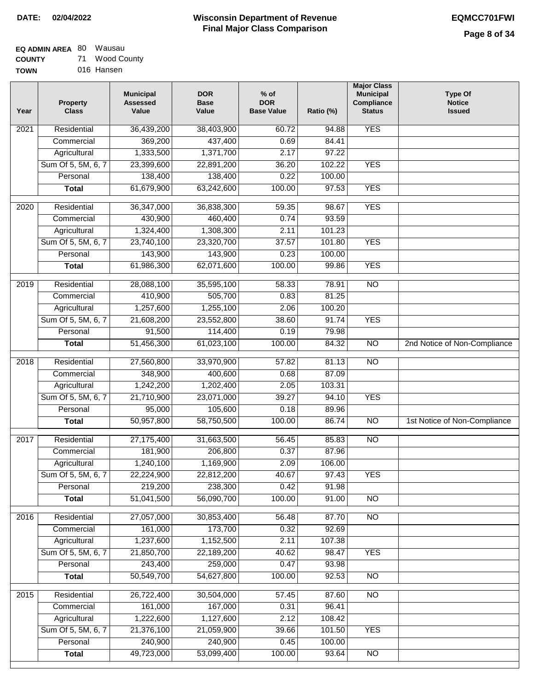# **EQ ADMIN AREA** 80 Wausau

**COUNTY TOWN** 71 Wood County 016 Hansen

| Year              | <b>Property</b><br><b>Class</b> | <b>Municipal</b><br><b>Assessed</b><br>Value | <b>DOR</b><br><b>Base</b><br>Value | $%$ of<br><b>DOR</b><br><b>Base Value</b> | Ratio (%) | <b>Major Class</b><br><b>Municipal</b><br>Compliance<br><b>Status</b> | <b>Type Of</b><br><b>Notice</b><br><b>Issued</b> |
|-------------------|---------------------------------|----------------------------------------------|------------------------------------|-------------------------------------------|-----------|-----------------------------------------------------------------------|--------------------------------------------------|
| 2021              | Residential                     | 36,439,200                                   | 38,403,900                         | 60.72                                     | 94.88     | <b>YES</b>                                                            |                                                  |
|                   | Commercial                      | 369,200                                      | 437,400                            | 0.69                                      | 84.41     |                                                                       |                                                  |
|                   | Agricultural                    | 1,333,500                                    | 1,371,700                          | 2.17                                      | 97.22     |                                                                       |                                                  |
|                   | Sum Of 5, 5M, 6, 7              | 23,399,600                                   | 22,891,200                         | 36.20                                     | 102.22    | <b>YES</b>                                                            |                                                  |
|                   | Personal                        | 138,400                                      | 138,400                            | 0.22                                      | 100.00    |                                                                       |                                                  |
|                   | <b>Total</b>                    | 61,679,900                                   | 63,242,600                         | 100.00                                    | 97.53     | <b>YES</b>                                                            |                                                  |
| 2020              | Residential                     | 36,347,000                                   | 36,838,300                         | 59.35                                     | 98.67     | <b>YES</b>                                                            |                                                  |
|                   | Commercial                      | 430,900                                      | 460,400                            | 0.74                                      | 93.59     |                                                                       |                                                  |
|                   | Agricultural                    | 1,324,400                                    | 1,308,300                          | 2.11                                      | 101.23    |                                                                       |                                                  |
|                   | Sum Of 5, 5M, 6, 7              | 23,740,100                                   | 23,320,700                         | 37.57                                     | 101.80    | <b>YES</b>                                                            |                                                  |
|                   | Personal                        | 143,900                                      | 143,900                            | 0.23                                      | 100.00    |                                                                       |                                                  |
|                   | <b>Total</b>                    | 61,986,300                                   | 62,071,600                         | 100.00                                    | 99.86     | <b>YES</b>                                                            |                                                  |
|                   |                                 |                                              |                                    |                                           |           |                                                                       |                                                  |
| 2019              | Residential                     | 28,088,100                                   | 35,595,100                         | 58.33                                     | 78.91     | $\overline{NO}$                                                       |                                                  |
|                   | Commercial                      | 410,900                                      | 505,700                            | 0.83                                      | 81.25     |                                                                       |                                                  |
|                   | Agricultural                    | 1,257,600                                    | 1,255,100                          | 2.06                                      | 100.20    |                                                                       |                                                  |
|                   | Sum Of 5, 5M, 6, 7              | 21,608,200                                   | 23,552,800                         | 38.60                                     | 91.74     | <b>YES</b>                                                            |                                                  |
|                   | Personal                        | 91,500                                       | 114,400                            | 0.19                                      | 79.98     |                                                                       |                                                  |
|                   | <b>Total</b>                    | 51,456,300                                   | 61,023,100                         | 100.00                                    | 84.32     | $\overline{NO}$                                                       | 2nd Notice of Non-Compliance                     |
| 2018              | Residential                     | 27,560,800                                   | 33,970,900                         | 57.82                                     | 81.13     | $\overline{NO}$                                                       |                                                  |
|                   | Commercial                      | 348,900                                      | 400,600                            | 0.68                                      | 87.09     |                                                                       |                                                  |
|                   | Agricultural                    | 1,242,200                                    | 1,202,400                          | 2.05                                      | 103.31    |                                                                       |                                                  |
|                   | Sum Of 5, 5M, 6, 7              | 21,710,900                                   | 23,071,000                         | 39.27                                     | 94.10     | <b>YES</b>                                                            |                                                  |
|                   | Personal                        | 95,000                                       | 105,600                            | 0.18                                      | 89.96     |                                                                       |                                                  |
|                   | <b>Total</b>                    | 50,957,800                                   | 58,750,500                         | 100.00                                    | 86.74     | <b>NO</b>                                                             | 1st Notice of Non-Compliance                     |
| 2017              | Residential                     | 27,175,400                                   | 31,663,500                         | 56.45                                     | 85.83     | N <sub>O</sub>                                                        |                                                  |
|                   | Commercial                      | 181,900                                      | 206,800                            | 0.37                                      | 87.96     |                                                                       |                                                  |
|                   | Agricultural                    | 1,240,100                                    | 1,169,900                          | 2.09                                      | 106.00    |                                                                       |                                                  |
|                   | Sum Of 5, 5M, 6, 7              | 22,224,900                                   | 22,812,200                         | 40.67                                     | 97.43     | YES                                                                   |                                                  |
|                   | Personal                        | 219,200                                      | 238,300                            | 0.42                                      | 91.98     |                                                                       |                                                  |
|                   | <b>Total</b>                    | 51,041,500                                   | 56,090,700                         | 100.00                                    | 91.00     | <b>NO</b>                                                             |                                                  |
| 2016              | Residential                     | 27,057,000                                   | 30,853,400                         | 56.48                                     | 87.70     | N <sub>O</sub>                                                        |                                                  |
|                   | Commercial                      | 161,000                                      | 173,700                            | 0.32                                      | 92.69     |                                                                       |                                                  |
|                   | Agricultural                    | 1,237,600                                    | 1,152,500                          | 2.11                                      | 107.38    |                                                                       |                                                  |
|                   | Sum Of 5, 5M, 6, 7              | 21,850,700                                   | 22,189,200                         | 40.62                                     | 98.47     | <b>YES</b>                                                            |                                                  |
|                   | Personal                        | 243,400                                      | 259,000                            | 0.47                                      | 93.98     |                                                                       |                                                  |
|                   | <b>Total</b>                    | 50,549,700                                   | 54,627,800                         | 100.00                                    | 92.53     | N <sub>O</sub>                                                        |                                                  |
| $\overline{2015}$ | Residential                     | 26,722,400                                   | 30,504,000                         | 57.45                                     | 87.60     | $\overline{NO}$                                                       |                                                  |
|                   | Commercial                      | 161,000                                      | 167,000                            | 0.31                                      | 96.41     |                                                                       |                                                  |
|                   | Agricultural                    | 1,222,600                                    | 1,127,600                          | 2.12                                      | 108.42    |                                                                       |                                                  |
|                   | Sum Of 5, 5M, 6, 7              | 21,376,100                                   | 21,059,900                         | 39.66                                     | 101.50    | <b>YES</b>                                                            |                                                  |
|                   | Personal                        | 240,900                                      | 240,900                            | 0.45                                      | 100.00    |                                                                       |                                                  |
|                   | <b>Total</b>                    | 49,723,000                                   | 53,099,400                         | 100.00                                    | 93.64     | $\overline{NO}$                                                       |                                                  |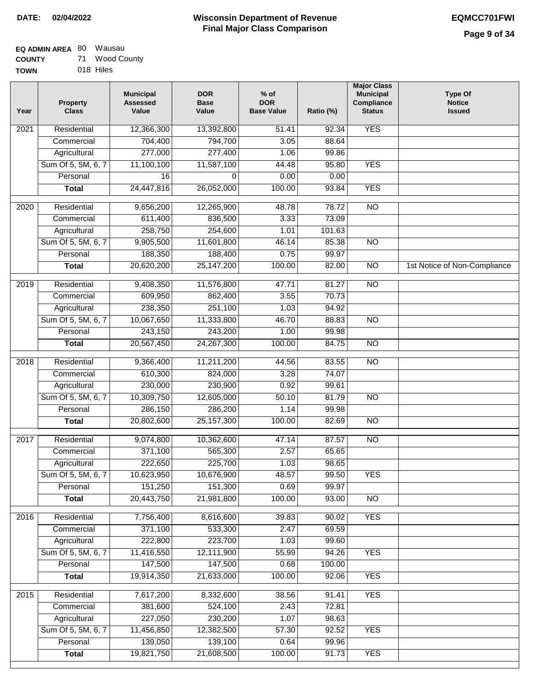#### **EQ ADMIN AREA** 80 Wausau **COUNTY** 71 Wood County

**TOWN** 018 Hiles

| Year              | <b>Property</b><br><b>Class</b> | <b>Municipal</b><br><b>Assessed</b><br>Value | <b>DOR</b><br><b>Base</b><br>Value | % of<br><b>DOR</b><br><b>Base Value</b> | Ratio (%) | <b>Major Class</b><br><b>Municipal</b><br>Compliance<br><b>Status</b> | <b>Type Of</b><br><b>Notice</b><br><b>Issued</b> |
|-------------------|---------------------------------|----------------------------------------------|------------------------------------|-----------------------------------------|-----------|-----------------------------------------------------------------------|--------------------------------------------------|
| $\overline{202}1$ | Residential                     | 12,366,300                                   | 13,392,800                         | $\frac{1}{51.41}$                       | 92.34     | <b>YES</b>                                                            |                                                  |
|                   | Commercial                      | 704,400                                      | 794,700                            | 3.05                                    | 88.64     |                                                                       |                                                  |
|                   | Agricultural                    | 277,000                                      | 277,400                            | 1.06                                    | 99.86     |                                                                       |                                                  |
|                   | Sum Of 5, 5M, 6, 7              | 11,100,100                                   | 11,587,100                         | 44.48                                   | 95.80     | <b>YES</b>                                                            |                                                  |
|                   | Personal                        | 16                                           | 0                                  | 0.00                                    | 0.00      |                                                                       |                                                  |
|                   | <b>Total</b>                    | 24,447,816                                   | 26,052,000                         | 100.00                                  | 93.84     | <b>YES</b>                                                            |                                                  |
| $\overline{2020}$ | Residential                     | 9,656,200                                    | 12,265,900                         | 48.78                                   | 78.72     | $\overline{NO}$                                                       |                                                  |
|                   | Commercial                      | 611,400                                      | 836,500                            | 3.33                                    | 73.09     |                                                                       |                                                  |
|                   | Agricultural                    | 258,750                                      | 254,600                            | 1.01                                    | 101.63    |                                                                       |                                                  |
|                   | Sum Of 5, 5M, 6, 7              | 9,905,500                                    | 11,601,800                         | 46.14                                   | 85.38     | $\overline{NO}$                                                       |                                                  |
|                   | Personal                        | 188,350                                      | 188,400                            | 0.75                                    | 99.97     |                                                                       |                                                  |
|                   | <b>Total</b>                    | 20,620,200                                   | 25, 147, 200                       | 100.00                                  | 82.00     | N <sub>O</sub>                                                        | 1st Notice of Non-Compliance                     |
| 2019              | Residential                     | 9,408,350                                    | 11,576,800                         | 47.71                                   | 81.27     | $\overline{3}$                                                        |                                                  |
|                   | Commercial                      | 609,950                                      | 862,400                            | 3.55                                    | 70.73     |                                                                       |                                                  |
|                   | Agricultural                    | 238,350                                      | 251,100                            | 1.03                                    | 94.92     |                                                                       |                                                  |
|                   | Sum Of 5, 5M, 6, 7              | 10,067,650                                   | 11,333,800                         | 46.70                                   | 88.83     | $\overline{NO}$                                                       |                                                  |
|                   | Personal                        | 243,150                                      | 243,200                            | 1.00                                    | 99.98     |                                                                       |                                                  |
|                   | <b>Total</b>                    | 20,567,450                                   | 24,267,300                         | 100.00                                  | 84.75     | $\overline{NO}$                                                       |                                                  |
| 2018              | Residential                     | 9,366,400                                    | 11,211,200                         | 44.56                                   | 83.55     | $\overline{10}$                                                       |                                                  |
|                   | Commercial                      | 610,300                                      | 824,000                            | 3.28                                    | 74.07     |                                                                       |                                                  |
|                   | Agricultural                    | 230,000                                      | 230,900                            | 0.92                                    | 99.61     |                                                                       |                                                  |
|                   | Sum Of 5, 5M, 6, 7              | 10,309,750                                   | 12,605,000                         | 50.10                                   | 81.79     | $\overline{3}$                                                        |                                                  |
|                   | Personal                        | 286,150                                      | 286,200                            | 1.14                                    | 99.98     |                                                                       |                                                  |
|                   | <b>Total</b>                    | 20,802,600                                   | 25, 157, 300                       | 100.00                                  | 82.69     | <b>NO</b>                                                             |                                                  |
|                   |                                 |                                              |                                    |                                         |           |                                                                       |                                                  |
| $\overline{2017}$ | Residential                     | 9,074,800                                    | 10,362,600                         | 47.14                                   | 87.57     | $\overline{NO}$                                                       |                                                  |
|                   | Commercial                      | 371,100                                      | 565,300                            | 2.57                                    | 65.65     |                                                                       |                                                  |
|                   | Agricultural                    | 222,650                                      | 225,700                            | 1.03                                    | 98.65     |                                                                       |                                                  |
|                   | Sum Of 5, 5M, 6, 7              | 10,623,950                                   | 10,676,900                         | 48.57                                   | 99.50     | <b>YES</b>                                                            |                                                  |
|                   | Personal                        | 151,250                                      | 151,300                            | 0.69                                    | 99.97     |                                                                       |                                                  |
|                   | <b>Total</b>                    | 20,443,750                                   | 21,981,800                         | 100.00                                  | 93.00     | <b>NO</b>                                                             |                                                  |
| 2016              | Residential                     | 7,756,400                                    | 8,616,600                          | 39.83                                   | 90.02     | <b>YES</b>                                                            |                                                  |
|                   | Commercial                      | 371,100                                      | 533,300                            | 2.47                                    | 69.59     |                                                                       |                                                  |
|                   | Agricultural                    | 222,800                                      | 223,700                            | 1.03                                    | 99.60     |                                                                       |                                                  |
|                   | Sum Of 5, 5M, 6, 7              | 11,416,550                                   | 12,111,900                         | 55.99                                   | 94.26     | <b>YES</b>                                                            |                                                  |
|                   | Personal                        | 147,500                                      | 147,500                            | 0.68                                    | 100.00    |                                                                       |                                                  |
|                   | <b>Total</b>                    | 19,914,350                                   | 21,633,000                         | 100.00                                  | 92.06     | <b>YES</b>                                                            |                                                  |
| 2015              | Residential                     | 7,617,200                                    | 8,332,600                          | 38.56                                   | 91.41     | <b>YES</b>                                                            |                                                  |
|                   | Commercial                      | 381,600                                      | 524,100                            | 2.43                                    | 72.81     |                                                                       |                                                  |
|                   | Agricultural                    | 227,050                                      | 230,200                            | 1.07                                    | 98.63     |                                                                       |                                                  |
|                   | Sum Of 5, 5M, 6, 7              | 11,456,850                                   | 12,382,500                         | 57.30                                   | 92.52     | <b>YES</b>                                                            |                                                  |
|                   | Personal                        | 139,050                                      | 139,100                            | 0.64                                    | 99.96     |                                                                       |                                                  |
|                   | <b>Total</b>                    | 19,821,750                                   | 21,608,500                         | 100.00                                  | 91.73     | <b>YES</b>                                                            |                                                  |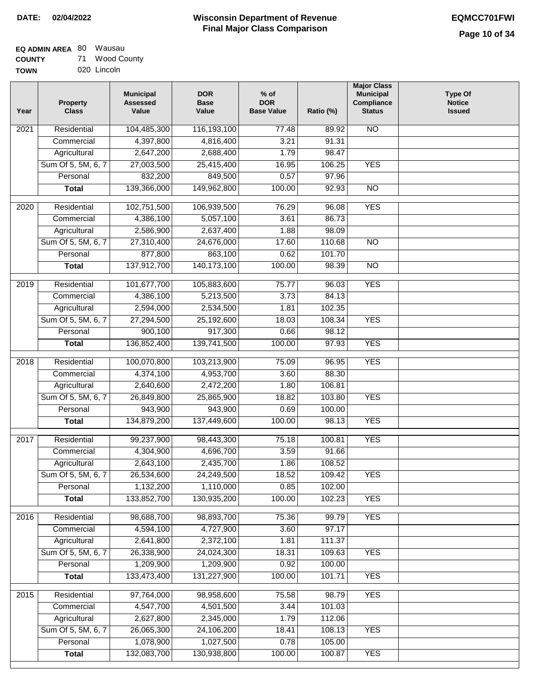# **EQ ADMIN AREA** 80 Wausau

**COUNTY TOWN** 71 Wood County 020 Lincoln

| Year | <b>Property</b><br><b>Class</b> | <b>Municipal</b><br><b>Assessed</b><br>Value | <b>DOR</b><br><b>Base</b><br>Value | $%$ of<br><b>DOR</b><br><b>Base Value</b> | Ratio (%)        | <b>Major Class</b><br><b>Municipal</b><br>Compliance<br><b>Status</b> | <b>Type Of</b><br><b>Notice</b><br><b>Issued</b> |
|------|---------------------------------|----------------------------------------------|------------------------------------|-------------------------------------------|------------------|-----------------------------------------------------------------------|--------------------------------------------------|
| 2021 | Residential                     | 104,485,300                                  | 116,193,100                        | 77.48                                     | 89.92            | <b>NO</b>                                                             |                                                  |
|      | Commercial                      | 4,397,800                                    | 4,816,400                          | 3.21                                      | 91.31            |                                                                       |                                                  |
|      | Agricultural                    | 2,647,200                                    | 2,688,400                          | 1.79                                      | 98.47            |                                                                       |                                                  |
|      | Sum Of 5, 5M, 6, 7              | 27,003,500                                   | 25,415,400                         | 16.95                                     | 106.25           | <b>YES</b>                                                            |                                                  |
|      | Personal                        | 832,200                                      | 849,500                            | 0.57                                      | 97.96            |                                                                       |                                                  |
|      | <b>Total</b>                    | 139,366,000                                  | 149,962,800                        | 100.00                                    | 92.93            | $\overline{NO}$                                                       |                                                  |
| 2020 | Residential                     | 102,751,500                                  | 106,939,500                        | 76.29                                     | 96.08            | <b>YES</b>                                                            |                                                  |
|      | Commercial                      | 4,386,100                                    | 5,057,100                          | 3.61                                      | 86.73            |                                                                       |                                                  |
|      | Agricultural                    | 2,586,900                                    | 2,637,400                          | 1.88                                      | 98.09            |                                                                       |                                                  |
|      | Sum Of 5, 5M, 6, 7              | 27,310,400                                   | 24,676,000                         | 17.60                                     | 110.68           | $\overline{NO}$                                                       |                                                  |
|      | Personal                        | 877,800                                      | 863,100                            | 0.62                                      | 101.70           |                                                                       |                                                  |
|      | <b>Total</b>                    | 137,912,700                                  | 140,173,100                        | 100.00                                    | 98.39            | $\overline{NO}$                                                       |                                                  |
|      |                                 |                                              |                                    |                                           |                  |                                                                       |                                                  |
| 2019 | Residential                     | 101,677,700                                  | 105,883,600                        | 75.77                                     | 96.03            | <b>YES</b>                                                            |                                                  |
|      | Commercial                      | 4,386,100                                    | 5,213,500                          | 3.73                                      | 84.13            |                                                                       |                                                  |
|      | Agricultural                    | 2,594,000                                    | 2,534,500                          | 1.81<br>18.03                             | 102.35<br>108.34 | <b>YES</b>                                                            |                                                  |
|      | Sum Of 5, 5M, 6, 7<br>Personal  | 27,294,500<br>900,100                        | 25,192,600<br>917,300              | 0.66                                      | 98.12            |                                                                       |                                                  |
|      |                                 | 136,852,400                                  | 139,741,500                        | 100.00                                    | 97.93            | <b>YES</b>                                                            |                                                  |
|      | <b>Total</b>                    |                                              |                                    |                                           |                  |                                                                       |                                                  |
| 2018 | Residential                     | 100,070,800                                  | 103,213,900                        | 75.09                                     | 96.95            | <b>YES</b>                                                            |                                                  |
|      | Commercial                      | 4,374,100                                    | 4,953,700                          | 3.60                                      | 88.30            |                                                                       |                                                  |
|      | Agricultural                    | 2,640,600                                    | 2,472,200                          | 1.80                                      | 106.81           |                                                                       |                                                  |
|      | Sum Of 5, 5M, 6, 7              | 26,849,800                                   | 25,865,900                         | 18.82                                     | 103.80           | <b>YES</b>                                                            |                                                  |
|      | Personal                        | 943,900                                      | 943,900                            | 0.69                                      | 100.00           |                                                                       |                                                  |
|      | <b>Total</b>                    | 134,879,200                                  | 137,449,600                        | 100.00                                    | 98.13            | <b>YES</b>                                                            |                                                  |
| 2017 | Residential                     | 99,237,900                                   | 98,443,300                         | 75.18                                     | 100.81           | <b>YES</b>                                                            |                                                  |
|      | Commercial                      | 4,304,900                                    | 4,696,700                          | 3.59                                      | 91.66            |                                                                       |                                                  |
|      | Agricultural                    | 2,643,100                                    | 2,435,700                          | 1.86                                      | 108.52           |                                                                       |                                                  |
|      | Sum Of 5, 5M, 6, 7              | 26,534,600                                   | 24,249,500                         | 18.52                                     | 109.42           | <b>YES</b>                                                            |                                                  |
|      | Personal                        | 1,132,200                                    | 1,110,000                          | 0.85                                      | 102.00           |                                                                       |                                                  |
|      | <b>Total</b>                    | 133,852,700                                  | 130,935,200                        | 100.00                                    | 102.23           | <b>YES</b>                                                            |                                                  |
| 2016 | Residential                     | 98,688,700                                   | 98,893,700                         | 75.36                                     | 99.79            | <b>YES</b>                                                            |                                                  |
|      | Commercial                      | 4,594,100                                    | 4,727,900                          | 3.60                                      | 97.17            |                                                                       |                                                  |
|      | Agricultural                    | 2,641,800                                    | 2,372,100                          | 1.81                                      | 111.37           |                                                                       |                                                  |
|      | Sum Of 5, 5M, 6, 7              | 26,338,900                                   | 24,024,300                         | 18.31                                     | 109.63           | <b>YES</b>                                                            |                                                  |
|      | Personal                        | 1,209,900                                    | 1,209,900                          | 0.92                                      | 100.00           |                                                                       |                                                  |
|      | <b>Total</b>                    | 133,473,400                                  | 131,227,900                        | 100.00                                    | 101.71           | <b>YES</b>                                                            |                                                  |
| 2015 | Residential                     | 97,764,000                                   | 98,958,600                         | 75.58                                     | 98.79            | <b>YES</b>                                                            |                                                  |
|      | Commercial                      | 4,547,700                                    | 4,501,500                          | 3.44                                      | 101.03           |                                                                       |                                                  |
|      | Agricultural                    | 2,627,800                                    | 2,345,000                          | 1.79                                      | 112.06           |                                                                       |                                                  |
|      | Sum Of 5, 5M, 6, 7              | 26,065,300                                   | 24,106,200                         | 18.41                                     | 108.13           | <b>YES</b>                                                            |                                                  |
|      | Personal                        | 1,078,900                                    | 1,027,500                          | 0.78                                      | 105.00           |                                                                       |                                                  |
|      | <b>Total</b>                    | 132,083,700                                  | 130,938,800                        | 100.00                                    | 100.87           | <b>YES</b>                                                            |                                                  |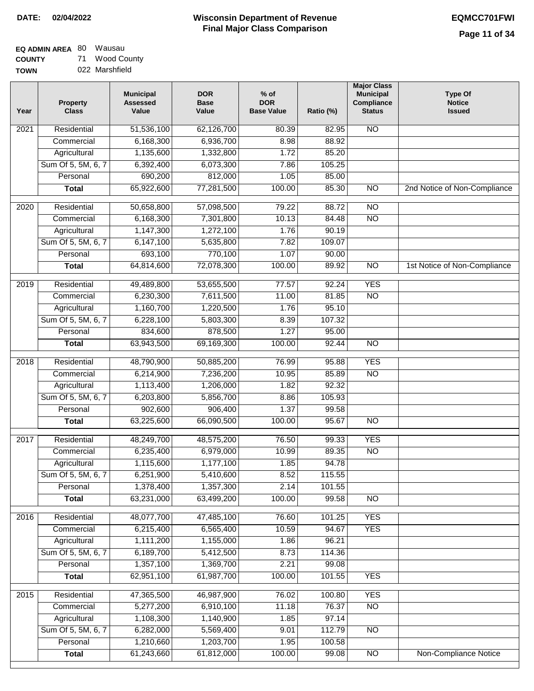#### **EQ ADMIN AREA** 80 Wausau **COUNTY** 71 Wood County

**TOWN** 022 Marshfield

| Year              | <b>Property</b><br><b>Class</b> | <b>Municipal</b><br><b>Assessed</b><br>Value | <b>DOR</b><br><b>Base</b><br>Value | $%$ of<br><b>DOR</b><br><b>Base Value</b> | Ratio (%) | <b>Major Class</b><br><b>Municipal</b><br>Compliance<br><b>Status</b> | <b>Type Of</b><br><b>Notice</b><br><b>Issued</b> |
|-------------------|---------------------------------|----------------------------------------------|------------------------------------|-------------------------------------------|-----------|-----------------------------------------------------------------------|--------------------------------------------------|
| $\overline{202}1$ | Residential                     | 51,536,100                                   | 62,126,700                         | 80.39                                     | 82.95     | N <sub>O</sub>                                                        |                                                  |
|                   | Commercial                      | 6,168,300                                    | 6,936,700                          | 8.98                                      | 88.92     |                                                                       |                                                  |
|                   | Agricultural                    | 1,135,600                                    | 1,332,800                          | 1.72                                      | 85.20     |                                                                       |                                                  |
|                   | Sum Of 5, 5M, 6, 7              | 6,392,400                                    | 6,073,300                          | 7.86                                      | 105.25    |                                                                       |                                                  |
|                   | Personal                        | 690,200                                      | 812,000                            | 1.05                                      | 85.00     |                                                                       |                                                  |
|                   | <b>Total</b>                    | 65,922,600                                   | 77,281,500                         | 100.00                                    | 85.30     | $\overline{NO}$                                                       | 2nd Notice of Non-Compliance                     |
| $\overline{2020}$ | Residential                     | 50,658,800                                   | 57,098,500                         | 79.22                                     | 88.72     | $\overline{NO}$                                                       |                                                  |
|                   | Commercial                      | 6,168,300                                    | 7,301,800                          | 10.13                                     | 84.48     | $\overline{NO}$                                                       |                                                  |
|                   | Agricultural                    | 1,147,300                                    | 1,272,100                          | 1.76                                      | 90.19     |                                                                       |                                                  |
|                   | Sum Of 5, 5M, 6, 7              | 6,147,100                                    | 5,635,800                          | 7.82                                      | 109.07    |                                                                       |                                                  |
|                   | Personal                        | 693,100                                      | 770,100                            | 1.07                                      | 90.00     |                                                                       |                                                  |
|                   | <b>Total</b>                    | 64,814,600                                   | 72,078,300                         | 100.00                                    | 89.92     | $\overline{NO}$                                                       | 1st Notice of Non-Compliance                     |
| 2019              | Residential                     | 49,489,800                                   | 53,655,500                         | 77.57                                     | 92.24     | <b>YES</b>                                                            |                                                  |
|                   | Commercial                      | 6,230,300                                    | 7,611,500                          | 11.00                                     | 81.85     | $\overline{NO}$                                                       |                                                  |
|                   | Agricultural                    | 1,160,700                                    | 1,220,500                          | 1.76                                      | 95.10     |                                                                       |                                                  |
|                   | Sum Of 5, 5M, 6, 7              | 6,228,100                                    | 5,803,300                          | 8.39                                      | 107.32    |                                                                       |                                                  |
|                   | Personal                        | 834,600                                      | 878,500                            | 1.27                                      | 95.00     |                                                                       |                                                  |
|                   | <b>Total</b>                    | 63,943,500                                   | 69,169,300                         | 100.00                                    | 92.44     | $\overline{NO}$                                                       |                                                  |
| 2018              | Residential                     | 48,790,900                                   | 50,885,200                         | 76.99                                     | 95.88     | <b>YES</b>                                                            |                                                  |
|                   | Commercial                      | 6,214,900                                    | 7,236,200                          | 10.95                                     | 85.89     | <b>NO</b>                                                             |                                                  |
|                   | Agricultural                    | 1,113,400                                    | 1,206,000                          | 1.82                                      | 92.32     |                                                                       |                                                  |
|                   | Sum Of 5, 5M, 6, 7              | 6,203,800                                    | 5,856,700                          | 8.86                                      | 105.93    |                                                                       |                                                  |
|                   | Personal                        | 902,600                                      | 906,400                            | 1.37                                      | 99.58     |                                                                       |                                                  |
|                   | <b>Total</b>                    | 63,225,600                                   | 66,090,500                         | 100.00                                    | 95.67     | <b>NO</b>                                                             |                                                  |
| 2017              | Residential                     | 48,249,700                                   | 48,575,200                         | 76.50                                     | 99.33     | <b>YES</b>                                                            |                                                  |
|                   | Commercial                      | 6,235,400                                    | 6,979,000                          | 10.99                                     | 89.35     | $\overline{N}$                                                        |                                                  |
|                   | Agricultural                    | 1,115,600                                    | 1,177,100                          | 1.85                                      | 94.78     |                                                                       |                                                  |
|                   | Sum Of 5, 5M, 6, 7              | 6,251,900                                    | 5,410,600                          | 8.52                                      | 115.55    |                                                                       |                                                  |
|                   | Personal                        | 1,378,400                                    | 1,357,300                          | 2.14                                      | 101.55    |                                                                       |                                                  |
|                   | <b>Total</b>                    | 63,231,000                                   | 63,499,200                         | 100.00                                    | 99.58     | <b>NO</b>                                                             |                                                  |
| 2016              | Residential                     | 48,077,700                                   | 47,485,100                         | 76.60                                     | 101.25    | <b>YES</b>                                                            |                                                  |
|                   | Commercial                      | 6,215,400                                    | 6,565,400                          | 10.59                                     | 94.67     | <b>YES</b>                                                            |                                                  |
|                   | Agricultural                    | 1,111,200                                    | 1,155,000                          | 1.86                                      | 96.21     |                                                                       |                                                  |
|                   | Sum Of 5, 5M, 6, 7              | 6,189,700                                    | 5,412,500                          | 8.73                                      | 114.36    |                                                                       |                                                  |
|                   | Personal                        | 1,357,100                                    | 1,369,700                          | 2.21                                      | 99.08     |                                                                       |                                                  |
|                   | <b>Total</b>                    | 62,951,100                                   | 61,987,700                         | 100.00                                    | 101.55    | <b>YES</b>                                                            |                                                  |
| 2015              | Residential                     | 47,365,500                                   | 46,987,900                         | 76.02                                     | 100.80    | <b>YES</b>                                                            |                                                  |
|                   | Commercial                      | 5,277,200                                    | 6,910,100                          | 11.18                                     | 76.37     | $\overline{NO}$                                                       |                                                  |
|                   | Agricultural                    | 1,108,300                                    | 1,140,900                          | 1.85                                      | 97.14     |                                                                       |                                                  |
|                   | Sum Of 5, 5M, 6, 7              | 6,282,000                                    | 5,569,400                          | 9.01                                      | 112.79    | <b>NO</b>                                                             |                                                  |
|                   | Personal                        | 1,210,660                                    | 1,203,700                          | 1.95                                      | 100.58    |                                                                       |                                                  |
|                   | <b>Total</b>                    | 61,243,660                                   | 61,812,000                         | 100.00                                    | 99.08     | NO                                                                    | <b>Non-Compliance Notice</b>                     |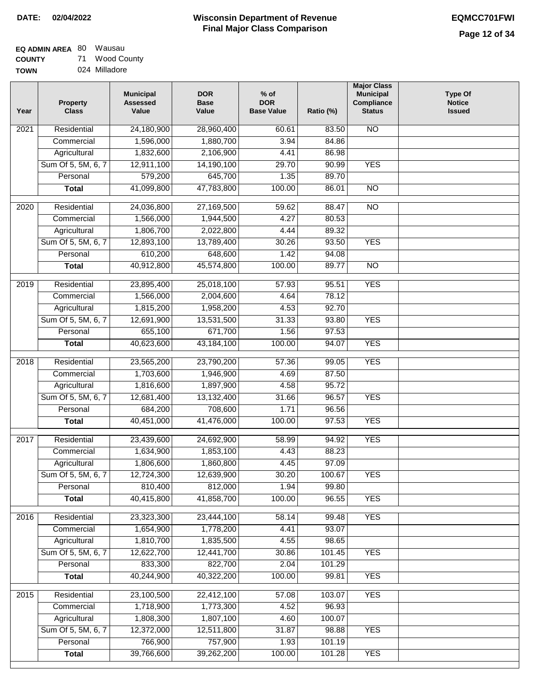| EQ ADMIN AREA 80 Wausau |    |             |
|-------------------------|----|-------------|
| <b>COUNTY</b>           | 71 | Wood County |

**TOWN** 024 Milladore

| Year              | <b>Property</b><br><b>Class</b> | <b>Municipal</b><br><b>Assessed</b><br>Value | <b>DOR</b><br><b>Base</b><br>Value | $%$ of<br><b>DOR</b><br><b>Base Value</b> | Ratio (%) | <b>Major Class</b><br><b>Municipal</b><br>Compliance<br><b>Status</b> | <b>Type Of</b><br><b>Notice</b><br><b>Issued</b> |
|-------------------|---------------------------------|----------------------------------------------|------------------------------------|-------------------------------------------|-----------|-----------------------------------------------------------------------|--------------------------------------------------|
| $\overline{202}1$ | Residential                     | 24,180,900                                   | 28,960,400                         | 60.61                                     | 83.50     | $\overline{NO}$                                                       |                                                  |
|                   | Commercial                      | 1,596,000                                    | 1,880,700                          | 3.94                                      | 84.86     |                                                                       |                                                  |
|                   | Agricultural                    | 1,832,600                                    | 2,106,900                          | 4.41                                      | 86.98     |                                                                       |                                                  |
|                   | Sum Of 5, 5M, 6, 7              | 12,911,100                                   | 14,190,100                         | 29.70                                     | 90.99     | <b>YES</b>                                                            |                                                  |
|                   | Personal                        | 579,200                                      | 645,700                            | 1.35                                      | 89.70     |                                                                       |                                                  |
|                   | <b>Total</b>                    | 41,099,800                                   | 47,783,800                         | 100.00                                    | 86.01     | $\overline{NO}$                                                       |                                                  |
| 2020              | Residential                     | 24,036,800                                   | 27,169,500                         | 59.62                                     | 88.47     | $\overline{NO}$                                                       |                                                  |
|                   | Commercial                      | 1,566,000                                    | 1,944,500                          | 4.27                                      | 80.53     |                                                                       |                                                  |
|                   | Agricultural                    | 1,806,700                                    | 2,022,800                          | 4.44                                      | 89.32     |                                                                       |                                                  |
|                   | Sum Of 5, 5M, 6, 7              | 12,893,100                                   | 13,789,400                         | 30.26                                     | 93.50     | <b>YES</b>                                                            |                                                  |
|                   | Personal                        | 610,200                                      | 648,600                            | 1.42                                      | 94.08     |                                                                       |                                                  |
|                   | <b>Total</b>                    | 40,912,800                                   | 45,574,800                         | 100.00                                    | 89.77     | $\overline{NO}$                                                       |                                                  |
|                   |                                 |                                              |                                    |                                           |           |                                                                       |                                                  |
| 2019              | Residential                     | 23,895,400                                   | 25,018,100                         | 57.93                                     | 95.51     | <b>YES</b>                                                            |                                                  |
|                   | Commercial                      | 1,566,000                                    | 2,004,600                          | 4.64                                      | 78.12     |                                                                       |                                                  |
|                   | Agricultural                    | 1,815,200                                    | 1,958,200                          | 4.53                                      | 92.70     |                                                                       |                                                  |
|                   | Sum Of 5, 5M, 6, 7              | 12,691,900                                   | 13,531,500                         | 31.33                                     | 93.80     | <b>YES</b>                                                            |                                                  |
|                   | Personal                        | 655,100                                      | 671,700                            | 1.56                                      | 97.53     |                                                                       |                                                  |
|                   | <b>Total</b>                    | 40,623,600                                   | 43,184,100                         | 100.00                                    | 94.07     | <b>YES</b>                                                            |                                                  |
| 2018              | Residential                     | 23,565,200                                   | 23,790,200                         | 57.36                                     | 99.05     | <b>YES</b>                                                            |                                                  |
|                   | Commercial                      | 1,703,600                                    | 1,946,900                          | 4.69                                      | 87.50     |                                                                       |                                                  |
|                   | Agricultural                    | 1,816,600                                    | 1,897,900                          | 4.58                                      | 95.72     |                                                                       |                                                  |
|                   | Sum Of 5, 5M, 6, 7              | 12,681,400                                   | 13,132,400                         | 31.66                                     | 96.57     | <b>YES</b>                                                            |                                                  |
|                   | Personal                        | 684,200                                      | 708,600                            | 1.71                                      | 96.56     |                                                                       |                                                  |
|                   | <b>Total</b>                    | 40,451,000                                   | 41,476,000                         | 100.00                                    | 97.53     | <b>YES</b>                                                            |                                                  |
| 2017              | Residential                     | 23,439,600                                   | 24,692,900                         | 58.99                                     | 94.92     | <b>YES</b>                                                            |                                                  |
|                   | Commercial                      | 1,634,900                                    | 1,853,100                          | 4.43                                      | 88.23     |                                                                       |                                                  |
|                   | Agricultural                    | 1,806,600                                    | 1,860,800                          | 4.45                                      | 97.09     |                                                                       |                                                  |
|                   | Sum Of 5, 5M, 6, 7              | 12,724,300                                   | 12,639,900                         | 30.20                                     | 100.67    | <b>YES</b>                                                            |                                                  |
|                   | Personal                        | 810,400                                      | 812,000                            | 1.94                                      | 99.80     |                                                                       |                                                  |
|                   | <b>Total</b>                    | 40,415,800                                   | 41,858,700                         | 100.00                                    | 96.55     | <b>YES</b>                                                            |                                                  |
| 2016              | Residential                     | 23,323,300                                   | 23,444,100                         | 58.14                                     | 99.48     | <b>YES</b>                                                            |                                                  |
|                   | Commercial                      | 1,654,900                                    | 1,778,200                          | 4.41                                      | 93.07     |                                                                       |                                                  |
|                   | Agricultural                    | 1,810,700                                    | 1,835,500                          | 4.55                                      | 98.65     |                                                                       |                                                  |
|                   | Sum Of 5, 5M, 6, 7              | 12,622,700                                   | 12,441,700                         | 30.86                                     | 101.45    | <b>YES</b>                                                            |                                                  |
|                   | Personal                        | 833,300                                      | 822,700                            | 2.04                                      | 101.29    |                                                                       |                                                  |
|                   | <b>Total</b>                    | 40,244,900                                   | 40,322,200                         | 100.00                                    | 99.81     | <b>YES</b>                                                            |                                                  |
| 2015              | Residential                     | 23,100,500                                   | 22,412,100                         | 57.08                                     | 103.07    | <b>YES</b>                                                            |                                                  |
|                   | Commercial                      | 1,718,900                                    | 1,773,300                          | 4.52                                      | 96.93     |                                                                       |                                                  |
|                   | Agricultural                    | 1,808,300                                    | 1,807,100                          | 4.60                                      | 100.07    |                                                                       |                                                  |
|                   | Sum Of 5, 5M, 6, 7              | 12,372,000                                   | 12,511,800                         | 31.87                                     | 98.88     | <b>YES</b>                                                            |                                                  |
|                   | Personal                        | 766,900                                      | 757,900                            | 1.93                                      | 101.19    |                                                                       |                                                  |
|                   | <b>Total</b>                    | 39,766,600                                   | 39,262,200                         | 100.00                                    | 101.28    | <b>YES</b>                                                            |                                                  |
|                   |                                 |                                              |                                    |                                           |           |                                                                       |                                                  |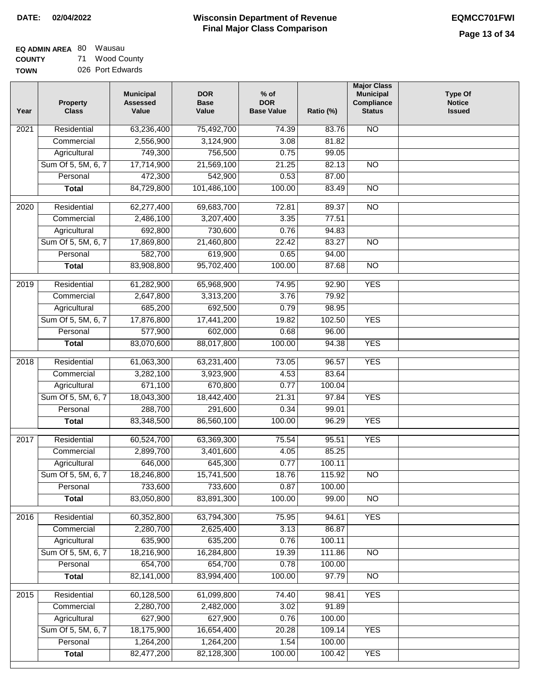| <b>EQ ADMIN AREA 80 Wausau</b> |                  |
|--------------------------------|------------------|
| <b>COUNTY</b>                  | 71 Wood County   |
| <b>TOWN</b>                    | 026 Port Edwards |

| Year | <b>Property</b><br><b>Class</b> | <b>Municipal</b><br><b>Assessed</b><br>Value | <b>DOR</b><br><b>Base</b><br>Value | $%$ of<br><b>DOR</b><br><b>Base Value</b> | Ratio (%) | <b>Major Class</b><br><b>Municipal</b><br>Compliance<br><b>Status</b> | <b>Type Of</b><br><b>Notice</b><br><b>Issued</b> |
|------|---------------------------------|----------------------------------------------|------------------------------------|-------------------------------------------|-----------|-----------------------------------------------------------------------|--------------------------------------------------|
| 2021 | Residential                     | 63,236,400                                   | 75,492,700                         | 74.39                                     | 83.76     | <b>NO</b>                                                             |                                                  |
|      | Commercial                      | 2,556,900                                    | 3,124,900                          | 3.08                                      | 81.82     |                                                                       |                                                  |
|      | Agricultural                    | 749,300                                      | 756,500                            | 0.75                                      | 99.05     |                                                                       |                                                  |
|      | Sum Of 5, 5M, 6, 7              | 17,714,900                                   | 21,569,100                         | 21.25                                     | 82.13     | N <sub>O</sub>                                                        |                                                  |
|      | Personal                        | 472,300                                      | 542,900                            | 0.53                                      | 87.00     |                                                                       |                                                  |
|      | <b>Total</b>                    | 84,729,800                                   | 101,486,100                        | 100.00                                    | 83.49     | $\overline{NO}$                                                       |                                                  |
| 2020 | Residential                     | 62,277,400                                   | 69,683,700                         | 72.81                                     | 89.37     | $\overline{NO}$                                                       |                                                  |
|      | Commercial                      | 2,486,100                                    | 3,207,400                          | 3.35                                      | 77.51     |                                                                       |                                                  |
|      | Agricultural                    | 692,800                                      | 730,600                            | 0.76                                      | 94.83     |                                                                       |                                                  |
|      | Sum Of 5, 5M, 6, 7              | 17,869,800                                   | 21,460,800                         | 22.42                                     | 83.27     | <b>NO</b>                                                             |                                                  |
|      | Personal                        | 582,700                                      | 619,900                            | 0.65                                      | 94.00     |                                                                       |                                                  |
|      | <b>Total</b>                    | 83,908,800                                   | 95,702,400                         | 100.00                                    | 87.68     | $\overline{NO}$                                                       |                                                  |
| 2019 | Residential                     | 61,282,900                                   | 65,968,900                         | 74.95                                     | 92.90     | <b>YES</b>                                                            |                                                  |
|      | Commercial                      | 2,647,800                                    | 3,313,200                          | 3.76                                      | 79.92     |                                                                       |                                                  |
|      | Agricultural                    | 685,200                                      | 692,500                            | 0.79                                      | 98.95     |                                                                       |                                                  |
|      | Sum Of 5, 5M, 6, 7              | 17,876,800                                   | 17,441,200                         | 19.82                                     | 102.50    | <b>YES</b>                                                            |                                                  |
|      | Personal                        | 577,900                                      | 602,000                            | 0.68                                      | 96.00     |                                                                       |                                                  |
|      | <b>Total</b>                    | 83,070,600                                   | 88,017,800                         | 100.00                                    | 94.38     | <b>YES</b>                                                            |                                                  |
| 2018 | Residential                     | 61,063,300                                   | 63,231,400                         | 73.05                                     | 96.57     | <b>YES</b>                                                            |                                                  |
|      | Commercial                      | 3,282,100                                    | 3,923,900                          | 4.53                                      | 83.64     |                                                                       |                                                  |
|      | Agricultural                    | 671,100                                      | 670,800                            | 0.77                                      | 100.04    |                                                                       |                                                  |
|      | Sum Of 5, 5M, 6, 7              | 18,043,300                                   | 18,442,400                         | 21.31                                     | 97.84     | <b>YES</b>                                                            |                                                  |
|      | Personal                        | 288,700                                      | 291,600                            | 0.34                                      | 99.01     |                                                                       |                                                  |
|      | <b>Total</b>                    | 83,348,500                                   | 86,560,100                         | 100.00                                    | 96.29     | <b>YES</b>                                                            |                                                  |
| 2017 | Residential                     | 60,524,700                                   | 63,369,300                         | 75.54                                     | 95.51     | <b>YES</b>                                                            |                                                  |
|      | Commercial                      | 2,899,700                                    | 3,401,600                          | 4.05                                      | 85.25     |                                                                       |                                                  |
|      | Agricultural                    | 646,000                                      | 645,300                            | 0.77                                      | 100.11    |                                                                       |                                                  |
|      | Sum Of 5, 5M, 6, 7              | 18,246,800                                   | 15,741,500                         | 18.76                                     | 115.92    | <b>NO</b>                                                             |                                                  |
|      | Personal                        | 733,600                                      | 733,600                            | 0.87                                      | 100.00    |                                                                       |                                                  |
|      | <b>Total</b>                    | 83,050,800                                   | 83,891,300                         | 100.00                                    | 99.00     | <b>NO</b>                                                             |                                                  |
| 2016 | Residential                     | 60,352,800                                   | 63,794,300                         | 75.95                                     | 94.61     | <b>YES</b>                                                            |                                                  |
|      | Commercial                      | 2,280,700                                    | 2,625,400                          | 3.13                                      | 86.87     |                                                                       |                                                  |
|      | Agricultural                    | 635,900                                      | 635,200                            | 0.76                                      | 100.11    |                                                                       |                                                  |
|      | Sum Of 5, 5M, 6, 7              | 18,216,900                                   | 16,284,800                         | 19.39                                     | 111.86    | N <sub>O</sub>                                                        |                                                  |
|      | Personal                        | 654,700                                      | 654,700                            | 0.78                                      | 100.00    |                                                                       |                                                  |
|      | <b>Total</b>                    | 82,141,000                                   | 83,994,400                         | 100.00                                    | 97.79     | N <sub>O</sub>                                                        |                                                  |
| 2015 | Residential                     | 60,128,500                                   | 61,099,800                         | 74.40                                     | 98.41     | <b>YES</b>                                                            |                                                  |
|      | Commercial                      | 2,280,700                                    | 2,482,000                          | 3.02                                      | 91.89     |                                                                       |                                                  |
|      | Agricultural                    | 627,900                                      | 627,900                            | 0.76                                      | 100.00    |                                                                       |                                                  |
|      | Sum Of 5, 5M, 6, 7              | 18,175,900                                   | 16,654,400                         | 20.28                                     | 109.14    | <b>YES</b>                                                            |                                                  |
|      | Personal                        | 1,264,200                                    | 1,264,200                          | 1.54                                      | 100.00    |                                                                       |                                                  |
|      | <b>Total</b>                    | 82,477,200                                   | 82,128,300                         | 100.00                                    | 100.42    | <b>YES</b>                                                            |                                                  |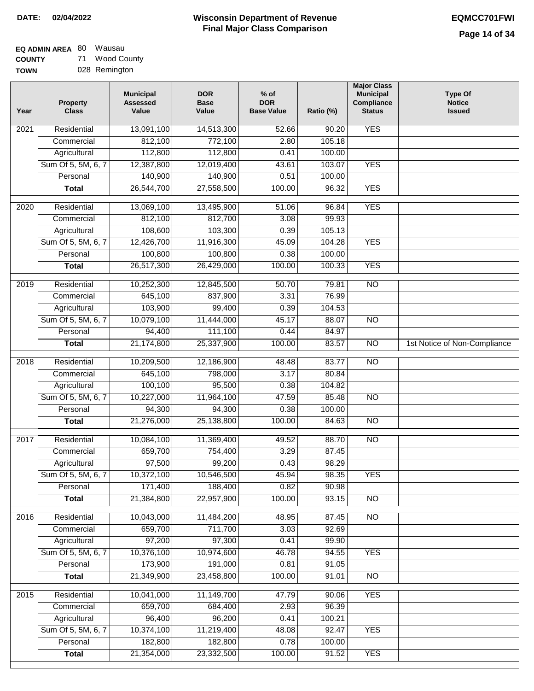#### **EQ ADMIN AREA** 80 Wausau **COUNTY** 71 Wood County

**TOWN** 028 Remington

| Year              | <b>Property</b><br><b>Class</b> | <b>Municipal</b><br><b>Assessed</b><br>Value | <b>DOR</b><br><b>Base</b><br>Value | $%$ of<br><b>DOR</b><br><b>Base Value</b> | Ratio (%) | <b>Major Class</b><br><b>Municipal</b><br>Compliance<br><b>Status</b> | <b>Type Of</b><br><b>Notice</b><br><b>Issued</b> |
|-------------------|---------------------------------|----------------------------------------------|------------------------------------|-------------------------------------------|-----------|-----------------------------------------------------------------------|--------------------------------------------------|
| $\overline{202}1$ | Residential                     | 13,091,100                                   | 14,513,300                         | 52.66                                     | 90.20     | <b>YES</b>                                                            |                                                  |
|                   | Commercial                      | 812,100                                      | 772,100                            | 2.80                                      | 105.18    |                                                                       |                                                  |
|                   | Agricultural                    | 112,800                                      | 112,800                            | 0.41                                      | 100.00    |                                                                       |                                                  |
|                   | Sum Of 5, 5M, 6, 7              | 12,387,800                                   | 12,019,400                         | 43.61                                     | 103.07    | <b>YES</b>                                                            |                                                  |
|                   | Personal                        | 140,900                                      | 140,900                            | 0.51                                      | 100.00    |                                                                       |                                                  |
|                   | <b>Total</b>                    | 26,544,700                                   | 27,558,500                         | 100.00                                    | 96.32     | <b>YES</b>                                                            |                                                  |
| $\overline{2020}$ | Residential                     | 13,069,100                                   | 13,495,900                         | 51.06                                     | 96.84     | <b>YES</b>                                                            |                                                  |
|                   | Commercial                      | 812,100                                      | 812,700                            | 3.08                                      | 99.93     |                                                                       |                                                  |
|                   | Agricultural                    | 108,600                                      | 103,300                            | 0.39                                      | 105.13    |                                                                       |                                                  |
|                   | Sum Of 5, 5M, 6, 7              | 12,426,700                                   | 11,916,300                         | 45.09                                     | 104.28    | <b>YES</b>                                                            |                                                  |
|                   | Personal                        | 100,800                                      | 100,800                            | 0.38                                      | 100.00    |                                                                       |                                                  |
|                   | <b>Total</b>                    | 26,517,300                                   | 26,429,000                         | 100.00                                    | 100.33    | <b>YES</b>                                                            |                                                  |
| 2019              | Residential                     | 10,252,300                                   | 12,845,500                         | 50.70                                     | 79.81     | $\overline{NO}$                                                       |                                                  |
|                   | Commercial                      | 645,100                                      | 837,900                            | 3.31                                      | 76.99     |                                                                       |                                                  |
|                   | Agricultural                    | 103,900                                      | 99,400                             | 0.39                                      | 104.53    |                                                                       |                                                  |
|                   | Sum Of 5, 5M, 6, 7              | 10,079,100                                   | 11,444,000                         | 45.17                                     | 88.07     | $\overline{NO}$                                                       |                                                  |
|                   | Personal                        | 94,400                                       | 111,100                            | 0.44                                      | 84.97     |                                                                       |                                                  |
|                   | <b>Total</b>                    | 21,174,800                                   | 25,337,900                         | 100.00                                    | 83.57     | $\overline{NO}$                                                       | 1st Notice of Non-Compliance                     |
| 2018              | Residential                     | 10,209,500                                   | 12,186,900                         | 48.48                                     | 83.77     | $\overline{NO}$                                                       |                                                  |
|                   | Commercial                      | 645,100                                      | 798,000                            | 3.17                                      | 80.84     |                                                                       |                                                  |
|                   | Agricultural                    | 100,100                                      | 95,500                             | 0.38                                      | 104.82    |                                                                       |                                                  |
|                   | Sum Of 5, 5M, 6, 7              | 10,227,000                                   | 11,964,100                         | 47.59                                     | 85.48     | $\overline{10}$                                                       |                                                  |
|                   | Personal                        | 94,300                                       | 94,300                             | 0.38                                      | 100.00    |                                                                       |                                                  |
|                   | <b>Total</b>                    | 21,276,000                                   | 25,138,800                         | 100.00                                    | 84.63     | <b>NO</b>                                                             |                                                  |
| $\overline{2017}$ | Residential                     | 10,084,100                                   | 11,369,400                         | 49.52                                     | 88.70     | $\overline{NO}$                                                       |                                                  |
|                   | Commercial                      | 659,700                                      | 754,400                            | 3.29                                      | 87.45     |                                                                       |                                                  |
|                   | Agricultural                    | 97,500                                       | 99,200                             | 0.43                                      | 98.29     |                                                                       |                                                  |
|                   | Sum Of 5, 5M, 6, 7              | 10,372,100                                   | 10,546,500                         | 45.94                                     | 98.35     | <b>YES</b>                                                            |                                                  |
|                   | Personal                        | 171,400                                      | 188,400                            | 0.82                                      | 90.98     |                                                                       |                                                  |
|                   | <b>Total</b>                    | 21,384,800                                   | 22,957,900                         | 100.00                                    | 93.15     | <b>NO</b>                                                             |                                                  |
| 2016              | Residential                     | 10,043,000                                   | 11,484,200                         | 48.95                                     | 87.45     | $\overline{NO}$                                                       |                                                  |
|                   | Commercial                      | 659,700                                      | 711,700                            | 3.03                                      | 92.69     |                                                                       |                                                  |
|                   | Agricultural                    | 97,200                                       | 97,300                             | 0.41                                      | 99.90     |                                                                       |                                                  |
|                   | Sum Of 5, 5M, 6, 7              | 10,376,100                                   | 10,974,600                         | 46.78                                     | 94.55     | <b>YES</b>                                                            |                                                  |
|                   | Personal                        | 173,900                                      | 191,000                            | 0.81                                      | 91.05     |                                                                       |                                                  |
|                   | <b>Total</b>                    | 21,349,900                                   | 23,458,800                         | 100.00                                    | 91.01     | N <sub>O</sub>                                                        |                                                  |
| 2015              | Residential                     | 10,041,000                                   | 11,149,700                         | 47.79                                     | 90.06     | <b>YES</b>                                                            |                                                  |
|                   | Commercial                      | 659,700                                      | 684,400                            | 2.93                                      | 96.39     |                                                                       |                                                  |
|                   | Agricultural                    | 96,400                                       | 96,200                             | 0.41                                      | 100.21    |                                                                       |                                                  |
|                   | Sum Of 5, 5M, 6, 7              | 10,374,100                                   | 11,219,400                         | 48.08                                     | 92.47     | <b>YES</b>                                                            |                                                  |
|                   | Personal                        | 182,800                                      | 182,800                            | 0.78                                      | 100.00    |                                                                       |                                                  |
|                   | <b>Total</b>                    | 21,354,000                                   | 23,332,500                         | 100.00                                    | 91.52     | <b>YES</b>                                                            |                                                  |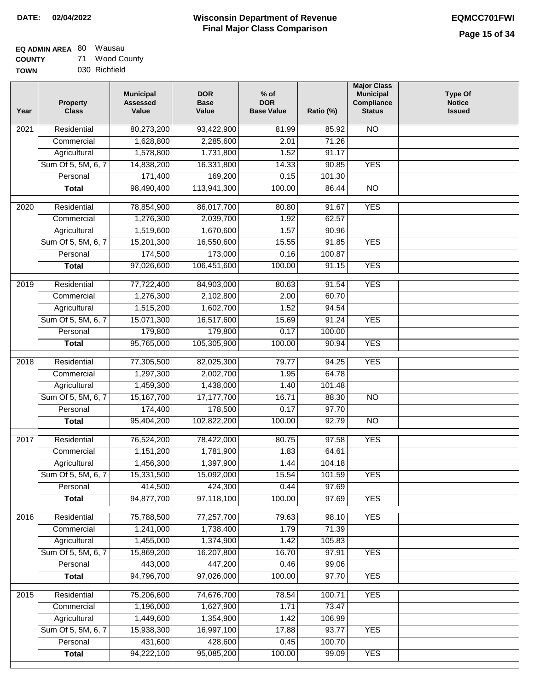| <b>EQ ADMIN AREA 80 Wausau</b> |                |
|--------------------------------|----------------|
| <b>COUNTY</b>                  | 71 Wood County |
| <b>TOWN</b>                    | 030 Richfield  |

030 Richfield

| Year              | <b>Property</b><br><b>Class</b> | <b>Municipal</b><br><b>Assessed</b><br>Value | <b>DOR</b><br><b>Base</b><br>Value | $%$ of<br><b>DOR</b><br><b>Base Value</b> | Ratio (%)       | <b>Major Class</b><br><b>Municipal</b><br>Compliance<br><b>Status</b> | <b>Type Of</b><br><b>Notice</b><br><b>Issued</b> |
|-------------------|---------------------------------|----------------------------------------------|------------------------------------|-------------------------------------------|-----------------|-----------------------------------------------------------------------|--------------------------------------------------|
| $\overline{202}1$ | Residential                     | 80,273,200                                   | 93,422,900                         | 81.99                                     | 85.92           | N <sub>O</sub>                                                        |                                                  |
|                   | Commercial                      | 1,628,800                                    | 2,285,600                          | 2.01                                      | 71.26           |                                                                       |                                                  |
|                   | Agricultural                    | 1,578,800                                    | 1,731,800                          | 1.52                                      | 91.17           |                                                                       |                                                  |
|                   | Sum Of 5, 5M, 6, 7              | 14,838,200                                   | 16,331,800                         | 14.33                                     | 90.85           | <b>YES</b>                                                            |                                                  |
|                   | Personal                        | 171,400                                      | 169,200                            | 0.15                                      | 101.30          |                                                                       |                                                  |
|                   | <b>Total</b>                    | 98,490,400                                   | 113,941,300                        | 100.00                                    | 86.44           | <b>NO</b>                                                             |                                                  |
| 2020              | Residential                     | 78,854,900                                   | 86,017,700                         | 80.80                                     | 91.67           | <b>YES</b>                                                            |                                                  |
|                   | Commercial                      | 1,276,300                                    | 2,039,700                          | 1.92                                      | 62.57           |                                                                       |                                                  |
|                   | Agricultural                    | 1,519,600                                    | 1,670,600                          | 1.57                                      | 90.96           |                                                                       |                                                  |
|                   | Sum Of 5, 5M, 6, 7              | 15,201,300                                   | 16,550,600                         | 15.55                                     | 91.85           | <b>YES</b>                                                            |                                                  |
|                   | Personal                        | 174,500                                      | 173,000                            | 0.16                                      | 100.87          |                                                                       |                                                  |
|                   | <b>Total</b>                    | 97,026,600                                   | 106,451,600                        | 100.00                                    | 91.15           | <b>YES</b>                                                            |                                                  |
| 2019              | Residential                     | 77,722,400                                   | 84,903,000                         | 80.63                                     | 91.54           | <b>YES</b>                                                            |                                                  |
|                   | Commercial                      | 1,276,300                                    | 2,102,800                          | 2.00                                      | 60.70           |                                                                       |                                                  |
|                   | Agricultural                    | 1,515,200                                    | 1,602,700                          | 1.52                                      | 94.54           |                                                                       |                                                  |
|                   | Sum Of 5, 5M, 6, 7              | 15,071,300                                   | 16,517,600                         | 15.69                                     | 91.24           | <b>YES</b>                                                            |                                                  |
|                   | Personal                        | 179,800                                      | 179,800                            | 0.17                                      | 100.00          |                                                                       |                                                  |
|                   | <b>Total</b>                    | 95,765,000                                   | 105,305,900                        | 100.00                                    | 90.94           | <b>YES</b>                                                            |                                                  |
|                   |                                 |                                              |                                    |                                           |                 |                                                                       |                                                  |
| 2018              | Residential                     | 77,305,500                                   | 82,025,300                         | 79.77                                     | 94.25           | <b>YES</b>                                                            |                                                  |
|                   | Commercial                      | 1,297,300                                    | 2,002,700                          | 1.95                                      | 64.78           |                                                                       |                                                  |
|                   | Agricultural                    | 1,459,300                                    | 1,438,000                          | 1.40                                      | 101.48          |                                                                       |                                                  |
|                   | Sum Of 5, 5M, 6, 7              | 15,167,700                                   | 17,177,700                         | 16.71                                     | 88.30           | $\overline{NO}$                                                       |                                                  |
|                   | Personal                        | 174,400                                      | 178,500                            | 0.17                                      | 97.70           |                                                                       |                                                  |
|                   | <b>Total</b>                    | 95,404,200                                   | 102,822,200                        | 100.00                                    | 92.79           | $\overline{NO}$                                                       |                                                  |
| 2017              | Residential                     | 76,524,200                                   | 78,422,000                         | 80.75                                     | 97.58           | <b>YES</b>                                                            |                                                  |
|                   | Commercial                      | 1,151,200                                    | 1,781,900                          | 1.83                                      | 64.61           |                                                                       |                                                  |
|                   | Agricultural                    | 1,456,300                                    | 1,397,900                          | 1.44                                      | 104.18          |                                                                       |                                                  |
|                   | Sum Of 5, 5M, 6, 7              | 15,331,500                                   | 15,092,000                         | 15.54                                     | 101.59          | <b>YES</b>                                                            |                                                  |
|                   | Personal                        | 414,500                                      | 424,300                            | 0.44                                      | 97.69           |                                                                       |                                                  |
|                   | <b>Total</b>                    | 94,877,700                                   | 97,118,100                         | 100.00                                    | 97.69           | <b>YES</b>                                                            |                                                  |
| 2016              | Residential                     | 75,788,500                                   | 77,257,700                         | 79.63                                     | 98.10           | <b>YES</b>                                                            |                                                  |
|                   | Commercial                      | 1,241,000                                    | 1,738,400                          | 1.79                                      | 71.39           |                                                                       |                                                  |
|                   | Agricultural                    | 1,455,000                                    | 1,374,900                          | 1.42                                      | 105.83          |                                                                       |                                                  |
|                   | Sum Of 5, 5M, 6, 7              | 15,869,200                                   | 16,207,800                         | 16.70                                     | 97.91           | <b>YES</b>                                                            |                                                  |
|                   | Personal                        | 443,000                                      | 447,200                            | 0.46                                      | 99.06           |                                                                       |                                                  |
|                   | <b>Total</b>                    | 94,796,700                                   | 97,026,000                         | 100.00                                    | 97.70           | <b>YES</b>                                                            |                                                  |
|                   | Residential                     |                                              |                                    | 78.54                                     | 100.71          | <b>YES</b>                                                            |                                                  |
| 2015              |                                 | 75,206,600                                   | 74,676,700                         | 1.71                                      |                 |                                                                       |                                                  |
|                   | Commercial<br>Agricultural      | 1,196,000<br>1,449,600                       | 1,627,900<br>1,354,900             | 1.42                                      | 73.47<br>106.99 |                                                                       |                                                  |
|                   | Sum Of 5, 5M, 6, 7              | 15,938,300                                   | 16,997,100                         | 17.88                                     | 93.77           | <b>YES</b>                                                            |                                                  |
|                   | Personal                        | 431,600                                      | 428,600                            | 0.45                                      | 100.70          |                                                                       |                                                  |
|                   | <b>Total</b>                    | 94,222,100                                   | 95,085,200                         | 100.00                                    | 99.09           | <b>YES</b>                                                            |                                                  |
|                   |                                 |                                              |                                    |                                           |                 |                                                                       |                                                  |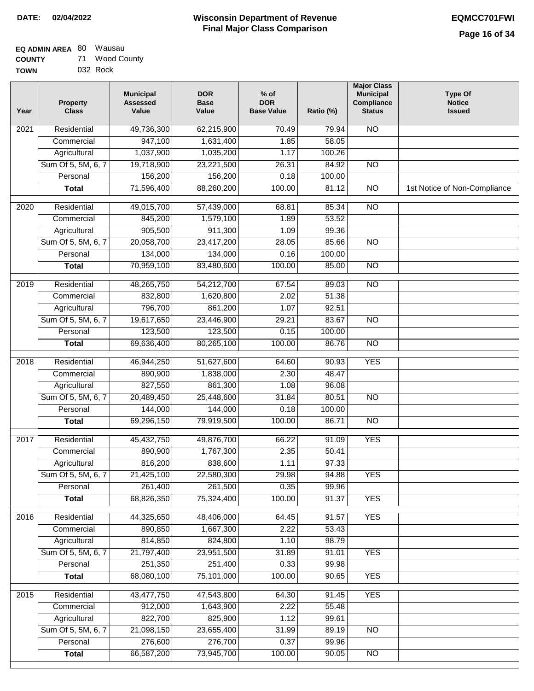| <b>EQ ADMIN AREA 80 Wausau</b> |                |
|--------------------------------|----------------|
| <b>COUNTY</b>                  | 71 Wood County |
| <b>TOWN</b>                    | 032 Rock       |

| Year              | <b>Property</b><br><b>Class</b>    | <b>Municipal</b><br><b>Assessed</b><br>Value | <b>DOR</b><br><b>Base</b><br>Value | $%$ of<br><b>DOR</b><br><b>Base Value</b> | Ratio (%)      | <b>Major Class</b><br><b>Municipal</b><br>Compliance<br><b>Status</b> | <b>Type Of</b><br><b>Notice</b><br><b>Issued</b> |
|-------------------|------------------------------------|----------------------------------------------|------------------------------------|-------------------------------------------|----------------|-----------------------------------------------------------------------|--------------------------------------------------|
| 2021              | Residential                        | 49,736,300                                   | 62,215,900                         | 70.49                                     | 79.94          | $\overline{NO}$                                                       |                                                  |
|                   | Commercial                         | 947,100                                      | 1,631,400                          | 1.85                                      | 58.05          |                                                                       |                                                  |
|                   | Agricultural                       | 1,037,900                                    | 1,035,200                          | 1.17                                      | 100.26         |                                                                       |                                                  |
|                   | Sum Of 5, 5M, 6, 7                 | 19,718,900                                   | 23,221,500                         | 26.31                                     | 84.92          | $\overline{NO}$                                                       |                                                  |
|                   | Personal                           | 156,200                                      | 156,200                            | 0.18                                      | 100.00         |                                                                       |                                                  |
|                   | <b>Total</b>                       | 71,596,400                                   | 88,260,200                         | 100.00                                    | 81.12          | $\overline{NO}$                                                       | 1st Notice of Non-Compliance                     |
| $\overline{2020}$ | Residential                        | 49,015,700                                   | 57,439,000                         | 68.81                                     | 85.34          | $\overline{NO}$                                                       |                                                  |
|                   | Commercial                         | 845,200                                      | 1,579,100                          | 1.89                                      | 53.52          |                                                                       |                                                  |
|                   | Agricultural                       | 905,500                                      | 911,300                            | 1.09                                      | 99.36          |                                                                       |                                                  |
|                   | Sum Of 5, 5M, 6, 7                 | 20,058,700                                   | 23,417,200                         | 28.05                                     | 85.66          | $\overline{NO}$                                                       |                                                  |
|                   | Personal                           | 134,000                                      | 134,000                            | 0.16                                      | 100.00         |                                                                       |                                                  |
|                   | <b>Total</b>                       | 70,959,100                                   | 83,480,600                         | 100.00                                    | 85.00          | $\overline{NO}$                                                       |                                                  |
| 2019              | Residential                        | 48,265,750                                   | 54,212,700                         | 67.54                                     | 89.03          | $\overline{NO}$                                                       |                                                  |
|                   | Commercial                         | 832,800                                      | 1,620,800                          | 2.02                                      | 51.38          |                                                                       |                                                  |
|                   | Agricultural                       | 796,700                                      | 861,200                            | 1.07                                      | 92.51          |                                                                       |                                                  |
|                   | Sum Of 5, 5M, 6, 7                 | 19,617,650                                   | 23,446,900                         | 29.21                                     | 83.67          | $\overline{NO}$                                                       |                                                  |
|                   | Personal                           | 123,500                                      | 123,500                            | 0.15                                      | 100.00         |                                                                       |                                                  |
|                   | <b>Total</b>                       | 69,636,400                                   | 80,265,100                         | 100.00                                    | 86.76          | $\overline{NO}$                                                       |                                                  |
| 2018              | Residential                        | 46,944,250                                   | 51,627,600                         | 64.60                                     | 90.93          | <b>YES</b>                                                            |                                                  |
|                   | Commercial                         | 890,900                                      | 1,838,000                          | 2.30                                      | 48.47          |                                                                       |                                                  |
|                   | Agricultural                       | 827,550                                      | 861,300                            | 1.08                                      | 96.08          |                                                                       |                                                  |
|                   | Sum Of 5, 5M, 6, 7                 | 20,489,450                                   | 25,448,600                         | 31.84                                     | 80.51          | NO                                                                    |                                                  |
|                   | Personal                           | 144,000                                      | 144,000                            | 0.18                                      | 100.00         |                                                                       |                                                  |
|                   | <b>Total</b>                       | 69,296,150                                   | 79,919,500                         | 100.00                                    | 86.71          | <b>NO</b>                                                             |                                                  |
| 2017              | Residential                        | 45,432,750                                   | 49,876,700                         | 66.22                                     | 91.09          | <b>YES</b>                                                            |                                                  |
|                   | Commercial                         | 890,900                                      | 1,767,300                          | 2.35                                      | 50.41          |                                                                       |                                                  |
|                   | Agricultural                       | 816,200                                      | 838,600                            | 1.11                                      | 97.33          |                                                                       |                                                  |
|                   | Sum Of 5, 5M, 6, 7                 | 21,425,100                                   | 22,580,300                         | 29.98                                     | 94.88          | <b>YES</b>                                                            |                                                  |
|                   | Personal                           | 261,400                                      | 261,500                            | 0.35                                      | 99.96          |                                                                       |                                                  |
|                   | <b>Total</b>                       | 68,826,350                                   | 75,324,400                         | 100.00                                    | 91.37          | <b>YES</b>                                                            |                                                  |
| 2016              | Residential                        | 44,325,650                                   | 48,406,000                         | 64.45                                     | 91.57          | <b>YES</b>                                                            |                                                  |
|                   | Commercial                         | 890,850                                      | 1,667,300                          | 2.22                                      | 53.43          |                                                                       |                                                  |
|                   | Agricultural                       | 814,850                                      | 824,800                            | 1.10                                      | 98.79          |                                                                       |                                                  |
|                   | Sum Of 5, 5M, 6, 7                 | 21,797,400                                   | 23,951,500                         | 31.89                                     | 91.01          | <b>YES</b>                                                            |                                                  |
|                   | Personal                           | 251,350                                      | 251,400                            | 0.33                                      | 99.98          |                                                                       |                                                  |
|                   | <b>Total</b>                       | 68,080,100                                   | 75,101,000                         | 100.00                                    | 90.65          | <b>YES</b>                                                            |                                                  |
|                   |                                    |                                              |                                    |                                           |                |                                                                       |                                                  |
| 2015              | Residential                        | 43,477,750                                   | 47,543,800                         | 64.30                                     | 91.45          | <b>YES</b>                                                            |                                                  |
|                   | Commercial                         | 912,000<br>822,700                           | 1,643,900<br>825,900               | 2.22<br>1.12                              | 55.48<br>99.61 |                                                                       |                                                  |
|                   | Agricultural<br>Sum Of 5, 5M, 6, 7 | 21,098,150                                   | 23,655,400                         | 31.99                                     | 89.19          | <b>NO</b>                                                             |                                                  |
|                   | Personal                           | 276,600                                      | 276,700                            | 0.37                                      | 99.96          |                                                                       |                                                  |
|                   | <b>Total</b>                       | 66,587,200                                   | 73,945,700                         | 100.00                                    | 90.05          | NO                                                                    |                                                  |
|                   |                                    |                                              |                                    |                                           |                |                                                                       |                                                  |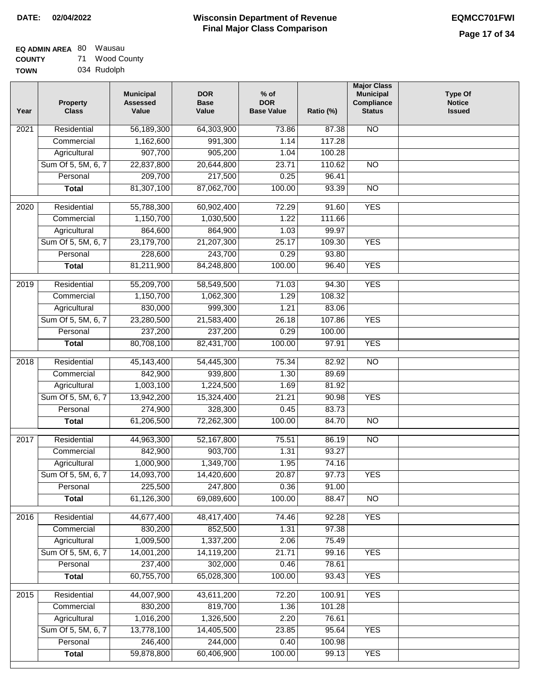| <b>EQ ADMIN AREA 80 Wausau</b> |                |
|--------------------------------|----------------|
| <b>COUNTY</b>                  | 71 Wood County |
| <b>TOWN</b>                    | 034 Rudolph    |

034 Rudolph

| Year              | <b>Property</b><br><b>Class</b> | <b>Municipal</b><br><b>Assessed</b><br>Value | <b>DOR</b><br><b>Base</b><br>Value | % of<br><b>DOR</b><br><b>Base Value</b> | Ratio (%) | <b>Major Class</b><br><b>Municipal</b><br>Compliance<br><b>Status</b> | <b>Type Of</b><br><b>Notice</b><br><b>Issued</b> |
|-------------------|---------------------------------|----------------------------------------------|------------------------------------|-----------------------------------------|-----------|-----------------------------------------------------------------------|--------------------------------------------------|
| $\overline{202}1$ | Residential                     | 56,189,300                                   | 64,303,900                         | 73.86                                   | 87.38     | <b>NO</b>                                                             |                                                  |
|                   | Commercial                      | 1,162,600                                    | 991,300                            | 1.14                                    | 117.28    |                                                                       |                                                  |
|                   | Agricultural                    | 907,700                                      | 905,200                            | 1.04                                    | 100.28    |                                                                       |                                                  |
|                   | Sum Of 5, 5M, 6, 7              | 22,837,800                                   | 20,644,800                         | 23.71                                   | 110.62    | $\overline{NO}$                                                       |                                                  |
|                   | Personal                        | 209,700                                      | 217,500                            | 0.25                                    | 96.41     |                                                                       |                                                  |
|                   | <b>Total</b>                    | 81,307,100                                   | 87,062,700                         | 100.00                                  | 93.39     | $\overline{NO}$                                                       |                                                  |
| $\overline{2020}$ | Residential                     | 55,788,300                                   | 60,902,400                         | 72.29                                   | 91.60     | <b>YES</b>                                                            |                                                  |
|                   | Commercial                      | 1,150,700                                    | 1,030,500                          | 1.22                                    | 111.66    |                                                                       |                                                  |
|                   | Agricultural                    | 864,600                                      | 864,900                            | 1.03                                    | 99.97     |                                                                       |                                                  |
|                   | Sum Of 5, 5M, 6, 7              | 23,179,700                                   | 21,207,300                         | 25.17                                   | 109.30    | <b>YES</b>                                                            |                                                  |
|                   | Personal                        | 228,600                                      | 243,700                            | 0.29                                    | 93.80     |                                                                       |                                                  |
|                   | <b>Total</b>                    | 81,211,900                                   | 84,248,800                         | 100.00                                  | 96.40     | <b>YES</b>                                                            |                                                  |
| 2019              | Residential                     | 55,209,700                                   | 58,549,500                         | 71.03                                   | 94.30     | <b>YES</b>                                                            |                                                  |
|                   | Commercial                      | 1,150,700                                    | 1,062,300                          | 1.29                                    | 108.32    |                                                                       |                                                  |
|                   | Agricultural                    | 830,000                                      | 999,300                            | 1.21                                    | 83.06     |                                                                       |                                                  |
|                   | Sum Of 5, 5M, 6, 7              | 23,280,500                                   | 21,583,400                         | 26.18                                   | 107.86    | <b>YES</b>                                                            |                                                  |
|                   | Personal                        | 237,200                                      | 237,200                            | 0.29                                    | 100.00    |                                                                       |                                                  |
|                   | <b>Total</b>                    | 80,708,100                                   | 82,431,700                         | 100.00                                  | 97.91     | <b>YES</b>                                                            |                                                  |
|                   |                                 |                                              |                                    |                                         |           |                                                                       |                                                  |
| 2018              | Residential                     | 45,143,400                                   | 54,445,300                         | 75.34                                   | 82.92     | $\overline{10}$                                                       |                                                  |
|                   | Commercial                      | 842,900                                      | 939,800                            | 1.30                                    | 89.69     |                                                                       |                                                  |
|                   | Agricultural                    | 1,003,100                                    | 1,224,500                          | 1.69                                    | 81.92     |                                                                       |                                                  |
|                   | Sum Of 5, 5M, 6, 7              | 13,942,200                                   | 15,324,400                         | 21.21                                   | 90.98     | <b>YES</b>                                                            |                                                  |
|                   | Personal                        | 274,900                                      | 328,300                            | 0.45                                    | 83.73     |                                                                       |                                                  |
|                   | <b>Total</b>                    | 61,206,500                                   | 72,262,300                         | 100.00                                  | 84.70     | <b>NO</b>                                                             |                                                  |
| $\overline{2017}$ | Residential                     | 44,963,300                                   | 52,167,800                         | 75.51                                   | 86.19     | <b>NO</b>                                                             |                                                  |
|                   | Commercial                      | 842,900                                      | 903,700                            | 1.31                                    | 93.27     |                                                                       |                                                  |
|                   | Agricultural                    | 1,000,900                                    | 1,349,700                          | 1.95                                    | 74.16     |                                                                       |                                                  |
|                   | Sum Of 5, 5M, 6, 7              | 14,093,700                                   | 14,420,600                         | 20.87                                   | 97.73     | <b>YES</b>                                                            |                                                  |
|                   | Personal                        | 225,500                                      | 247,800                            | 0.36                                    | 91.00     |                                                                       |                                                  |
|                   | <b>Total</b>                    | 61,126,300                                   | 69,089,600                         | 100.00                                  | 88.47     | <b>NO</b>                                                             |                                                  |
| 2016              | Residential                     | 44,677,400                                   | 48,417,400                         | 74.46                                   | 92.28     | <b>YES</b>                                                            |                                                  |
|                   | Commercial                      | 830,200                                      | 852,500                            | 1.31                                    | 97.38     |                                                                       |                                                  |
|                   | Agricultural                    | 1,009,500                                    | 1,337,200                          | 2.06                                    | 75.49     |                                                                       |                                                  |
|                   | Sum Of 5, 5M, 6, 7              | 14,001,200                                   | 14,119,200                         | 21.71                                   | 99.16     | <b>YES</b>                                                            |                                                  |
|                   | Personal                        | 237,400                                      | 302,000                            | 0.46                                    | 78.61     |                                                                       |                                                  |
|                   | <b>Total</b>                    | 60,755,700                                   | 65,028,300                         | 100.00                                  | 93.43     | <b>YES</b>                                                            |                                                  |
|                   | Residential                     |                                              |                                    | 72.20                                   | 100.91    | <b>YES</b>                                                            |                                                  |
| 2015              | Commercial                      | 44,007,900<br>830,200                        | 43,611,200<br>819,700              | 1.36                                    | 101.28    |                                                                       |                                                  |
|                   | Agricultural                    | 1,016,200                                    | 1,326,500                          | 2.20                                    | 76.61     |                                                                       |                                                  |
|                   | Sum Of 5, 5M, 6, 7              | 13,778,100                                   | 14,405,500                         | 23.85                                   | 95.64     | <b>YES</b>                                                            |                                                  |
|                   | Personal                        | 246,400                                      | 244,000                            | 0.40                                    | 100.98    |                                                                       |                                                  |
|                   | <b>Total</b>                    | 59,878,800                                   | 60,406,900                         | 100.00                                  | 99.13     | <b>YES</b>                                                            |                                                  |
|                   |                                 |                                              |                                    |                                         |           |                                                                       |                                                  |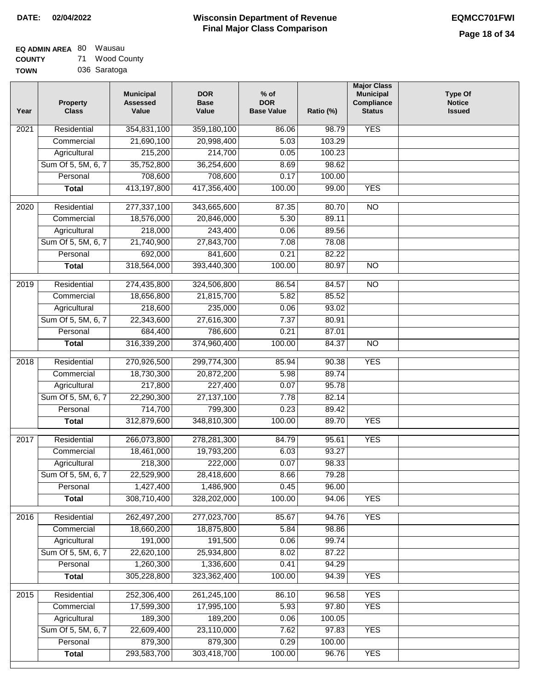| EQ ADMIN AREA 80 |    | Wausau       |
|------------------|----|--------------|
| <b>COUNTY</b>    | 71 | Wood Coun    |
| <b>TOWN</b>      |    | 036 Saratoga |

| Υ | 71 Wood County |
|---|----------------|
|   | 036 Saratoga   |

| Year | <b>Property</b><br><b>Class</b> | <b>Municipal</b><br><b>Assessed</b><br>Value | <b>DOR</b><br><b>Base</b><br>Value | $%$ of<br><b>DOR</b><br><b>Base Value</b> | Ratio (%) | <b>Major Class</b><br><b>Municipal</b><br>Compliance<br><b>Status</b> | <b>Type Of</b><br><b>Notice</b><br><b>Issued</b> |
|------|---------------------------------|----------------------------------------------|------------------------------------|-------------------------------------------|-----------|-----------------------------------------------------------------------|--------------------------------------------------|
| 2021 | Residential                     | 354,831,100                                  | 359,180,100                        | 86.06                                     | 98.79     | <b>YES</b>                                                            |                                                  |
|      | Commercial                      | 21,690,100                                   | 20,998,400                         | 5.03                                      | 103.29    |                                                                       |                                                  |
|      | Agricultural                    | 215,200                                      | 214,700                            | 0.05                                      | 100.23    |                                                                       |                                                  |
|      | Sum Of 5, 5M, 6, 7              | 35,752,800                                   | 36,254,600                         | 8.69                                      | 98.62     |                                                                       |                                                  |
|      | Personal                        | 708,600                                      | 708,600                            | 0.17                                      | 100.00    |                                                                       |                                                  |
|      | <b>Total</b>                    | 413,197,800                                  | 417,356,400                        | 100.00                                    | 99.00     | <b>YES</b>                                                            |                                                  |
| 2020 | Residential                     | 277,337,100                                  | 343,665,600                        | 87.35                                     | 80.70     | $\overline{3}$                                                        |                                                  |
|      | Commercial                      | 18,576,000                                   | 20,846,000                         | 5.30                                      | 89.11     |                                                                       |                                                  |
|      | Agricultural                    | 218,000                                      | 243,400                            | 0.06                                      | 89.56     |                                                                       |                                                  |
|      | Sum Of 5, 5M, 6, 7              | 21,740,900                                   | 27,843,700                         | 7.08                                      | 78.08     |                                                                       |                                                  |
|      | Personal                        | 692,000                                      | 841,600                            | 0.21                                      | 82.22     |                                                                       |                                                  |
|      | <b>Total</b>                    | 318,564,000                                  | 393,440,300                        | 100.00                                    | 80.97     | $\overline{NO}$                                                       |                                                  |
|      |                                 |                                              |                                    |                                           |           |                                                                       |                                                  |
| 2019 | Residential                     | 274,435,800                                  | 324,506,800                        | 86.54                                     | 84.57     | $\overline{10}$                                                       |                                                  |
|      | Commercial                      | 18,656,800                                   | 21,815,700                         | 5.82                                      | 85.52     |                                                                       |                                                  |
|      | Agricultural                    | 218,600                                      | 235,000                            | 0.06                                      | 93.02     |                                                                       |                                                  |
|      | Sum Of 5, 5M, 6, 7              | 22,343,600                                   | 27,616,300                         | 7.37                                      | 80.91     |                                                                       |                                                  |
|      | Personal                        | 684,400                                      | 786,600                            | 0.21                                      | 87.01     |                                                                       |                                                  |
|      | <b>Total</b>                    | 316,339,200                                  | 374,960,400                        | 100.00                                    | 84.37     | <b>NO</b>                                                             |                                                  |
| 2018 | Residential                     | 270,926,500                                  | 299,774,300                        | 85.94                                     | 90.38     | <b>YES</b>                                                            |                                                  |
|      | Commercial                      | 18,730,300                                   | 20,872,200                         | 5.98                                      | 89.74     |                                                                       |                                                  |
|      | Agricultural                    | 217,800                                      | 227,400                            | 0.07                                      | 95.78     |                                                                       |                                                  |
|      | Sum Of 5, 5M, 6, 7              | 22,290,300                                   | 27,137,100                         | 7.78                                      | 82.14     |                                                                       |                                                  |
|      | Personal                        | 714,700                                      | 799,300                            | 0.23                                      | 89.42     |                                                                       |                                                  |
|      | <b>Total</b>                    | 312,879,600                                  | 348,810,300                        | 100.00                                    | 89.70     | <b>YES</b>                                                            |                                                  |
| 2017 | Residential                     | 266,073,800                                  | 278,281,300                        | 84.79                                     | 95.61     | <b>YES</b>                                                            |                                                  |
|      | Commercial                      | 18,461,000                                   | 19,793,200                         | 6.03                                      | 93.27     |                                                                       |                                                  |
|      | Agricultural                    | 218,300                                      | 222,000                            | 0.07                                      | 98.33     |                                                                       |                                                  |
|      | Sum Of 5, 5M, 6, 7              | 22,529,900                                   | 28,418,600                         | 8.66                                      | 79.28     |                                                                       |                                                  |
|      | Personal                        | 1,427,400                                    | 1,486,900                          | 0.45                                      | 96.00     |                                                                       |                                                  |
|      | <b>Total</b>                    | 308,710,400                                  | 328,202,000                        | 100.00                                    | 94.06     | <b>YES</b>                                                            |                                                  |
| 2016 | Residential                     | 262,497,200                                  | 277,023,700                        | 85.67                                     | 94.76     | <b>YES</b>                                                            |                                                  |
|      | Commercial                      | 18,660,200                                   | 18,875,800                         | 5.84                                      | 98.86     |                                                                       |                                                  |
|      | Agricultural                    | 191,000                                      | 191,500                            | 0.06                                      | 99.74     |                                                                       |                                                  |
|      | Sum Of 5, 5M, 6, 7              | 22,620,100                                   | 25,934,800                         | 8.02                                      | 87.22     |                                                                       |                                                  |
|      | Personal                        | 1,260,300                                    | 1,336,600                          | 0.41                                      | 94.29     |                                                                       |                                                  |
|      | <b>Total</b>                    | 305,228,800                                  | 323,362,400                        | 100.00                                    | 94.39     | <b>YES</b>                                                            |                                                  |
|      |                                 |                                              |                                    |                                           |           |                                                                       |                                                  |
| 2015 | Residential                     | 252,306,400                                  | 261,245,100                        | 86.10                                     | 96.58     | <b>YES</b>                                                            |                                                  |
|      | Commercial                      | 17,599,300                                   | 17,995,100                         | 5.93                                      | 97.80     | <b>YES</b>                                                            |                                                  |
|      | Agricultural                    | 189,300                                      | 189,200                            | 0.06                                      | 100.05    |                                                                       |                                                  |
|      | Sum Of 5, 5M, 6, 7              | 22,609,400                                   | 23,110,000                         | 7.62                                      | 97.83     | <b>YES</b>                                                            |                                                  |
|      | Personal                        | 879,300                                      | 879,300                            | 0.29                                      | 100.00    |                                                                       |                                                  |
|      | <b>Total</b>                    | 293,583,700                                  | 303,418,700                        | 100.00                                    | 96.76     | <b>YES</b>                                                            |                                                  |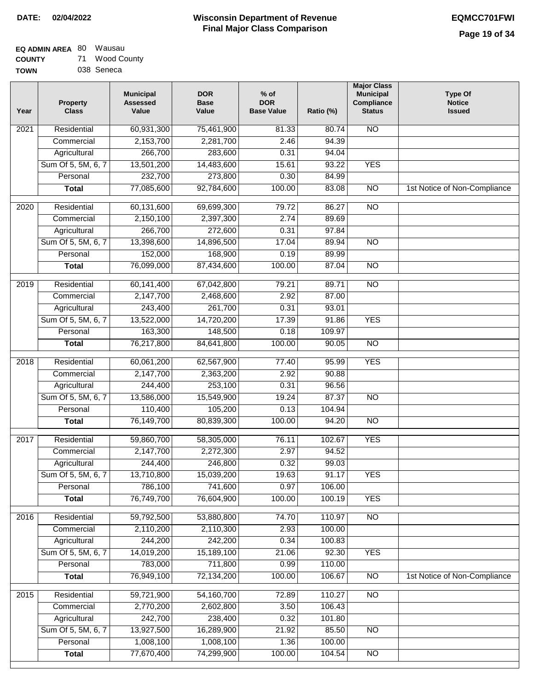| <b>EQ ADMIN AREA 80 Wausau</b> |    |             |
|--------------------------------|----|-------------|
| <b>COUNTY</b>                  | 71 | Wood County |

**TOWN** 038 Seneca

| Year              | <b>Property</b><br><b>Class</b> | <b>Municipal</b><br><b>Assessed</b><br>Value | <b>DOR</b><br><b>Base</b><br>Value | $%$ of<br><b>DOR</b><br><b>Base Value</b> | Ratio (%) | <b>Major Class</b><br><b>Municipal</b><br>Compliance<br><b>Status</b> | <b>Type Of</b><br><b>Notice</b><br><b>Issued</b> |
|-------------------|---------------------------------|----------------------------------------------|------------------------------------|-------------------------------------------|-----------|-----------------------------------------------------------------------|--------------------------------------------------|
| $\overline{202}1$ | Residential                     | 60,931,300                                   | 75,461,900                         | 81.33                                     | 80.74     | N <sub>O</sub>                                                        |                                                  |
|                   | Commercial                      | 2,153,700                                    | 2,281,700                          | 2.46                                      | 94.39     |                                                                       |                                                  |
|                   | Agricultural                    | 266,700                                      | 283,600                            | 0.31                                      | 94.04     |                                                                       |                                                  |
|                   | Sum Of 5, 5M, 6, 7              | 13,501,200                                   | 14,483,600                         | 15.61                                     | 93.22     | <b>YES</b>                                                            |                                                  |
|                   | Personal                        | 232,700                                      | 273,800                            | 0.30                                      | 84.99     |                                                                       |                                                  |
|                   | <b>Total</b>                    | 77,085,600                                   | 92,784,600                         | 100.00                                    | 83.08     | $\overline{NO}$                                                       | 1st Notice of Non-Compliance                     |
| $\overline{2020}$ | Residential                     | 60,131,600                                   | 69,699,300                         | 79.72                                     | 86.27     | $\overline{NO}$                                                       |                                                  |
|                   | Commercial                      | 2,150,100                                    | 2,397,300                          | 2.74                                      | 89.69     |                                                                       |                                                  |
|                   | Agricultural                    | 266,700                                      | 272,600                            | 0.31                                      | 97.84     |                                                                       |                                                  |
|                   | Sum Of 5, 5M, 6, 7              | 13,398,600                                   | 14,896,500                         | 17.04                                     | 89.94     | $\overline{NO}$                                                       |                                                  |
|                   | Personal                        | 152,000                                      | 168,900                            | 0.19                                      | 89.99     |                                                                       |                                                  |
|                   | <b>Total</b>                    | 76,099,000                                   | 87,434,600                         | 100.00                                    | 87.04     | $\overline{NO}$                                                       |                                                  |
| 2019              | Residential                     | 60,141,400                                   | 67,042,800                         | 79.21                                     | 89.71     | $\overline{10}$                                                       |                                                  |
|                   | Commercial                      | 2,147,700                                    | 2,468,600                          | 2.92                                      | 87.00     |                                                                       |                                                  |
|                   | Agricultural                    | 243,400                                      | 261,700                            | 0.31                                      | 93.01     |                                                                       |                                                  |
|                   | Sum Of 5, 5M, 6, 7              | 13,522,000                                   | 14,720,200                         | 17.39                                     | 91.86     | <b>YES</b>                                                            |                                                  |
|                   | Personal                        | 163,300                                      | 148,500                            | 0.18                                      | 109.97    |                                                                       |                                                  |
|                   | <b>Total</b>                    | 76,217,800                                   | 84,641,800                         | 100.00                                    | 90.05     | $\overline{NO}$                                                       |                                                  |
| 2018              | Residential                     | 60,061,200                                   | 62,567,900                         | 77.40                                     | 95.99     | <b>YES</b>                                                            |                                                  |
|                   | Commercial                      | 2,147,700                                    | 2,363,200                          | 2.92                                      | 90.88     |                                                                       |                                                  |
|                   | Agricultural                    | 244,400                                      | 253,100                            | 0.31                                      | 96.56     |                                                                       |                                                  |
|                   | Sum Of 5, 5M, 6, 7              | 13,586,000                                   | 15,549,900                         | 19.24                                     | 87.37     | $\overline{10}$                                                       |                                                  |
|                   | Personal                        | 110,400                                      | 105,200                            | 0.13                                      | 104.94    |                                                                       |                                                  |
|                   | <b>Total</b>                    | 76,149,700                                   | 80,839,300                         | 100.00                                    | 94.20     | <b>NO</b>                                                             |                                                  |
| 2017              | Residential                     | 59,860,700                                   | 58,305,000                         | 76.11                                     | 102.67    | <b>YES</b>                                                            |                                                  |
|                   | Commercial                      | 2,147,700                                    | 2,272,300                          | 2.97                                      | 94.52     |                                                                       |                                                  |
|                   | Agricultural                    | 244,400                                      | 246,800                            | 0.32                                      | 99.03     |                                                                       |                                                  |
|                   | Sum Of 5, 5M, 6, 7              | 13,710,800                                   | 15,039,200                         | 19.63                                     | 91.17     | <b>YES</b>                                                            |                                                  |
|                   | Personal                        | 786,100                                      | 741,600                            | 0.97                                      | 106.00    |                                                                       |                                                  |
|                   | <b>Total</b>                    | 76,749,700                                   | 76,604,900                         | 100.00                                    | 100.19    | <b>YES</b>                                                            |                                                  |
| 2016              | Residential                     | 59,792,500                                   | 53,880,800                         | 74.70                                     | 110.97    | $\overline{NO}$                                                       |                                                  |
|                   | Commercial                      | 2,110,200                                    | 2,110,300                          | 2.93                                      | 100.00    |                                                                       |                                                  |
|                   | Agricultural                    | 244,200                                      | 242,200                            | 0.34                                      | 100.83    |                                                                       |                                                  |
|                   | Sum Of 5, 5M, 6, 7              | 14,019,200                                   | 15,189,100                         | 21.06                                     | 92.30     | <b>YES</b>                                                            |                                                  |
|                   | Personal                        | 783,000                                      | 711,800                            | 0.99                                      | 110.00    |                                                                       |                                                  |
|                   | <b>Total</b>                    | 76,949,100                                   | 72,134,200                         | 100.00                                    | 106.67    | N <sub>O</sub>                                                        | 1st Notice of Non-Compliance                     |
| 2015              | Residential                     | 59,721,900                                   | 54,160,700                         | 72.89                                     | 110.27    | <b>NO</b>                                                             |                                                  |
|                   | Commercial                      | 2,770,200                                    | 2,602,800                          | 3.50                                      | 106.43    |                                                                       |                                                  |
|                   | Agricultural                    | 242,700                                      | 238,400                            | 0.32                                      | 101.80    |                                                                       |                                                  |
|                   | Sum Of 5, 5M, 6, 7              | 13,927,500                                   | 16,289,900                         | 21.92                                     | 85.50     | <b>NO</b>                                                             |                                                  |
|                   | Personal                        | 1,008,100                                    | 1,008,100                          | 1.36                                      | 100.00    |                                                                       |                                                  |
|                   | <b>Total</b>                    | 77,670,400                                   | 74,299,900                         | 100.00                                    | 104.54    | <b>NO</b>                                                             |                                                  |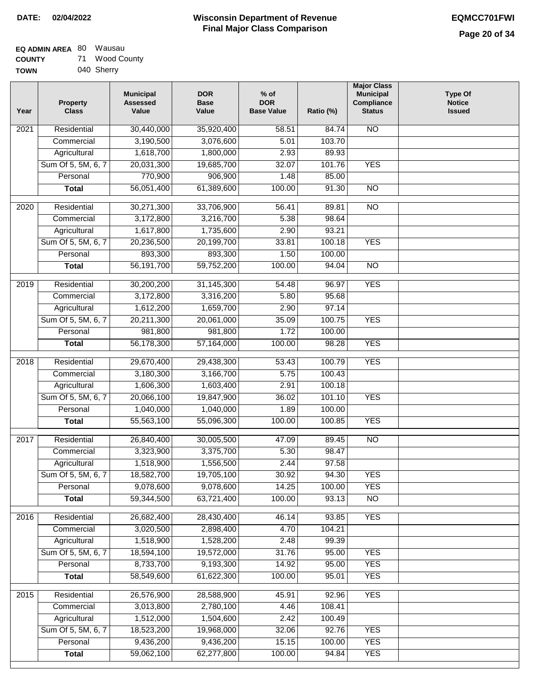| EQ ADMIN AREA 80 | Wausau         |
|------------------|----------------|
| <b>COUNTY</b>    | 71 Wood County |
| <b>TOWN</b>      | 040 Sherry     |

040 Sherry

| Year | <b>Property</b><br><b>Class</b> | <b>Municipal</b><br><b>Assessed</b><br>Value | <b>DOR</b><br><b>Base</b><br>Value | $%$ of<br><b>DOR</b><br><b>Base Value</b> | Ratio (%) | <b>Major Class</b><br><b>Municipal</b><br>Compliance<br><b>Status</b> | <b>Type Of</b><br><b>Notice</b><br><b>Issued</b> |
|------|---------------------------------|----------------------------------------------|------------------------------------|-------------------------------------------|-----------|-----------------------------------------------------------------------|--------------------------------------------------|
| 2021 | Residential                     | 30,440,000                                   | 35,920,400                         | 58.51                                     | 84.74     | <b>NO</b>                                                             |                                                  |
|      | Commercial                      | 3,190,500                                    | 3,076,600                          | 5.01                                      | 103.70    |                                                                       |                                                  |
|      | Agricultural                    | 1,618,700                                    | 1,800,000                          | 2.93                                      | 89.93     |                                                                       |                                                  |
|      | Sum Of 5, 5M, 6, 7              | 20,031,300                                   | 19,685,700                         | 32.07                                     | 101.76    | <b>YES</b>                                                            |                                                  |
|      | Personal                        | 770,900                                      | 906,900                            | 1.48                                      | 85.00     |                                                                       |                                                  |
|      | <b>Total</b>                    | 56,051,400                                   | 61,389,600                         | 100.00                                    | 91.30     | $\overline{NO}$                                                       |                                                  |
| 2020 | Residential                     | 30,271,300                                   | 33,706,900                         | 56.41                                     | 89.81     | $\overline{NO}$                                                       |                                                  |
|      | Commercial                      | 3,172,800                                    | 3,216,700                          | 5.38                                      | 98.64     |                                                                       |                                                  |
|      | Agricultural                    | 1,617,800                                    | 1,735,600                          | 2.90                                      | 93.21     |                                                                       |                                                  |
|      | Sum Of 5, 5M, 6, 7              | 20,236,500                                   | 20,199,700                         | 33.81                                     | 100.18    | <b>YES</b>                                                            |                                                  |
|      | Personal                        | 893,300                                      | 893,300                            | 1.50                                      | 100.00    |                                                                       |                                                  |
|      | <b>Total</b>                    | 56,191,700                                   | 59,752,200                         | 100.00                                    | 94.04     | $\overline{NO}$                                                       |                                                  |
| 2019 | Residential                     | 30,200,200                                   | 31,145,300                         | 54.48                                     | 96.97     | <b>YES</b>                                                            |                                                  |
|      | Commercial                      | 3,172,800                                    | 3,316,200                          | 5.80                                      | 95.68     |                                                                       |                                                  |
|      | Agricultural                    | 1,612,200                                    | 1,659,700                          | 2.90                                      | 97.14     |                                                                       |                                                  |
|      | Sum Of 5, 5M, 6, 7              | 20,211,300                                   | 20,061,000                         | 35.09                                     | 100.75    | <b>YES</b>                                                            |                                                  |
|      | Personal                        | 981,800                                      | 981,800                            | 1.72                                      | 100.00    |                                                                       |                                                  |
|      | <b>Total</b>                    | 56,178,300                                   | 57,164,000                         | 100.00                                    | 98.28     | <b>YES</b>                                                            |                                                  |
| 2018 | Residential                     | 29,670,400                                   | 29,438,300                         | 53.43                                     | 100.79    | <b>YES</b>                                                            |                                                  |
|      | Commercial                      | 3,180,300                                    | 3,166,700                          | 5.75                                      | 100.43    |                                                                       |                                                  |
|      | Agricultural                    | 1,606,300                                    | 1,603,400                          | 2.91                                      | 100.18    |                                                                       |                                                  |
|      | Sum Of 5, 5M, 6, 7              | 20,066,100                                   | 19,847,900                         | 36.02                                     | 101.10    | <b>YES</b>                                                            |                                                  |
|      | Personal                        | 1,040,000                                    | 1,040,000                          | 1.89                                      | 100.00    |                                                                       |                                                  |
|      | <b>Total</b>                    | 55,563,100                                   | 55,096,300                         | 100.00                                    | 100.85    | <b>YES</b>                                                            |                                                  |
| 2017 | Residential                     | 26,840,400                                   | 30,005,500                         | 47.09                                     | 89.45     | <b>NO</b>                                                             |                                                  |
|      | Commercial                      | 3,323,900                                    | 3,375,700                          | 5.30                                      | 98.47     |                                                                       |                                                  |
|      | Agricultural                    | 1,518,900                                    | 1,556,500                          | 2.44                                      | 97.58     |                                                                       |                                                  |
|      | Sum Of 5, 5M, 6, 7              | 18,582,700                                   | 19,705,100                         | 30.92                                     | 94.30     | <b>YES</b>                                                            |                                                  |
|      | Personal                        | 9,078,600                                    | 9,078,600                          | 14.25                                     | 100.00    | <b>YES</b>                                                            |                                                  |
|      | <b>Total</b>                    | 59,344,500                                   | 63,721,400                         | 100.00                                    | 93.13     | $\overline{NO}$                                                       |                                                  |
| 2016 | Residential                     | 26,682,400                                   | 28,430,400                         | 46.14                                     | 93.85     | <b>YES</b>                                                            |                                                  |
|      | Commercial                      | 3,020,500                                    | 2,898,400                          | 4.70                                      | 104.21    |                                                                       |                                                  |
|      | Agricultural                    | 1,518,900                                    | 1,528,200                          | 2.48                                      | 99.39     |                                                                       |                                                  |
|      | Sum Of 5, 5M, 6, 7              | 18,594,100                                   | 19,572,000                         | 31.76                                     | 95.00     | <b>YES</b>                                                            |                                                  |
|      | Personal                        | 8,733,700                                    | 9,193,300                          | 14.92                                     | 95.00     | <b>YES</b>                                                            |                                                  |
|      | <b>Total</b>                    | 58,549,600                                   | 61,622,300                         | 100.00                                    | 95.01     | <b>YES</b>                                                            |                                                  |
| 2015 | Residential                     | 26,576,900                                   | 28,588,900                         | 45.91                                     | 92.96     | <b>YES</b>                                                            |                                                  |
|      | Commercial                      | 3,013,800                                    | 2,780,100                          | 4.46                                      | 108.41    |                                                                       |                                                  |
|      | Agricultural                    | 1,512,000                                    | 1,504,600                          | 2.42                                      | 100.49    |                                                                       |                                                  |
|      | Sum Of 5, 5M, 6, 7              | 18,523,200                                   | 19,968,000                         | 32.06                                     | 92.76     | <b>YES</b>                                                            |                                                  |
|      | Personal                        | 9,436,200                                    | 9,436,200                          | 15.15                                     | 100.00    | <b>YES</b>                                                            |                                                  |
|      | <b>Total</b>                    | 59,062,100                                   | 62,277,800                         | 100.00                                    | 94.84     | <b>YES</b>                                                            |                                                  |
|      |                                 |                                              |                                    |                                           |           |                                                                       |                                                  |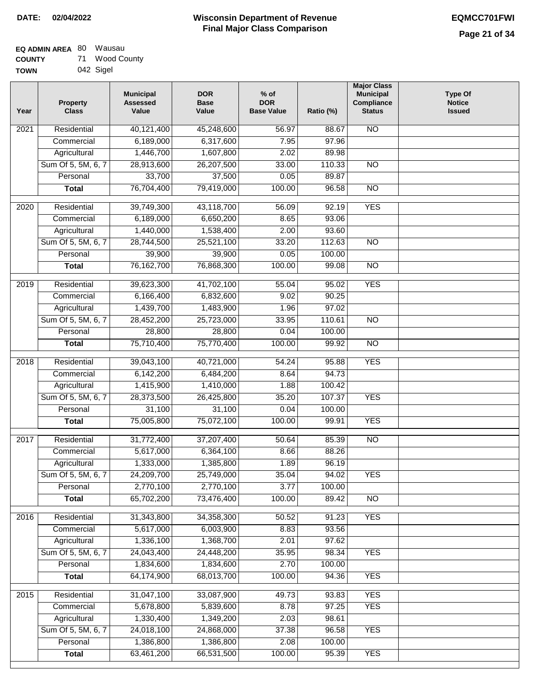| <b>EQ ADMIN AREA 80 Wausau</b> |    |             |
|--------------------------------|----|-------------|
| <b>COUNTY</b>                  | 71 | Wood County |

**TOWN** 042 Sigel

| Year              | <b>Property</b><br><b>Class</b> | <b>Municipal</b><br><b>Assessed</b><br>Value | <b>DOR</b><br><b>Base</b><br>Value | $%$ of<br><b>DOR</b><br><b>Base Value</b> | Ratio (%) | <b>Major Class</b><br><b>Municipal</b><br>Compliance<br><b>Status</b> | <b>Type Of</b><br><b>Notice</b><br><b>Issued</b> |
|-------------------|---------------------------------|----------------------------------------------|------------------------------------|-------------------------------------------|-----------|-----------------------------------------------------------------------|--------------------------------------------------|
| 2021              | Residential                     | 40,121,400                                   | 45,248,600                         | 56.97                                     | 88.67     | <b>NO</b>                                                             |                                                  |
|                   | Commercial                      | 6,189,000                                    | 6,317,600                          | 7.95                                      | 97.96     |                                                                       |                                                  |
|                   | Agricultural                    | 1,446,700                                    | 1,607,800                          | 2.02                                      | 89.98     |                                                                       |                                                  |
|                   | Sum Of 5, 5M, 6, 7              | 28,913,600                                   | 26,207,500                         | 33.00                                     | 110.33    | N <sub>O</sub>                                                        |                                                  |
|                   | Personal                        | 33,700                                       | 37,500                             | 0.05                                      | 89.87     |                                                                       |                                                  |
|                   | <b>Total</b>                    | 76,704,400                                   | 79,419,000                         | 100.00                                    | 96.58     | $\overline{NO}$                                                       |                                                  |
|                   |                                 |                                              |                                    |                                           |           |                                                                       |                                                  |
| $\overline{2020}$ | Residential                     | 39,749,300                                   | 43,118,700                         | 56.09                                     | 92.19     | <b>YES</b>                                                            |                                                  |
|                   | Commercial                      | 6,189,000                                    | 6,650,200                          | 8.65                                      | 93.06     |                                                                       |                                                  |
|                   | Agricultural                    | 1,440,000                                    | 1,538,400                          | 2.00                                      | 93.60     |                                                                       |                                                  |
|                   | Sum Of 5, 5M, 6, 7              | 28,744,500                                   | 25,521,100                         | 33.20                                     | 112.63    | <b>NO</b>                                                             |                                                  |
|                   | Personal                        | 39,900                                       | 39,900                             | 0.05                                      | 100.00    |                                                                       |                                                  |
|                   | <b>Total</b>                    | 76, 162, 700                                 | 76,868,300                         | 100.00                                    | 99.08     | $\overline{NO}$                                                       |                                                  |
| 2019              | Residential                     | 39,623,300                                   | 41,702,100                         | 55.04                                     | 95.02     | <b>YES</b>                                                            |                                                  |
|                   | Commercial                      | 6,166,400                                    | 6,832,600                          | 9.02                                      | 90.25     |                                                                       |                                                  |
|                   | Agricultural                    | 1,439,700                                    | 1,483,900                          | 1.96                                      | 97.02     |                                                                       |                                                  |
|                   | Sum Of 5, 5M, 6, 7              | 28,452,200                                   | 25,723,000                         | 33.95                                     | 110.61    | $\overline{NO}$                                                       |                                                  |
|                   | Personal                        | 28,800                                       | 28,800                             | 0.04                                      | 100.00    |                                                                       |                                                  |
|                   | <b>Total</b>                    | 75,710,400                                   | 75,770,400                         | 100.00                                    | 99.92     | $\overline{NO}$                                                       |                                                  |
| 2018              | Residential                     | 39,043,100                                   | 40,721,000                         | 54.24                                     | 95.88     | <b>YES</b>                                                            |                                                  |
|                   | Commercial                      | 6,142,200                                    | 6,484,200                          | 8.64                                      | 94.73     |                                                                       |                                                  |
|                   | Agricultural                    | 1,415,900                                    | 1,410,000                          | 1.88                                      | 100.42    |                                                                       |                                                  |
|                   | Sum Of 5, 5M, 6, 7              | 28,373,500                                   | 26,425,800                         | 35.20                                     | 107.37    | <b>YES</b>                                                            |                                                  |
|                   | Personal                        | 31,100                                       | 31,100                             | 0.04                                      | 100.00    |                                                                       |                                                  |
|                   | <b>Total</b>                    | 75,005,800                                   | 75,072,100                         | 100.00                                    | 99.91     | <b>YES</b>                                                            |                                                  |
|                   |                                 |                                              |                                    |                                           |           |                                                                       |                                                  |
| 2017              | Residential                     | 31,772,400                                   | 37,207,400                         | 50.64                                     | 85.39     | $\overline{NO}$                                                       |                                                  |
|                   | Commercial                      | 5,617,000                                    | 6,364,100                          | 8.66                                      | 88.26     |                                                                       |                                                  |
|                   | Agricultural                    | 1,333,000                                    | 1,385,800                          | 1.89                                      | 96.19     |                                                                       |                                                  |
|                   | Sum Of 5, 5M, 6, 7              | 24,209,700                                   | 25,749,000                         | 35.04                                     | 94.02     | <b>YES</b>                                                            |                                                  |
|                   | Personal                        | 2,770,100                                    | 2,770,100                          | 3.77                                      | 100.00    |                                                                       |                                                  |
|                   | <b>Total</b>                    | 65,702,200                                   | 73,476,400                         | 100.00                                    | 89.42     | <b>NO</b>                                                             |                                                  |
| 2016              | Residential                     | 31,343,800                                   | 34,358,300                         | 50.52                                     | 91.23     | <b>YES</b>                                                            |                                                  |
|                   | Commercial                      | 5,617,000                                    | 6,003,900                          | 8.83                                      | 93.56     |                                                                       |                                                  |
|                   | Agricultural                    | 1,336,100                                    | 1,368,700                          | 2.01                                      | 97.62     |                                                                       |                                                  |
|                   | Sum Of 5, 5M, 6, 7              | 24,043,400                                   | 24,448,200                         | 35.95                                     | 98.34     | <b>YES</b>                                                            |                                                  |
|                   | Personal                        | 1,834,600                                    | 1,834,600                          | 2.70                                      | 100.00    |                                                                       |                                                  |
|                   | <b>Total</b>                    | 64,174,900                                   | 68,013,700                         | 100.00                                    | 94.36     | <b>YES</b>                                                            |                                                  |
| 2015              | Residential                     | 31,047,100                                   | 33,087,900                         | 49.73                                     | 93.83     | <b>YES</b>                                                            |                                                  |
|                   | Commercial                      | 5,678,800                                    | 5,839,600                          | 8.78                                      | 97.25     | <b>YES</b>                                                            |                                                  |
|                   | Agricultural                    | 1,330,400                                    | 1,349,200                          | 2.03                                      | 98.61     |                                                                       |                                                  |
|                   | Sum Of 5, 5M, 6, 7              | 24,018,100                                   | 24,868,000                         | 37.38                                     | 96.58     | <b>YES</b>                                                            |                                                  |
|                   | Personal                        | 1,386,800                                    | 1,386,800                          | 2.08                                      | 100.00    |                                                                       |                                                  |
|                   | <b>Total</b>                    | 63,461,200                                   | 66,531,500                         | 100.00                                    | 95.39     | <b>YES</b>                                                            |                                                  |
|                   |                                 |                                              |                                    |                                           |           |                                                                       |                                                  |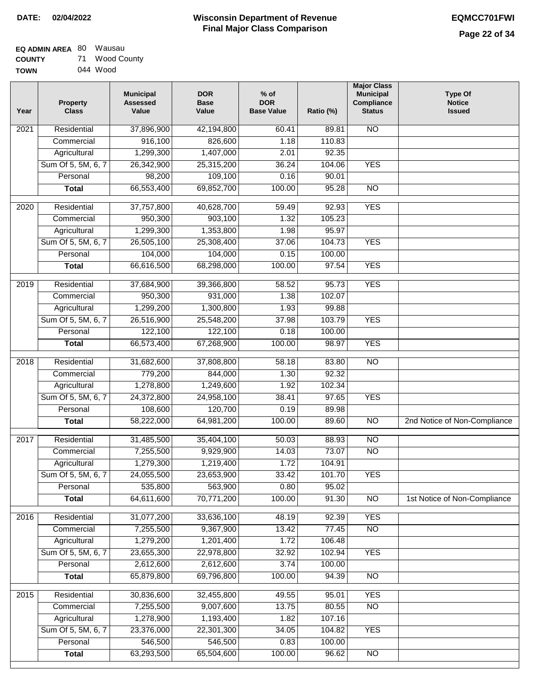| <b>EQ ADMIN AREA 80 Wausau</b> |                |
|--------------------------------|----------------|
| <b>COUNTY</b>                  | 71 Wood County |
| <b>TOWN</b>                    | 044 Wood       |

| Year              | <b>Property</b><br><b>Class</b> | <b>Municipal</b><br><b>Assessed</b><br>Value | <b>DOR</b><br><b>Base</b><br>Value | % of<br><b>DOR</b><br><b>Base Value</b> | Ratio (%) | <b>Major Class</b><br><b>Municipal</b><br>Compliance<br><b>Status</b> | <b>Type Of</b><br><b>Notice</b><br><b>Issued</b> |
|-------------------|---------------------------------|----------------------------------------------|------------------------------------|-----------------------------------------|-----------|-----------------------------------------------------------------------|--------------------------------------------------|
| $\overline{202}1$ | Residential                     | 37,896,900                                   | 42,194,800                         | 60.41                                   | 89.81     | N <sub>O</sub>                                                        |                                                  |
|                   | Commercial                      | 916,100                                      | 826,600                            | 1.18                                    | 110.83    |                                                                       |                                                  |
|                   | Agricultural                    | 1,299,300                                    | 1,407,000                          | 2.01                                    | 92.35     |                                                                       |                                                  |
|                   | Sum Of 5, 5M, 6, 7              | 26,342,900                                   | 25,315,200                         | 36.24                                   | 104.06    | <b>YES</b>                                                            |                                                  |
|                   | Personal                        | 98,200                                       | 109,100                            | 0.16                                    | 90.01     |                                                                       |                                                  |
|                   | <b>Total</b>                    | 66,553,400                                   | 69,852,700                         | 100.00                                  | 95.28     | $\overline{NO}$                                                       |                                                  |
| 2020              | Residential                     | 37,757,800                                   | 40,628,700                         | 59.49                                   | 92.93     | <b>YES</b>                                                            |                                                  |
|                   | Commercial                      | 950,300                                      | 903,100                            | 1.32                                    | 105.23    |                                                                       |                                                  |
|                   | Agricultural                    | 1,299,300                                    | 1,353,800                          | 1.98                                    | 95.97     |                                                                       |                                                  |
|                   | Sum Of 5, 5M, 6, 7              | 26,505,100                                   | 25,308,400                         | 37.06                                   | 104.73    | <b>YES</b>                                                            |                                                  |
|                   | Personal                        | 104,000                                      | 104,000                            | 0.15                                    | 100.00    |                                                                       |                                                  |
|                   | <b>Total</b>                    | 66,616,500                                   | 68,298,000                         | 100.00                                  | 97.54     | <b>YES</b>                                                            |                                                  |
|                   |                                 |                                              |                                    |                                         |           |                                                                       |                                                  |
| $\frac{1}{2019}$  | Residential                     | 37,684,900                                   | 39,366,800                         | 58.52                                   | 95.73     | <b>YES</b>                                                            |                                                  |
|                   | Commercial                      | 950,300                                      | 931,000                            | 1.38                                    | 102.07    |                                                                       |                                                  |
|                   | Agricultural                    | 1,299,200                                    | 1,300,800                          | 1.93                                    | 99.88     |                                                                       |                                                  |
|                   | Sum Of 5, 5M, 6, 7              | 26,516,900                                   | 25,548,200                         | 37.98                                   | 103.79    | <b>YES</b>                                                            |                                                  |
|                   | Personal                        | 122,100                                      | 122,100                            | 0.18                                    | 100.00    |                                                                       |                                                  |
|                   | <b>Total</b>                    | 66,573,400                                   | 67,268,900                         | 100.00                                  | 98.97     | <b>YES</b>                                                            |                                                  |
| 2018              | Residential                     | 31,682,600                                   | 37,808,800                         | 58.18                                   | 83.80     | <b>NO</b>                                                             |                                                  |
|                   | Commercial                      | 779,200                                      | 844,000                            | 1.30                                    | 92.32     |                                                                       |                                                  |
|                   | Agricultural                    | 1,278,800                                    | 1,249,600                          | 1.92                                    | 102.34    |                                                                       |                                                  |
|                   | Sum Of 5, 5M, 6, 7              | 24,372,800                                   | 24,958,100                         | 38.41                                   | 97.65     | <b>YES</b>                                                            |                                                  |
|                   | Personal                        | 108,600                                      | 120,700                            | 0.19                                    | 89.98     |                                                                       |                                                  |
|                   | <b>Total</b>                    | 58,222,000                                   | 64,981,200                         | 100.00                                  | 89.60     | NO                                                                    | 2nd Notice of Non-Compliance                     |
| 2017              | Residential                     | 31,485,500                                   | 35,404,100                         | 50.03                                   | 88.93     | $\overline{NO}$                                                       |                                                  |
|                   | Commercial                      | 7,255,500                                    | 9,929,900                          | 14.03                                   | 73.07     | $\overline{NO}$                                                       |                                                  |
|                   | Agricultural                    | 1,279,300                                    | 1,219,400                          | 1.72                                    | 104.91    |                                                                       |                                                  |
|                   | Sum Of 5, 5M, 6, 7              | 24,055,500                                   | 23,653,900                         | 33.42                                   | 101.70    | <b>YES</b>                                                            |                                                  |
|                   | Personal                        | 535,800                                      | 563,900                            | 0.80                                    | 95.02     |                                                                       |                                                  |
|                   | <b>Total</b>                    | 64,611,600                                   | 70,771,200                         | 100.00                                  | 91.30     | $\overline{NO}$                                                       | 1st Notice of Non-Compliance                     |
| 2016              | Residential                     | 31,077,200                                   | 33,636,100                         | 48.19                                   | 92.39     | <b>YES</b>                                                            |                                                  |
|                   | Commercial                      | 7,255,500                                    | 9,367,900                          | 13.42                                   | 77.45     | N <sub>O</sub>                                                        |                                                  |
|                   | Agricultural                    | 1,279,200                                    | 1,201,400                          | 1.72                                    | 106.48    |                                                                       |                                                  |
|                   | Sum Of 5, 5M, 6, 7              | 23,655,300                                   | 22,978,800                         | 32.92                                   | 102.94    | <b>YES</b>                                                            |                                                  |
|                   | Personal                        | 2,612,600                                    | 2,612,600                          | 3.74                                    | 100.00    |                                                                       |                                                  |
|                   | <b>Total</b>                    | 65,879,800                                   | 69,796,800                         | 100.00                                  | 94.39     | N <sub>O</sub>                                                        |                                                  |
| 2015              | Residential                     | 30,836,600                                   | 32,455,800                         | 49.55                                   | 95.01     | <b>YES</b>                                                            |                                                  |
|                   | Commercial                      | 7,255,500                                    | 9,007,600                          | 13.75                                   | 80.55     | N <sub>O</sub>                                                        |                                                  |
|                   | Agricultural                    | 1,278,900                                    | 1,193,400                          | 1.82                                    | 107.16    |                                                                       |                                                  |
|                   | Sum Of 5, 5M, 6, 7              | 23,376,000                                   | 22,301,300                         | 34.05                                   | 104.82    | <b>YES</b>                                                            |                                                  |
|                   | Personal                        | 546,500                                      | 546,500                            | 0.83                                    | 100.00    |                                                                       |                                                  |
|                   | <b>Total</b>                    | 63,293,500                                   | 65,504,600                         | 100.00                                  | 96.62     | NO                                                                    |                                                  |
|                   |                                 |                                              |                                    |                                         |           |                                                                       |                                                  |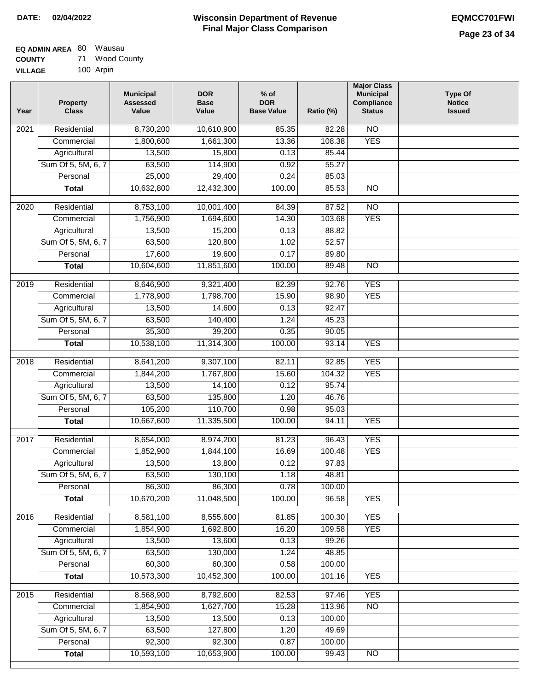### **EQ ADMIN AREA** 80 Wausau **COUNTY** 71 Wood County

**VILLAGE** 100 Arpin

| Year | <b>Property</b><br><b>Class</b>    | <b>Municipal</b><br><b>Assessed</b><br>Value | <b>DOR</b><br><b>Base</b><br>Value | $%$ of<br><b>DOR</b><br><b>Base Value</b> | Ratio (%)       | <b>Major Class</b><br><b>Municipal</b><br>Compliance<br><b>Status</b> | <b>Type Of</b><br><b>Notice</b><br><b>Issued</b> |
|------|------------------------------------|----------------------------------------------|------------------------------------|-------------------------------------------|-----------------|-----------------------------------------------------------------------|--------------------------------------------------|
| 2021 | Residential                        | 8,730,200                                    | 10,610,900                         | 85.35                                     | 82.28           | N <sub>O</sub>                                                        |                                                  |
|      | Commercial                         | 1,800,600                                    | 1,661,300                          | 13.36                                     | 108.38          | <b>YES</b>                                                            |                                                  |
|      | Agricultural                       | 13,500                                       | 15,800                             | 0.13                                      | 85.44           |                                                                       |                                                  |
|      | Sum Of 5, 5M, 6, 7                 | 63,500                                       | 114,900                            | 0.92                                      | 55.27           |                                                                       |                                                  |
|      | Personal                           | 25,000                                       | 29,400                             | 0.24                                      | 85.03           |                                                                       |                                                  |
|      | <b>Total</b>                       | 10,632,800                                   | 12,432,300                         | 100.00                                    | 85.53           | $\overline{NO}$                                                       |                                                  |
| 2020 | Residential                        | 8,753,100                                    | 10,001,400                         | 84.39                                     | 87.52           | $\overline{NO}$                                                       |                                                  |
|      | Commercial                         | 1,756,900                                    | 1,694,600                          | 14.30                                     | 103.68          | <b>YES</b>                                                            |                                                  |
|      | Agricultural                       | 13,500                                       | 15,200                             | 0.13                                      | 88.82           |                                                                       |                                                  |
|      | Sum Of 5, 5M, 6, 7                 | 63,500                                       | 120,800                            | 1.02                                      | 52.57           |                                                                       |                                                  |
|      | Personal                           | 17,600                                       | 19,600                             | 0.17                                      | 89.80           |                                                                       |                                                  |
|      | <b>Total</b>                       | 10,604,600                                   | 11,851,600                         | 100.00                                    | 89.48           | $\overline{NO}$                                                       |                                                  |
| 2019 | Residential                        | 8,646,900                                    | 9,321,400                          | 82.39                                     | 92.76           | <b>YES</b>                                                            |                                                  |
|      | Commercial                         | 1,778,900                                    | 1,798,700                          | 15.90                                     | 98.90           | <b>YES</b>                                                            |                                                  |
|      | Agricultural                       | 13,500                                       | 14,600                             | 0.13                                      | 92.47           |                                                                       |                                                  |
|      | Sum Of 5, 5M, 6, 7                 | 63,500                                       | 140,400                            | 1.24                                      | 45.23           |                                                                       |                                                  |
|      | Personal                           | 35,300                                       | 39,200                             | 0.35                                      | 90.05           |                                                                       |                                                  |
|      | <b>Total</b>                       | 10,538,100                                   | 11,314,300                         | 100.00                                    | 93.14           | <b>YES</b>                                                            |                                                  |
| 2018 | Residential                        | 8,641,200                                    | 9,307,100                          | 82.11                                     | 92.85           | <b>YES</b>                                                            |                                                  |
|      | Commercial                         | 1,844,200                                    | 1,767,800                          | 15.60                                     | 104.32          | <b>YES</b>                                                            |                                                  |
|      | Agricultural                       | 13,500                                       | 14,100                             | 0.12                                      | 95.74           |                                                                       |                                                  |
|      | Sum Of 5, 5M, 6, 7                 | 63,500                                       | 135,800                            | 1.20                                      | 46.76           |                                                                       |                                                  |
|      | Personal                           | 105,200                                      | 110,700                            | 0.98                                      | 95.03           |                                                                       |                                                  |
|      | <b>Total</b>                       | 10,667,600                                   | 11,335,500                         | 100.00                                    | 94.11           | <b>YES</b>                                                            |                                                  |
|      |                                    |                                              |                                    |                                           |                 |                                                                       |                                                  |
| 2017 | Residential<br>Commercial          | 8,654,000                                    | 8,974,200                          | 81.23                                     | 96.43<br>100.48 | <b>YES</b>                                                            |                                                  |
|      |                                    | 1,852,900                                    | 1,844,100                          | 16.69<br>0.12                             | 97.83           | <b>YES</b>                                                            |                                                  |
|      | Agricultural<br>Sum Of 5, 5M, 6, 7 | 13,500<br>63,500                             | 13,800<br>130,100                  | 1.18                                      | 48.81           |                                                                       |                                                  |
|      | Personal                           | 86,300                                       | 86,300                             | 0.78                                      | 100.00          |                                                                       |                                                  |
|      | <b>Total</b>                       | 10,670,200                                   | 11,048,500                         | 100.00                                    | 96.58           | <b>YES</b>                                                            |                                                  |
| 2016 | Residential                        | 8,581,100                                    | 8,555,600                          | 81.85                                     | 100.30          | <b>YES</b>                                                            |                                                  |
|      | Commercial                         | 1,854,900                                    | 1,692,800                          | 16.20                                     | 109.58          | <b>YES</b>                                                            |                                                  |
|      | Agricultural                       | 13,500                                       | 13,600                             | 0.13                                      | 99.26           |                                                                       |                                                  |
|      | Sum Of 5, 5M, 6, 7                 | 63,500                                       | 130,000                            | 1.24                                      | 48.85           |                                                                       |                                                  |
|      | Personal                           | 60,300                                       | 60,300                             | 0.58                                      | 100.00          |                                                                       |                                                  |
|      | <b>Total</b>                       | 10,573,300                                   | 10,452,300                         | 100.00                                    | 101.16          | <b>YES</b>                                                            |                                                  |
|      |                                    |                                              |                                    |                                           |                 |                                                                       |                                                  |
| 2015 | Residential                        | 8,568,900                                    | 8,792,600                          | 82.53                                     | 97.46           | <b>YES</b>                                                            |                                                  |
|      | Commercial                         | 1,854,900                                    | 1,627,700                          | 15.28                                     | 113.96          | N <sub>O</sub>                                                        |                                                  |
|      | Agricultural                       | 13,500                                       | 13,500                             | 0.13                                      | 100.00          |                                                                       |                                                  |
|      | Sum Of 5, 5M, 6, 7<br>Personal     | 63,500<br>92,300                             | 127,800<br>92,300                  | 1.20<br>0.87                              | 49.69<br>100.00 |                                                                       |                                                  |
|      | <b>Total</b>                       | 10,593,100                                   | 10,653,900                         | 100.00                                    | 99.43           | N <sub>O</sub>                                                        |                                                  |
|      |                                    |                                              |                                    |                                           |                 |                                                                       |                                                  |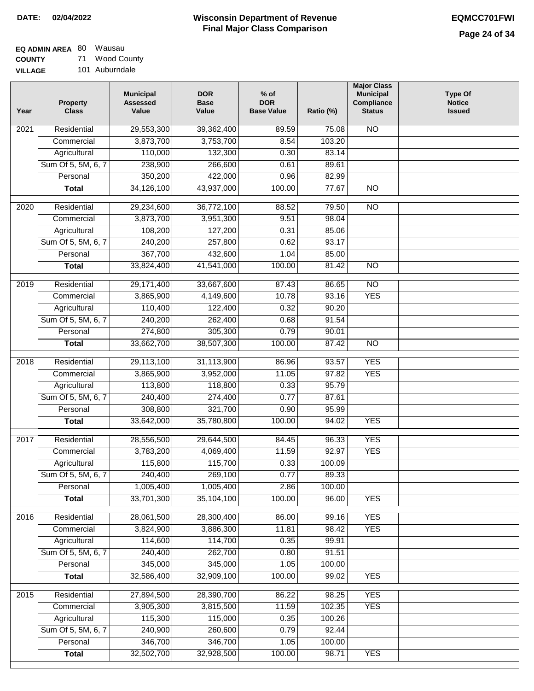#### **EQ ADMIN AREA** 80 Wausau **COUNTY** 71 Wood County

**VILLAGE** 101 Auburndale

| Year              | <b>Property</b><br><b>Class</b> | <b>Municipal</b><br><b>Assessed</b><br>Value | <b>DOR</b><br><b>Base</b><br>Value | % of<br><b>DOR</b><br><b>Base Value</b> | Ratio (%) | <b>Major Class</b><br><b>Municipal</b><br>Compliance<br><b>Status</b> | <b>Type Of</b><br><b>Notice</b><br><b>Issued</b> |
|-------------------|---------------------------------|----------------------------------------------|------------------------------------|-----------------------------------------|-----------|-----------------------------------------------------------------------|--------------------------------------------------|
| $\overline{202}1$ | Residential                     | 29,553,300                                   | 39,362,400                         | 89.59                                   | 75.08     | <b>NO</b>                                                             |                                                  |
|                   | Commercial                      | 3,873,700                                    | 3,753,700                          | 8.54                                    | 103.20    |                                                                       |                                                  |
|                   | Agricultural                    | 110,000                                      | 132,300                            | 0.30                                    | 83.14     |                                                                       |                                                  |
|                   | Sum Of 5, 5M, 6, 7              | 238,900                                      | 266,600                            | 0.61                                    | 89.61     |                                                                       |                                                  |
|                   | Personal                        | 350,200                                      | 422,000                            | 0.96                                    | 82.99     |                                                                       |                                                  |
|                   | <b>Total</b>                    | 34,126,100                                   | 43,937,000                         | 100.00                                  | 77.67     | $\overline{NO}$                                                       |                                                  |
| $\overline{2020}$ | Residential                     | 29,234,600                                   | 36,772,100                         | 88.52                                   | 79.50     | $\overline{NO}$                                                       |                                                  |
|                   | Commercial                      | 3,873,700                                    | 3,951,300                          | 9.51                                    | 98.04     |                                                                       |                                                  |
|                   | Agricultural                    | 108,200                                      | 127,200                            | 0.31                                    | 85.06     |                                                                       |                                                  |
|                   | Sum Of 5, 5M, 6, 7              | 240,200                                      | 257,800                            | 0.62                                    | 93.17     |                                                                       |                                                  |
|                   | Personal                        | 367,700                                      | 432,600                            | 1.04                                    | 85.00     |                                                                       |                                                  |
|                   | <b>Total</b>                    | 33,824,400                                   | 41,541,000                         | 100.00                                  | 81.42     | $\overline{NO}$                                                       |                                                  |
|                   |                                 |                                              |                                    |                                         |           |                                                                       |                                                  |
| 2019              | Residential                     | 29,171,400                                   | 33,667,600                         | 87.43                                   | 86.65     | $\overline{NO}$                                                       |                                                  |
|                   | Commercial                      | 3,865,900                                    | 4,149,600                          | 10.78                                   | 93.16     | <b>YES</b>                                                            |                                                  |
|                   | Agricultural                    | 110,400                                      | 122,400                            | 0.32                                    | 90.20     |                                                                       |                                                  |
|                   | Sum Of 5, 5M, 6, 7              | 240,200                                      | 262,400                            | 0.68                                    | 91.54     |                                                                       |                                                  |
|                   | Personal                        | 274,800                                      | 305,300                            | 0.79                                    | 90.01     |                                                                       |                                                  |
|                   | <b>Total</b>                    | 33,662,700                                   | 38,507,300                         | 100.00                                  | 87.42     | $\overline{NO}$                                                       |                                                  |
| 2018              | Residential                     | 29,113,100                                   | 31,113,900                         | 86.96                                   | 93.57     | <b>YES</b>                                                            |                                                  |
|                   | Commercial                      | 3,865,900                                    | 3,952,000                          | 11.05                                   | 97.82     | <b>YES</b>                                                            |                                                  |
|                   | Agricultural                    | 113,800                                      | 118,800                            | 0.33                                    | 95.79     |                                                                       |                                                  |
|                   | Sum Of 5, 5M, 6, 7              | 240,400                                      | 274,400                            | 0.77                                    | 87.61     |                                                                       |                                                  |
|                   | Personal                        | 308,800                                      | 321,700                            | 0.90                                    | 95.99     |                                                                       |                                                  |
|                   | <b>Total</b>                    | 33,642,000                                   | 35,780,800                         | 100.00                                  | 94.02     | <b>YES</b>                                                            |                                                  |
| 2017              | Residential                     | 28,556,500                                   | 29,644,500                         | 84.45                                   | 96.33     | <b>YES</b>                                                            |                                                  |
|                   | Commercial                      | 3,783,200                                    | 4,069,400                          | 11.59                                   | 92.97     | <b>YES</b>                                                            |                                                  |
|                   | Agricultural                    | 115,800                                      | 115,700                            | 0.33                                    | 100.09    |                                                                       |                                                  |
|                   | Sum Of 5, 5M, 6, 7              | 240,400                                      | 269,100                            | 0.77                                    | 89.33     |                                                                       |                                                  |
|                   | Personal                        | 1,005,400                                    | 1,005,400                          | 2.86                                    | 100.00    |                                                                       |                                                  |
|                   | <b>Total</b>                    | 33,701,300                                   | 35,104,100                         | 100.00                                  | 96.00     | <b>YES</b>                                                            |                                                  |
| 2016              | Residential                     | 28,061,500                                   | 28,300,400                         | 86.00                                   | 99.16     | <b>YES</b>                                                            |                                                  |
|                   | Commercial                      | 3,824,900                                    | 3,886,300                          | 11.81                                   | 98.42     | <b>YES</b>                                                            |                                                  |
|                   | Agricultural                    | 114,600                                      | 114,700                            | 0.35                                    | 99.91     |                                                                       |                                                  |
|                   | Sum Of 5, 5M, 6, 7              | 240,400                                      | 262,700                            | 0.80                                    | 91.51     |                                                                       |                                                  |
|                   | Personal                        | 345,000                                      | 345,000                            | 1.05                                    | 100.00    |                                                                       |                                                  |
|                   | <b>Total</b>                    | 32,586,400                                   | 32,909,100                         | 100.00                                  | 99.02     | <b>YES</b>                                                            |                                                  |
| 2015              | Residential                     | 27,894,500                                   | 28,390,700                         | 86.22                                   | 98.25     | <b>YES</b>                                                            |                                                  |
|                   | Commercial                      | 3,905,300                                    | 3,815,500                          | 11.59                                   | 102.35    | <b>YES</b>                                                            |                                                  |
|                   | Agricultural                    | 115,300                                      | 115,000                            | 0.35                                    | 100.26    |                                                                       |                                                  |
|                   | Sum Of 5, 5M, 6, 7              | 240,900                                      | 260,600                            | 0.79                                    | 92.44     |                                                                       |                                                  |
|                   | Personal                        | 346,700                                      | 346,700                            | 1.05                                    | 100.00    |                                                                       |                                                  |
|                   | <b>Total</b>                    | 32,502,700                                   | 32,928,500                         | 100.00                                  | 98.71     | <b>YES</b>                                                            |                                                  |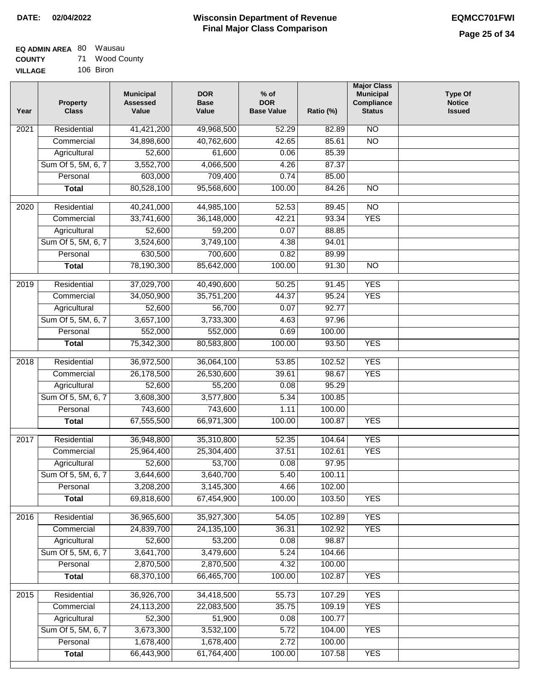### **EQ ADMIN AREA** 80 Wausau **COUNTY** 71 Wood County

**VILLAGE** 106 Biron

| Year | <b>Property</b><br><b>Class</b> | <b>Municipal</b><br><b>Assessed</b><br>Value | <b>DOR</b><br><b>Base</b><br>Value | $%$ of<br><b>DOR</b><br><b>Base Value</b> | Ratio (%)        | <b>Major Class</b><br><b>Municipal</b><br>Compliance<br><b>Status</b> | <b>Type Of</b><br><b>Notice</b><br><b>Issued</b> |
|------|---------------------------------|----------------------------------------------|------------------------------------|-------------------------------------------|------------------|-----------------------------------------------------------------------|--------------------------------------------------|
| 2021 | Residential                     | 41,421,200                                   | 49,968,500                         | 52.29                                     | 82.89            | $\overline{NO}$                                                       |                                                  |
|      | Commercial                      | 34,898,600                                   | 40,762,600                         | 42.65                                     | 85.61            | $\overline{NO}$                                                       |                                                  |
|      | Agricultural                    | 52,600                                       | 61,600                             | 0.06                                      | 85.39            |                                                                       |                                                  |
|      | Sum Of 5, 5M, 6, 7              | 3,552,700                                    | 4,066,500                          | 4.26                                      | 87.37            |                                                                       |                                                  |
|      | Personal                        | 603,000                                      | 709,400                            | 0.74                                      | 85.00            |                                                                       |                                                  |
|      | <b>Total</b>                    | 80,528,100                                   | 95,568,600                         | 100.00                                    | 84.26            | $\overline{NO}$                                                       |                                                  |
| 2020 | Residential                     | 40,241,000                                   | 44,985,100                         | 52.53                                     | 89.45            | $\overline{NO}$                                                       |                                                  |
|      | Commercial                      | 33,741,600                                   | 36,148,000                         | 42.21                                     | 93.34            | <b>YES</b>                                                            |                                                  |
|      | Agricultural                    | 52,600                                       | 59,200                             | 0.07                                      | 88.85            |                                                                       |                                                  |
|      | Sum Of 5, 5M, 6, 7              | 3,524,600                                    | 3,749,100                          | 4.38                                      | 94.01            |                                                                       |                                                  |
|      | Personal                        | 630,500                                      | 700,600                            | 0.82                                      | 89.99            |                                                                       |                                                  |
|      | <b>Total</b>                    | 78,190,300                                   | 85,642,000                         | 100.00                                    | 91.30            | $\overline{NO}$                                                       |                                                  |
| 2019 | Residential                     | 37,029,700                                   | 40,490,600                         | 50.25                                     | 91.45            | <b>YES</b>                                                            |                                                  |
|      | Commercial                      | 34,050,900                                   | 35,751,200                         | 44.37                                     | 95.24            | <b>YES</b>                                                            |                                                  |
|      | Agricultural                    | 52,600                                       | 56,700                             | 0.07                                      | 92.77            |                                                                       |                                                  |
|      | Sum Of 5, 5M, 6, 7              | 3,657,100                                    | 3,733,300                          | 4.63                                      | 97.96            |                                                                       |                                                  |
|      | Personal                        | 552,000                                      | 552,000                            | 0.69                                      | 100.00           |                                                                       |                                                  |
|      | <b>Total</b>                    | 75,342,300                                   | 80,583,800                         | 100.00                                    | 93.50            | <b>YES</b>                                                            |                                                  |
|      |                                 |                                              |                                    |                                           |                  |                                                                       |                                                  |
| 2018 | Residential                     | 36,972,500                                   | 36,064,100                         | 53.85                                     | 102.52           | <b>YES</b>                                                            |                                                  |
|      | Commercial                      | 26,178,500                                   | 26,530,600                         | 39.61                                     | 98.67            | <b>YES</b>                                                            |                                                  |
|      | Agricultural                    | 52,600                                       | 55,200                             | 0.08                                      | 95.29            |                                                                       |                                                  |
|      | Sum Of 5, 5M, 6, 7              | 3,608,300                                    | 3,577,800                          | 5.34                                      | 100.85           |                                                                       |                                                  |
|      | Personal                        | 743,600                                      | 743,600                            | 1.11                                      | 100.00           |                                                                       |                                                  |
|      | <b>Total</b>                    | 67,555,500                                   | 66,971,300                         | 100.00                                    | 100.87           | <b>YES</b>                                                            |                                                  |
| 2017 | Residential                     | 36,948,800                                   | 35,310,800                         | 52.35                                     | 104.64           | <b>YES</b>                                                            |                                                  |
|      | Commercial                      | 25,964,400                                   | 25,304,400                         | 37.51                                     | 102.61           | <b>YES</b>                                                            |                                                  |
|      | Agricultural                    | 52,600                                       | 53,700                             | 0.08                                      | 97.95            |                                                                       |                                                  |
|      | Sum Of 5, 5M, 6, 7              | 3,644,600                                    | 3,640,700                          | 5.40                                      | 100.11           |                                                                       |                                                  |
|      | Personal                        | 3,208,200                                    | 3,145,300                          | 4.66                                      | 102.00           |                                                                       |                                                  |
|      | <b>Total</b>                    | 69,818,600                                   | 67,454,900                         | 100.00                                    | 103.50           | <b>YES</b>                                                            |                                                  |
| 2016 | Residential                     | 36,965,600                                   | 35,927,300                         | 54.05                                     | 102.89           | <b>YES</b>                                                            |                                                  |
|      | Commercial                      | 24,839,700                                   | 24, 135, 100                       | 36.31                                     | 102.92           | <b>YES</b>                                                            |                                                  |
|      | Agricultural                    | 52,600                                       | 53,200                             | 0.08                                      | 98.87            |                                                                       |                                                  |
|      | Sum Of 5, 5M, 6, 7              | 3,641,700                                    | 3,479,600                          | 5.24                                      | 104.66           |                                                                       |                                                  |
|      | Personal                        | 2,870,500                                    | 2,870,500                          | 4.32                                      | 100.00           |                                                                       |                                                  |
|      | <b>Total</b>                    | 68,370,100                                   | 66,465,700                         | 100.00                                    | 102.87           | <b>YES</b>                                                            |                                                  |
|      |                                 |                                              |                                    |                                           |                  |                                                                       |                                                  |
| 2015 | Residential                     | 36,926,700                                   | 34,418,500                         | 55.73                                     | 107.29           | <b>YES</b>                                                            |                                                  |
|      | Commercial                      | 24,113,200                                   | 22,083,500                         | 35.75                                     | 109.19           | <b>YES</b>                                                            |                                                  |
|      | Agricultural                    | 52,300                                       | 51,900                             | 0.08                                      | 100.77           |                                                                       |                                                  |
|      | Sum Of 5, 5M, 6, 7              | 3,673,300                                    | 3,532,100                          | 5.72                                      | 104.00           | <b>YES</b>                                                            |                                                  |
|      | Personal                        | 1,678,400<br>66,443,900                      | 1,678,400<br>61,764,400            | 2.72<br>100.00                            | 100.00<br>107.58 | <b>YES</b>                                                            |                                                  |
|      | <b>Total</b>                    |                                              |                                    |                                           |                  |                                                                       |                                                  |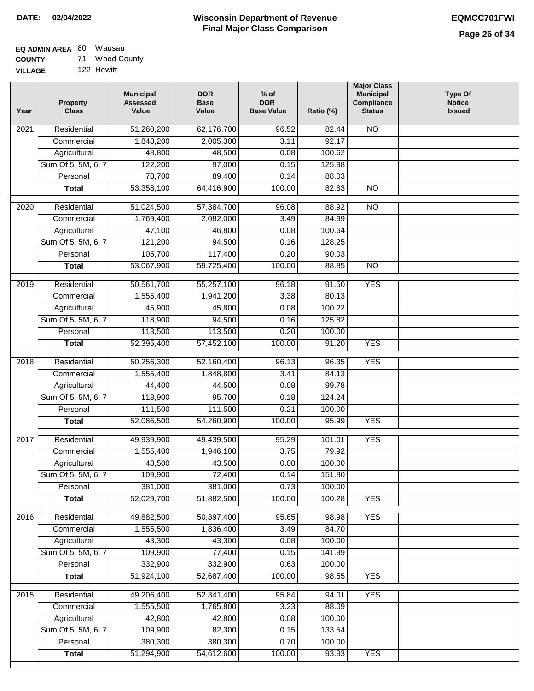#### **EQ ADMIN AREA** 80 Wausau **COUNTY** 71 Wood County

**VILLAGE** 122 Hewitt

| Year              | <b>Property</b><br><b>Class</b> | <b>Municipal</b><br><b>Assessed</b><br>Value | <b>DOR</b><br><b>Base</b><br>Value | $%$ of<br><b>DOR</b><br><b>Base Value</b> | Ratio (%) | <b>Major Class</b><br><b>Municipal</b><br>Compliance<br><b>Status</b> | <b>Type Of</b><br><b>Notice</b><br><b>Issued</b> |
|-------------------|---------------------------------|----------------------------------------------|------------------------------------|-------------------------------------------|-----------|-----------------------------------------------------------------------|--------------------------------------------------|
| 2021              | Residential                     | 51,260,200                                   | 62,176,700                         | 96.52                                     | 82.44     | N <sub>O</sub>                                                        |                                                  |
|                   | Commercial                      | 1,848,200                                    | 2,005,300                          | 3.11                                      | 92.17     |                                                                       |                                                  |
|                   | Agricultural                    | 48,800                                       | 48,500                             | 0.08                                      | 100.62    |                                                                       |                                                  |
|                   | Sum Of 5, 5M, 6, 7              | 122,200                                      | 97,000                             | 0.15                                      | 125.98    |                                                                       |                                                  |
|                   | Personal                        | 78,700                                       | 89,400                             | 0.14                                      | 88.03     |                                                                       |                                                  |
|                   | <b>Total</b>                    | 53,358,100                                   | 64,416,900                         | 100.00                                    | 82.83     | $\overline{NO}$                                                       |                                                  |
| 2020              | Residential                     | 51,024,500                                   | 57,384,700                         | 96.08                                     | 88.92     | $\overline{NO}$                                                       |                                                  |
|                   | Commercial                      | 1,769,400                                    | 2,082,000                          | 3.49                                      | 84.99     |                                                                       |                                                  |
|                   | Agricultural                    | 47,100                                       | 46,800                             | 0.08                                      | 100.64    |                                                                       |                                                  |
|                   | Sum Of 5, 5M, 6, 7              | 121,200                                      | 94,500                             | 0.16                                      | 128.25    |                                                                       |                                                  |
|                   | Personal                        | 105,700                                      | 117,400                            | 0.20                                      | 90.03     |                                                                       |                                                  |
|                   | <b>Total</b>                    | 53,067,900                                   | 59,725,400                         | 100.00                                    | 88.85     | $\overline{NO}$                                                       |                                                  |
| 2019              | Residential                     | 50,561,700                                   | 55,257,100                         | 96.18                                     | 91.50     | <b>YES</b>                                                            |                                                  |
|                   | Commercial                      | 1,555,400                                    | 1,941,200                          | 3.38                                      | 80.13     |                                                                       |                                                  |
|                   | Agricultural                    | 45,900                                       | 45,800                             | 0.08                                      | 100.22    |                                                                       |                                                  |
|                   | Sum Of 5, 5M, 6, 7              | 118,900                                      | 94,500                             | 0.16                                      | 125.82    |                                                                       |                                                  |
|                   | Personal                        | 113,500                                      | 113,500                            | 0.20                                      | 100.00    |                                                                       |                                                  |
|                   | <b>Total</b>                    | 52,395,400                                   | 57,452,100                         | 100.00                                    | 91.20     | <b>YES</b>                                                            |                                                  |
| $\overline{2018}$ | Residential                     | 50,256,300                                   | 52,160,400                         | 96.13                                     | 96.35     | <b>YES</b>                                                            |                                                  |
|                   | Commercial                      | 1,555,400                                    | 1,848,800                          | 3.41                                      | 84.13     |                                                                       |                                                  |
|                   | Agricultural                    | 44,400                                       | 44,500                             | 0.08                                      | 99.78     |                                                                       |                                                  |
|                   | Sum Of 5, 5M, 6, 7              | 118,900                                      | 95,700                             | 0.18                                      | 124.24    |                                                                       |                                                  |
|                   | Personal                        | 111,500                                      | 111,500                            | 0.21                                      | 100.00    |                                                                       |                                                  |
|                   | <b>Total</b>                    | 52,086,500                                   | 54,260,900                         | 100.00                                    | 95.99     | <b>YES</b>                                                            |                                                  |
| 2017              | Residential                     | 49,939,900                                   | 49,439,500                         | 95.29                                     | 101.01    | <b>YES</b>                                                            |                                                  |
|                   | Commercial                      | 1,555,400                                    | 1,946,100                          | 3.75                                      | 79.92     |                                                                       |                                                  |
|                   | Agricultural                    | 43,500                                       | 43,500                             | 0.08                                      | 100.00    |                                                                       |                                                  |
|                   | Sum Of 5, 5M, 6, 7              | 109,900                                      | 72,400                             | 0.14                                      | 151.80    |                                                                       |                                                  |
|                   | Personal                        | 381,000                                      | 381,000                            | 0.73                                      | 100.00    |                                                                       |                                                  |
|                   | <b>Total</b>                    | 52,029,700                                   | 51,882,500                         | 100.00                                    | 100.28    | <b>YES</b>                                                            |                                                  |
| 2016              | Residential                     | 49,882,500                                   | 50,397,400                         | 95.65                                     | 98.98     | <b>YES</b>                                                            |                                                  |
|                   | Commercial                      | 1,555,500                                    | 1,836,400                          | 3.49                                      | 84.70     |                                                                       |                                                  |
|                   | Agricultural                    | 43,300                                       | 43,300                             | 0.08                                      | 100.00    |                                                                       |                                                  |
|                   | Sum Of 5, 5M, 6, 7              | 109,900                                      | 77,400                             | 0.15                                      | 141.99    |                                                                       |                                                  |
|                   | Personal                        | 332,900                                      | 332,900                            | 0.63                                      | 100.00    |                                                                       |                                                  |
|                   | <b>Total</b>                    | 51,924,100                                   | 52,687,400                         | 100.00                                    | 98.55     | <b>YES</b>                                                            |                                                  |
| 2015              | Residential                     | 49,206,400                                   | 52,341,400                         | 95.84                                     | 94.01     | <b>YES</b>                                                            |                                                  |
|                   | Commercial                      | 1,555,500                                    | 1,765,800                          | 3.23                                      | 88.09     |                                                                       |                                                  |
|                   | Agricultural                    | 42,800                                       | 42,800                             | 0.08                                      | 100.00    |                                                                       |                                                  |
|                   | Sum Of 5, 5M, 6, 7              | 109,900                                      | 82,300                             | 0.15                                      | 133.54    |                                                                       |                                                  |
|                   | Personal                        | 380,300                                      | 380,300                            | 0.70                                      | 100.00    |                                                                       |                                                  |
|                   | <b>Total</b>                    | 51,294,900                                   | 54,612,600                         | 100.00                                    | 93.93     | <b>YES</b>                                                            |                                                  |
|                   |                                 |                                              |                                    |                                           |           |                                                                       |                                                  |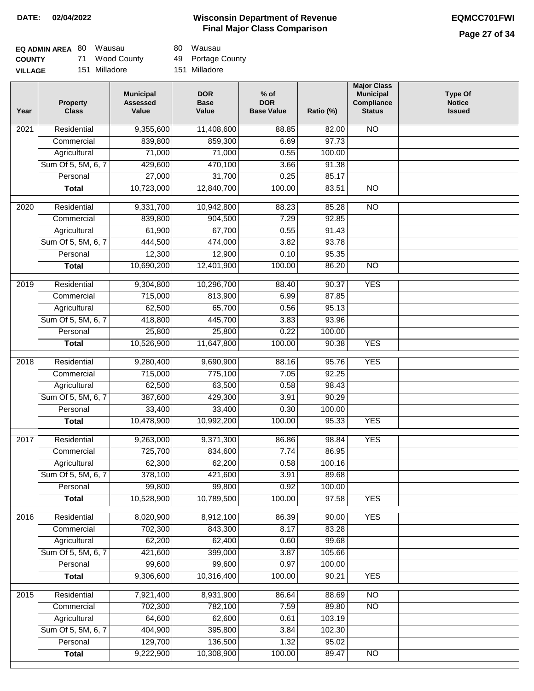# **Page 27 of 34**

| <b>EQ ADMIN AREA 80 Wausau</b> |                | 80 Wausau     |
|--------------------------------|----------------|---------------|
| <b>COUNTY</b>                  | 71 Wood County | 49 Portage 0  |
| <b>VILLAGE</b>                 | 151 Milladore  | 151 Milladore |

80 Wausau

49 Portage County

| Year              | <b>Property</b><br><b>Class</b> | <b>Municipal</b><br><b>Assessed</b><br>Value | <b>DOR</b><br><b>Base</b><br>Value | $%$ of<br><b>DOR</b><br><b>Base Value</b> | Ratio (%) | <b>Major Class</b><br><b>Municipal</b><br>Compliance<br><b>Status</b> | <b>Type Of</b><br><b>Notice</b><br><b>Issued</b> |
|-------------------|---------------------------------|----------------------------------------------|------------------------------------|-------------------------------------------|-----------|-----------------------------------------------------------------------|--------------------------------------------------|
| $\overline{202}1$ | Residential                     | 9,355,600                                    | 11,408,600                         | 88.85                                     | 82.00     | $\overline{NO}$                                                       |                                                  |
|                   | Commercial                      | 839,800                                      | 859,300                            | 6.69                                      | 97.73     |                                                                       |                                                  |
|                   | Agricultural                    | 71,000                                       | 71,000                             | 0.55                                      | 100.00    |                                                                       |                                                  |
|                   | Sum Of 5, 5M, 6, 7              | 429,600                                      | 470,100                            | 3.66                                      | 91.38     |                                                                       |                                                  |
|                   | Personal                        | 27,000                                       | 31,700                             | 0.25                                      | 85.17     |                                                                       |                                                  |
|                   | <b>Total</b>                    | 10,723,000                                   | 12,840,700                         | 100.00                                    | 83.51     | <b>NO</b>                                                             |                                                  |
| 2020              | Residential                     | 9,331,700                                    | 10,942,800                         | 88.23                                     | 85.28     | $\overline{NO}$                                                       |                                                  |
|                   | Commercial                      | 839,800                                      | 904,500                            | 7.29                                      | 92.85     |                                                                       |                                                  |
|                   | Agricultural                    | 61,900                                       | 67,700                             | 0.55                                      | 91.43     |                                                                       |                                                  |
|                   | Sum Of 5, 5M, 6, 7              | 444,500                                      | 474,000                            | 3.82                                      | 93.78     |                                                                       |                                                  |
|                   | Personal                        | 12,300                                       | 12,900                             | 0.10                                      | 95.35     |                                                                       |                                                  |
|                   | <b>Total</b>                    | 10,690,200                                   | 12,401,900                         | 100.00                                    | 86.20     | $\overline{NO}$                                                       |                                                  |
| 2019              | Residential                     | 9,304,800                                    | 10,296,700                         | 88.40                                     | 90.37     | <b>YES</b>                                                            |                                                  |
|                   | Commercial                      | 715,000                                      | 813,900                            | 6.99                                      | 87.85     |                                                                       |                                                  |
|                   | Agricultural                    | 62,500                                       | 65,700                             | 0.56                                      | 95.13     |                                                                       |                                                  |
|                   | Sum Of 5, 5M, 6, 7              | 418,800                                      | 445,700                            | 3.83                                      | 93.96     |                                                                       |                                                  |
|                   | Personal                        | 25,800                                       | 25,800                             | 0.22                                      | 100.00    |                                                                       |                                                  |
|                   | <b>Total</b>                    | 10,526,900                                   | 11,647,800                         | 100.00                                    | 90.38     | <b>YES</b>                                                            |                                                  |
| 2018              | Residential                     | 9,280,400                                    | 9,690,900                          | 88.16                                     | 95.76     | <b>YES</b>                                                            |                                                  |
|                   | Commercial                      | 715,000                                      | 775,100                            | 7.05                                      | 92.25     |                                                                       |                                                  |
|                   | Agricultural                    | 62,500                                       | 63,500                             | 0.58                                      | 98.43     |                                                                       |                                                  |
|                   | Sum Of 5, 5M, 6, 7              | 387,600                                      | 429,300                            | 3.91                                      | 90.29     |                                                                       |                                                  |
|                   | Personal                        | 33,400                                       | 33,400                             | 0.30                                      | 100.00    |                                                                       |                                                  |
|                   | <b>Total</b>                    | 10,478,900                                   | 10,992,200                         | 100.00                                    | 95.33     | <b>YES</b>                                                            |                                                  |
| 2017              | Residential                     | 9,263,000                                    | 9,371,300                          | 86.86                                     | 98.84     | <b>YES</b>                                                            |                                                  |
|                   | Commercial                      | 725,700                                      | 834,600                            | 7.74                                      | 86.95     |                                                                       |                                                  |
|                   | Agricultural                    | 62,300                                       | 62,200                             | 0.58                                      | 100.16    |                                                                       |                                                  |
|                   | Sum Of 5, 5M, 6, 7              | 378,100                                      | 421,600                            | 3.91                                      | 89.68     |                                                                       |                                                  |
|                   | Personal                        | 99,800                                       | 99,800                             | 0.92                                      | 100.00    |                                                                       |                                                  |
|                   | <b>Total</b>                    | 10,528,900                                   | 10,789,500                         | 100.00                                    | 97.58     | <b>YES</b>                                                            |                                                  |
| 2016              | Residential                     | 8,020,900                                    | 8,912,100                          | 86.39                                     | 90.00     | <b>YES</b>                                                            |                                                  |
|                   | Commercial                      | 702,300                                      | 843,300                            | 8.17                                      | 83.28     |                                                                       |                                                  |
|                   | Agricultural                    | 62,200                                       | 62,400                             | 0.60                                      | 99.68     |                                                                       |                                                  |
|                   | Sum Of 5, 5M, 6, 7              | 421,600                                      | 399,000                            | 3.87                                      | 105.66    |                                                                       |                                                  |
|                   | Personal                        | 99,600                                       | 99,600                             | 0.97                                      | 100.00    |                                                                       |                                                  |
|                   | <b>Total</b>                    | 9,306,600                                    | 10,316,400                         | 100.00                                    | 90.21     | <b>YES</b>                                                            |                                                  |
| 2015              | Residential                     | 7,921,400                                    | 8,931,900                          | 86.64                                     | 88.69     | $\overline{NO}$                                                       |                                                  |
|                   | Commercial                      | 702,300                                      | 782,100                            | 7.59                                      | 89.80     | $\overline{NO}$                                                       |                                                  |
|                   | Agricultural                    | 64,600                                       | 62,600                             | 0.61                                      | 103.19    |                                                                       |                                                  |
|                   | Sum Of 5, 5M, 6, 7              | 404,900                                      | 395,800                            | 3.84                                      | 102.30    |                                                                       |                                                  |
|                   | Personal                        | 129,700                                      | 136,500                            | 1.32                                      | 95.02     |                                                                       |                                                  |
|                   | <b>Total</b>                    | 9,222,900                                    | 10,308,900                         | 100.00                                    | 89.47     | NO                                                                    |                                                  |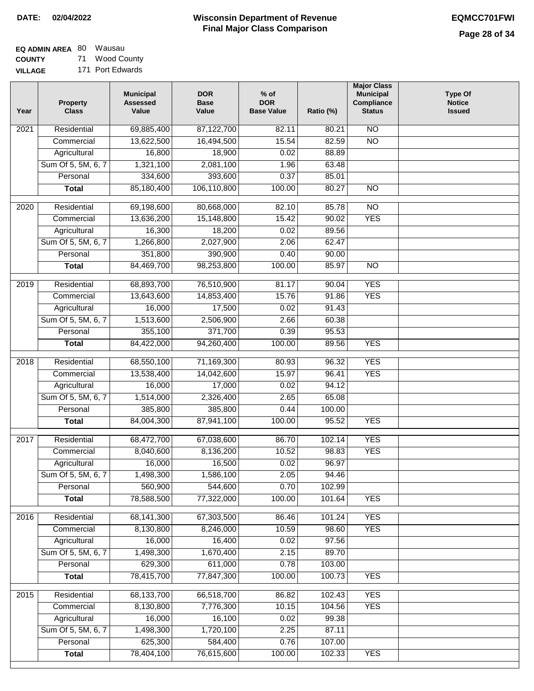| <b>EQ ADMIN AREA 80 Wausau</b> |                  |
|--------------------------------|------------------|
| <b>COUNTY</b>                  | 71 Wood County   |
| <b>VILLAGE</b>                 | 171 Port Edwards |

| Residential<br>69,885,400<br>$\overline{NO}$<br>87,122,700<br>82.11<br>2021<br>80.21<br>$\overline{NO}$<br>13,622,500<br>16,494,500<br>15.54<br>82.59<br>Commercial<br>Agricultural<br>16,800<br>18,900<br>0.02<br>88.89<br>Sum Of 5, 5M, 6, 7<br>2,081,100<br>1,321,100<br>1.96<br>63.48<br>334,600<br>393,600<br>85.01<br>Personal<br>0.37<br>106,110,800<br>85,180,400<br>100.00<br>80.27<br>$\overline{NO}$<br><b>Total</b><br>$\overline{NO}$<br>$\overline{2020}$<br>Residential<br>69,198,600<br>80,668,000<br>82.10<br>85.78<br>13,636,200<br><b>YES</b><br>Commercial<br>15,148,800<br>15.42<br>90.02<br>16,300<br>18,200<br>0.02<br>89.56<br>Agricultural<br>Sum Of 5, 5M, 6, 7<br>1,266,800<br>2,027,900<br>2.06<br>62.47<br>351,800<br>390,900<br>0.40<br>90.00<br>Personal<br>84,469,700<br>98,253,800<br>100.00<br>85.97<br>$\overline{NO}$<br><b>Total</b><br>76,510,900<br><b>YES</b><br>$\frac{1}{2019}$<br>Residential<br>68,893,700<br>81.17<br>90.04<br><b>YES</b><br>13,643,600<br>14,853,400<br>15.76<br>91.86<br>Commercial<br>16,000<br>17,500<br>91.43<br>0.02<br>Agricultural<br>Sum Of 5, 5M, 6, 7<br>1,513,600<br>2,506,900<br>2.66<br>60.38<br>355,100<br>371,700<br>95.53<br>Personal<br>0.39<br><b>YES</b><br>84,422,000<br>94,260,400<br>100.00<br>89.56<br><b>Total</b><br>Residential<br>68,550,100<br>71,169,300<br>80.93<br><b>YES</b><br>2018<br>96.32<br>13,538,400<br><b>YES</b><br>Commercial<br>14,042,600<br>15.97<br>96.41<br>17,000<br>94.12<br>Agricultural<br>16,000<br>0.02<br>Sum Of 5, 5M, 6, 7<br>1,514,000<br>2,326,400<br>2.65<br>65.08<br>Personal<br>385,800<br>385,800<br>0.44<br>100.00<br>84,004,300<br>87,941,100<br>100.00<br>95.52<br><b>YES</b><br><b>Total</b><br>2017<br>Residential<br>68,472,700<br>67,038,600<br>86.70<br>102.14<br><b>YES</b><br><b>YES</b><br>Commercial<br>8,040,600<br>8,136,200<br>10.52<br>98.83<br>96.97<br>16,000<br>16,500<br>0.02<br>Agricultural<br>1,498,300<br>1,586,100<br>Sum Of 5, 5M, 6, 7<br>2.05<br>94.46<br>560,900<br>544,600<br>0.70<br>Personal<br>102.99<br>78,588,500<br>77,322,000<br>100.00<br>101.64<br><b>YES</b><br><b>Total</b><br>68, 141, 300<br><b>YES</b><br>Residential<br>67,303,500<br>2016<br>86.46<br>101.24<br>8,130,800<br>8,246,000<br>10.59<br>98.60<br><b>YES</b><br>Commercial<br>16,000<br>16,400<br>0.02<br>97.56<br>Agricultural<br>Sum Of 5, 5M, 6, 7<br>1,498,300<br>1,670,400<br>2.15<br>89.70<br>629,300<br>611,000<br>Personal<br>0.78<br>103.00<br>78,415,700<br>77,847,300<br>100.00<br>100.73<br><b>YES</b><br><b>Total</b><br><b>YES</b><br>Residential<br>68,133,700<br>66,518,700<br>86.82<br>102.43<br>2015<br>8,130,800<br>7,776,300<br>10.15<br>104.56<br><b>YES</b><br>Commercial<br>16,000<br>16,100<br>Agricultural<br>0.02<br>99.38<br>Sum Of 5, 5M, 6, 7<br>1,498,300<br>1,720,100<br>2.25<br>87.11<br>625,300<br>584,400<br>0.76<br>107.00<br>Personal<br>78,404,100<br>76,615,600<br>102.33<br><b>YES</b><br><b>Total</b><br>100.00 | Year | <b>Property</b><br><b>Class</b> | <b>Municipal</b><br><b>Assessed</b><br>Value | <b>DOR</b><br><b>Base</b><br>Value | $%$ of<br><b>DOR</b><br><b>Base Value</b> | Ratio (%) | <b>Major Class</b><br><b>Municipal</b><br>Compliance<br><b>Status</b> | <b>Type Of</b><br><b>Notice</b><br><b>Issued</b> |
|---------------------------------------------------------------------------------------------------------------------------------------------------------------------------------------------------------------------------------------------------------------------------------------------------------------------------------------------------------------------------------------------------------------------------------------------------------------------------------------------------------------------------------------------------------------------------------------------------------------------------------------------------------------------------------------------------------------------------------------------------------------------------------------------------------------------------------------------------------------------------------------------------------------------------------------------------------------------------------------------------------------------------------------------------------------------------------------------------------------------------------------------------------------------------------------------------------------------------------------------------------------------------------------------------------------------------------------------------------------------------------------------------------------------------------------------------------------------------------------------------------------------------------------------------------------------------------------------------------------------------------------------------------------------------------------------------------------------------------------------------------------------------------------------------------------------------------------------------------------------------------------------------------------------------------------------------------------------------------------------------------------------------------------------------------------------------------------------------------------------------------------------------------------------------------------------------------------------------------------------------------------------------------------------------------------------------------------------------------------------------------------------------------------------------------------------------------------------------------------------------------------------------------------------------------------------------------------------------------------------------------------------------------------------------------------------------------------------------------------------------------------------------------------------------------------------------------------------------------------------------------------------------------------------------------------------------------------------------------------------|------|---------------------------------|----------------------------------------------|------------------------------------|-------------------------------------------|-----------|-----------------------------------------------------------------------|--------------------------------------------------|
|                                                                                                                                                                                                                                                                                                                                                                                                                                                                                                                                                                                                                                                                                                                                                                                                                                                                                                                                                                                                                                                                                                                                                                                                                                                                                                                                                                                                                                                                                                                                                                                                                                                                                                                                                                                                                                                                                                                                                                                                                                                                                                                                                                                                                                                                                                                                                                                                                                                                                                                                                                                                                                                                                                                                                                                                                                                                                                                                                                                             |      |                                 |                                              |                                    |                                           |           |                                                                       |                                                  |
|                                                                                                                                                                                                                                                                                                                                                                                                                                                                                                                                                                                                                                                                                                                                                                                                                                                                                                                                                                                                                                                                                                                                                                                                                                                                                                                                                                                                                                                                                                                                                                                                                                                                                                                                                                                                                                                                                                                                                                                                                                                                                                                                                                                                                                                                                                                                                                                                                                                                                                                                                                                                                                                                                                                                                                                                                                                                                                                                                                                             |      |                                 |                                              |                                    |                                           |           |                                                                       |                                                  |
|                                                                                                                                                                                                                                                                                                                                                                                                                                                                                                                                                                                                                                                                                                                                                                                                                                                                                                                                                                                                                                                                                                                                                                                                                                                                                                                                                                                                                                                                                                                                                                                                                                                                                                                                                                                                                                                                                                                                                                                                                                                                                                                                                                                                                                                                                                                                                                                                                                                                                                                                                                                                                                                                                                                                                                                                                                                                                                                                                                                             |      |                                 |                                              |                                    |                                           |           |                                                                       |                                                  |
|                                                                                                                                                                                                                                                                                                                                                                                                                                                                                                                                                                                                                                                                                                                                                                                                                                                                                                                                                                                                                                                                                                                                                                                                                                                                                                                                                                                                                                                                                                                                                                                                                                                                                                                                                                                                                                                                                                                                                                                                                                                                                                                                                                                                                                                                                                                                                                                                                                                                                                                                                                                                                                                                                                                                                                                                                                                                                                                                                                                             |      |                                 |                                              |                                    |                                           |           |                                                                       |                                                  |
|                                                                                                                                                                                                                                                                                                                                                                                                                                                                                                                                                                                                                                                                                                                                                                                                                                                                                                                                                                                                                                                                                                                                                                                                                                                                                                                                                                                                                                                                                                                                                                                                                                                                                                                                                                                                                                                                                                                                                                                                                                                                                                                                                                                                                                                                                                                                                                                                                                                                                                                                                                                                                                                                                                                                                                                                                                                                                                                                                                                             |      |                                 |                                              |                                    |                                           |           |                                                                       |                                                  |
|                                                                                                                                                                                                                                                                                                                                                                                                                                                                                                                                                                                                                                                                                                                                                                                                                                                                                                                                                                                                                                                                                                                                                                                                                                                                                                                                                                                                                                                                                                                                                                                                                                                                                                                                                                                                                                                                                                                                                                                                                                                                                                                                                                                                                                                                                                                                                                                                                                                                                                                                                                                                                                                                                                                                                                                                                                                                                                                                                                                             |      |                                 |                                              |                                    |                                           |           |                                                                       |                                                  |
|                                                                                                                                                                                                                                                                                                                                                                                                                                                                                                                                                                                                                                                                                                                                                                                                                                                                                                                                                                                                                                                                                                                                                                                                                                                                                                                                                                                                                                                                                                                                                                                                                                                                                                                                                                                                                                                                                                                                                                                                                                                                                                                                                                                                                                                                                                                                                                                                                                                                                                                                                                                                                                                                                                                                                                                                                                                                                                                                                                                             |      |                                 |                                              |                                    |                                           |           |                                                                       |                                                  |
|                                                                                                                                                                                                                                                                                                                                                                                                                                                                                                                                                                                                                                                                                                                                                                                                                                                                                                                                                                                                                                                                                                                                                                                                                                                                                                                                                                                                                                                                                                                                                                                                                                                                                                                                                                                                                                                                                                                                                                                                                                                                                                                                                                                                                                                                                                                                                                                                                                                                                                                                                                                                                                                                                                                                                                                                                                                                                                                                                                                             |      |                                 |                                              |                                    |                                           |           |                                                                       |                                                  |
|                                                                                                                                                                                                                                                                                                                                                                                                                                                                                                                                                                                                                                                                                                                                                                                                                                                                                                                                                                                                                                                                                                                                                                                                                                                                                                                                                                                                                                                                                                                                                                                                                                                                                                                                                                                                                                                                                                                                                                                                                                                                                                                                                                                                                                                                                                                                                                                                                                                                                                                                                                                                                                                                                                                                                                                                                                                                                                                                                                                             |      |                                 |                                              |                                    |                                           |           |                                                                       |                                                  |
|                                                                                                                                                                                                                                                                                                                                                                                                                                                                                                                                                                                                                                                                                                                                                                                                                                                                                                                                                                                                                                                                                                                                                                                                                                                                                                                                                                                                                                                                                                                                                                                                                                                                                                                                                                                                                                                                                                                                                                                                                                                                                                                                                                                                                                                                                                                                                                                                                                                                                                                                                                                                                                                                                                                                                                                                                                                                                                                                                                                             |      |                                 |                                              |                                    |                                           |           |                                                                       |                                                  |
|                                                                                                                                                                                                                                                                                                                                                                                                                                                                                                                                                                                                                                                                                                                                                                                                                                                                                                                                                                                                                                                                                                                                                                                                                                                                                                                                                                                                                                                                                                                                                                                                                                                                                                                                                                                                                                                                                                                                                                                                                                                                                                                                                                                                                                                                                                                                                                                                                                                                                                                                                                                                                                                                                                                                                                                                                                                                                                                                                                                             |      |                                 |                                              |                                    |                                           |           |                                                                       |                                                  |
|                                                                                                                                                                                                                                                                                                                                                                                                                                                                                                                                                                                                                                                                                                                                                                                                                                                                                                                                                                                                                                                                                                                                                                                                                                                                                                                                                                                                                                                                                                                                                                                                                                                                                                                                                                                                                                                                                                                                                                                                                                                                                                                                                                                                                                                                                                                                                                                                                                                                                                                                                                                                                                                                                                                                                                                                                                                                                                                                                                                             |      |                                 |                                              |                                    |                                           |           |                                                                       |                                                  |
|                                                                                                                                                                                                                                                                                                                                                                                                                                                                                                                                                                                                                                                                                                                                                                                                                                                                                                                                                                                                                                                                                                                                                                                                                                                                                                                                                                                                                                                                                                                                                                                                                                                                                                                                                                                                                                                                                                                                                                                                                                                                                                                                                                                                                                                                                                                                                                                                                                                                                                                                                                                                                                                                                                                                                                                                                                                                                                                                                                                             |      |                                 |                                              |                                    |                                           |           |                                                                       |                                                  |
|                                                                                                                                                                                                                                                                                                                                                                                                                                                                                                                                                                                                                                                                                                                                                                                                                                                                                                                                                                                                                                                                                                                                                                                                                                                                                                                                                                                                                                                                                                                                                                                                                                                                                                                                                                                                                                                                                                                                                                                                                                                                                                                                                                                                                                                                                                                                                                                                                                                                                                                                                                                                                                                                                                                                                                                                                                                                                                                                                                                             |      |                                 |                                              |                                    |                                           |           |                                                                       |                                                  |
|                                                                                                                                                                                                                                                                                                                                                                                                                                                                                                                                                                                                                                                                                                                                                                                                                                                                                                                                                                                                                                                                                                                                                                                                                                                                                                                                                                                                                                                                                                                                                                                                                                                                                                                                                                                                                                                                                                                                                                                                                                                                                                                                                                                                                                                                                                                                                                                                                                                                                                                                                                                                                                                                                                                                                                                                                                                                                                                                                                                             |      |                                 |                                              |                                    |                                           |           |                                                                       |                                                  |
|                                                                                                                                                                                                                                                                                                                                                                                                                                                                                                                                                                                                                                                                                                                                                                                                                                                                                                                                                                                                                                                                                                                                                                                                                                                                                                                                                                                                                                                                                                                                                                                                                                                                                                                                                                                                                                                                                                                                                                                                                                                                                                                                                                                                                                                                                                                                                                                                                                                                                                                                                                                                                                                                                                                                                                                                                                                                                                                                                                                             |      |                                 |                                              |                                    |                                           |           |                                                                       |                                                  |
|                                                                                                                                                                                                                                                                                                                                                                                                                                                                                                                                                                                                                                                                                                                                                                                                                                                                                                                                                                                                                                                                                                                                                                                                                                                                                                                                                                                                                                                                                                                                                                                                                                                                                                                                                                                                                                                                                                                                                                                                                                                                                                                                                                                                                                                                                                                                                                                                                                                                                                                                                                                                                                                                                                                                                                                                                                                                                                                                                                                             |      |                                 |                                              |                                    |                                           |           |                                                                       |                                                  |
|                                                                                                                                                                                                                                                                                                                                                                                                                                                                                                                                                                                                                                                                                                                                                                                                                                                                                                                                                                                                                                                                                                                                                                                                                                                                                                                                                                                                                                                                                                                                                                                                                                                                                                                                                                                                                                                                                                                                                                                                                                                                                                                                                                                                                                                                                                                                                                                                                                                                                                                                                                                                                                                                                                                                                                                                                                                                                                                                                                                             |      |                                 |                                              |                                    |                                           |           |                                                                       |                                                  |
|                                                                                                                                                                                                                                                                                                                                                                                                                                                                                                                                                                                                                                                                                                                                                                                                                                                                                                                                                                                                                                                                                                                                                                                                                                                                                                                                                                                                                                                                                                                                                                                                                                                                                                                                                                                                                                                                                                                                                                                                                                                                                                                                                                                                                                                                                                                                                                                                                                                                                                                                                                                                                                                                                                                                                                                                                                                                                                                                                                                             |      |                                 |                                              |                                    |                                           |           |                                                                       |                                                  |
|                                                                                                                                                                                                                                                                                                                                                                                                                                                                                                                                                                                                                                                                                                                                                                                                                                                                                                                                                                                                                                                                                                                                                                                                                                                                                                                                                                                                                                                                                                                                                                                                                                                                                                                                                                                                                                                                                                                                                                                                                                                                                                                                                                                                                                                                                                                                                                                                                                                                                                                                                                                                                                                                                                                                                                                                                                                                                                                                                                                             |      |                                 |                                              |                                    |                                           |           |                                                                       |                                                  |
|                                                                                                                                                                                                                                                                                                                                                                                                                                                                                                                                                                                                                                                                                                                                                                                                                                                                                                                                                                                                                                                                                                                                                                                                                                                                                                                                                                                                                                                                                                                                                                                                                                                                                                                                                                                                                                                                                                                                                                                                                                                                                                                                                                                                                                                                                                                                                                                                                                                                                                                                                                                                                                                                                                                                                                                                                                                                                                                                                                                             |      |                                 |                                              |                                    |                                           |           |                                                                       |                                                  |
|                                                                                                                                                                                                                                                                                                                                                                                                                                                                                                                                                                                                                                                                                                                                                                                                                                                                                                                                                                                                                                                                                                                                                                                                                                                                                                                                                                                                                                                                                                                                                                                                                                                                                                                                                                                                                                                                                                                                                                                                                                                                                                                                                                                                                                                                                                                                                                                                                                                                                                                                                                                                                                                                                                                                                                                                                                                                                                                                                                                             |      |                                 |                                              |                                    |                                           |           |                                                                       |                                                  |
|                                                                                                                                                                                                                                                                                                                                                                                                                                                                                                                                                                                                                                                                                                                                                                                                                                                                                                                                                                                                                                                                                                                                                                                                                                                                                                                                                                                                                                                                                                                                                                                                                                                                                                                                                                                                                                                                                                                                                                                                                                                                                                                                                                                                                                                                                                                                                                                                                                                                                                                                                                                                                                                                                                                                                                                                                                                                                                                                                                                             |      |                                 |                                              |                                    |                                           |           |                                                                       |                                                  |
|                                                                                                                                                                                                                                                                                                                                                                                                                                                                                                                                                                                                                                                                                                                                                                                                                                                                                                                                                                                                                                                                                                                                                                                                                                                                                                                                                                                                                                                                                                                                                                                                                                                                                                                                                                                                                                                                                                                                                                                                                                                                                                                                                                                                                                                                                                                                                                                                                                                                                                                                                                                                                                                                                                                                                                                                                                                                                                                                                                                             |      |                                 |                                              |                                    |                                           |           |                                                                       |                                                  |
|                                                                                                                                                                                                                                                                                                                                                                                                                                                                                                                                                                                                                                                                                                                                                                                                                                                                                                                                                                                                                                                                                                                                                                                                                                                                                                                                                                                                                                                                                                                                                                                                                                                                                                                                                                                                                                                                                                                                                                                                                                                                                                                                                                                                                                                                                                                                                                                                                                                                                                                                                                                                                                                                                                                                                                                                                                                                                                                                                                                             |      |                                 |                                              |                                    |                                           |           |                                                                       |                                                  |
|                                                                                                                                                                                                                                                                                                                                                                                                                                                                                                                                                                                                                                                                                                                                                                                                                                                                                                                                                                                                                                                                                                                                                                                                                                                                                                                                                                                                                                                                                                                                                                                                                                                                                                                                                                                                                                                                                                                                                                                                                                                                                                                                                                                                                                                                                                                                                                                                                                                                                                                                                                                                                                                                                                                                                                                                                                                                                                                                                                                             |      |                                 |                                              |                                    |                                           |           |                                                                       |                                                  |
|                                                                                                                                                                                                                                                                                                                                                                                                                                                                                                                                                                                                                                                                                                                                                                                                                                                                                                                                                                                                                                                                                                                                                                                                                                                                                                                                                                                                                                                                                                                                                                                                                                                                                                                                                                                                                                                                                                                                                                                                                                                                                                                                                                                                                                                                                                                                                                                                                                                                                                                                                                                                                                                                                                                                                                                                                                                                                                                                                                                             |      |                                 |                                              |                                    |                                           |           |                                                                       |                                                  |
|                                                                                                                                                                                                                                                                                                                                                                                                                                                                                                                                                                                                                                                                                                                                                                                                                                                                                                                                                                                                                                                                                                                                                                                                                                                                                                                                                                                                                                                                                                                                                                                                                                                                                                                                                                                                                                                                                                                                                                                                                                                                                                                                                                                                                                                                                                                                                                                                                                                                                                                                                                                                                                                                                                                                                                                                                                                                                                                                                                                             |      |                                 |                                              |                                    |                                           |           |                                                                       |                                                  |
|                                                                                                                                                                                                                                                                                                                                                                                                                                                                                                                                                                                                                                                                                                                                                                                                                                                                                                                                                                                                                                                                                                                                                                                                                                                                                                                                                                                                                                                                                                                                                                                                                                                                                                                                                                                                                                                                                                                                                                                                                                                                                                                                                                                                                                                                                                                                                                                                                                                                                                                                                                                                                                                                                                                                                                                                                                                                                                                                                                                             |      |                                 |                                              |                                    |                                           |           |                                                                       |                                                  |
|                                                                                                                                                                                                                                                                                                                                                                                                                                                                                                                                                                                                                                                                                                                                                                                                                                                                                                                                                                                                                                                                                                                                                                                                                                                                                                                                                                                                                                                                                                                                                                                                                                                                                                                                                                                                                                                                                                                                                                                                                                                                                                                                                                                                                                                                                                                                                                                                                                                                                                                                                                                                                                                                                                                                                                                                                                                                                                                                                                                             |      |                                 |                                              |                                    |                                           |           |                                                                       |                                                  |
|                                                                                                                                                                                                                                                                                                                                                                                                                                                                                                                                                                                                                                                                                                                                                                                                                                                                                                                                                                                                                                                                                                                                                                                                                                                                                                                                                                                                                                                                                                                                                                                                                                                                                                                                                                                                                                                                                                                                                                                                                                                                                                                                                                                                                                                                                                                                                                                                                                                                                                                                                                                                                                                                                                                                                                                                                                                                                                                                                                                             |      |                                 |                                              |                                    |                                           |           |                                                                       |                                                  |
|                                                                                                                                                                                                                                                                                                                                                                                                                                                                                                                                                                                                                                                                                                                                                                                                                                                                                                                                                                                                                                                                                                                                                                                                                                                                                                                                                                                                                                                                                                                                                                                                                                                                                                                                                                                                                                                                                                                                                                                                                                                                                                                                                                                                                                                                                                                                                                                                                                                                                                                                                                                                                                                                                                                                                                                                                                                                                                                                                                                             |      |                                 |                                              |                                    |                                           |           |                                                                       |                                                  |
|                                                                                                                                                                                                                                                                                                                                                                                                                                                                                                                                                                                                                                                                                                                                                                                                                                                                                                                                                                                                                                                                                                                                                                                                                                                                                                                                                                                                                                                                                                                                                                                                                                                                                                                                                                                                                                                                                                                                                                                                                                                                                                                                                                                                                                                                                                                                                                                                                                                                                                                                                                                                                                                                                                                                                                                                                                                                                                                                                                                             |      |                                 |                                              |                                    |                                           |           |                                                                       |                                                  |
|                                                                                                                                                                                                                                                                                                                                                                                                                                                                                                                                                                                                                                                                                                                                                                                                                                                                                                                                                                                                                                                                                                                                                                                                                                                                                                                                                                                                                                                                                                                                                                                                                                                                                                                                                                                                                                                                                                                                                                                                                                                                                                                                                                                                                                                                                                                                                                                                                                                                                                                                                                                                                                                                                                                                                                                                                                                                                                                                                                                             |      |                                 |                                              |                                    |                                           |           |                                                                       |                                                  |
|                                                                                                                                                                                                                                                                                                                                                                                                                                                                                                                                                                                                                                                                                                                                                                                                                                                                                                                                                                                                                                                                                                                                                                                                                                                                                                                                                                                                                                                                                                                                                                                                                                                                                                                                                                                                                                                                                                                                                                                                                                                                                                                                                                                                                                                                                                                                                                                                                                                                                                                                                                                                                                                                                                                                                                                                                                                                                                                                                                                             |      |                                 |                                              |                                    |                                           |           |                                                                       |                                                  |
|                                                                                                                                                                                                                                                                                                                                                                                                                                                                                                                                                                                                                                                                                                                                                                                                                                                                                                                                                                                                                                                                                                                                                                                                                                                                                                                                                                                                                                                                                                                                                                                                                                                                                                                                                                                                                                                                                                                                                                                                                                                                                                                                                                                                                                                                                                                                                                                                                                                                                                                                                                                                                                                                                                                                                                                                                                                                                                                                                                                             |      |                                 |                                              |                                    |                                           |           |                                                                       |                                                  |
|                                                                                                                                                                                                                                                                                                                                                                                                                                                                                                                                                                                                                                                                                                                                                                                                                                                                                                                                                                                                                                                                                                                                                                                                                                                                                                                                                                                                                                                                                                                                                                                                                                                                                                                                                                                                                                                                                                                                                                                                                                                                                                                                                                                                                                                                                                                                                                                                                                                                                                                                                                                                                                                                                                                                                                                                                                                                                                                                                                                             |      |                                 |                                              |                                    |                                           |           |                                                                       |                                                  |
|                                                                                                                                                                                                                                                                                                                                                                                                                                                                                                                                                                                                                                                                                                                                                                                                                                                                                                                                                                                                                                                                                                                                                                                                                                                                                                                                                                                                                                                                                                                                                                                                                                                                                                                                                                                                                                                                                                                                                                                                                                                                                                                                                                                                                                                                                                                                                                                                                                                                                                                                                                                                                                                                                                                                                                                                                                                                                                                                                                                             |      |                                 |                                              |                                    |                                           |           |                                                                       |                                                  |
|                                                                                                                                                                                                                                                                                                                                                                                                                                                                                                                                                                                                                                                                                                                                                                                                                                                                                                                                                                                                                                                                                                                                                                                                                                                                                                                                                                                                                                                                                                                                                                                                                                                                                                                                                                                                                                                                                                                                                                                                                                                                                                                                                                                                                                                                                                                                                                                                                                                                                                                                                                                                                                                                                                                                                                                                                                                                                                                                                                                             |      |                                 |                                              |                                    |                                           |           |                                                                       |                                                  |
|                                                                                                                                                                                                                                                                                                                                                                                                                                                                                                                                                                                                                                                                                                                                                                                                                                                                                                                                                                                                                                                                                                                                                                                                                                                                                                                                                                                                                                                                                                                                                                                                                                                                                                                                                                                                                                                                                                                                                                                                                                                                                                                                                                                                                                                                                                                                                                                                                                                                                                                                                                                                                                                                                                                                                                                                                                                                                                                                                                                             |      |                                 |                                              |                                    |                                           |           |                                                                       |                                                  |
|                                                                                                                                                                                                                                                                                                                                                                                                                                                                                                                                                                                                                                                                                                                                                                                                                                                                                                                                                                                                                                                                                                                                                                                                                                                                                                                                                                                                                                                                                                                                                                                                                                                                                                                                                                                                                                                                                                                                                                                                                                                                                                                                                                                                                                                                                                                                                                                                                                                                                                                                                                                                                                                                                                                                                                                                                                                                                                                                                                                             |      |                                 |                                              |                                    |                                           |           |                                                                       |                                                  |
|                                                                                                                                                                                                                                                                                                                                                                                                                                                                                                                                                                                                                                                                                                                                                                                                                                                                                                                                                                                                                                                                                                                                                                                                                                                                                                                                                                                                                                                                                                                                                                                                                                                                                                                                                                                                                                                                                                                                                                                                                                                                                                                                                                                                                                                                                                                                                                                                                                                                                                                                                                                                                                                                                                                                                                                                                                                                                                                                                                                             |      |                                 |                                              |                                    |                                           |           |                                                                       |                                                  |
|                                                                                                                                                                                                                                                                                                                                                                                                                                                                                                                                                                                                                                                                                                                                                                                                                                                                                                                                                                                                                                                                                                                                                                                                                                                                                                                                                                                                                                                                                                                                                                                                                                                                                                                                                                                                                                                                                                                                                                                                                                                                                                                                                                                                                                                                                                                                                                                                                                                                                                                                                                                                                                                                                                                                                                                                                                                                                                                                                                                             |      |                                 |                                              |                                    |                                           |           |                                                                       |                                                  |
|                                                                                                                                                                                                                                                                                                                                                                                                                                                                                                                                                                                                                                                                                                                                                                                                                                                                                                                                                                                                                                                                                                                                                                                                                                                                                                                                                                                                                                                                                                                                                                                                                                                                                                                                                                                                                                                                                                                                                                                                                                                                                                                                                                                                                                                                                                                                                                                                                                                                                                                                                                                                                                                                                                                                                                                                                                                                                                                                                                                             |      |                                 |                                              |                                    |                                           |           |                                                                       |                                                  |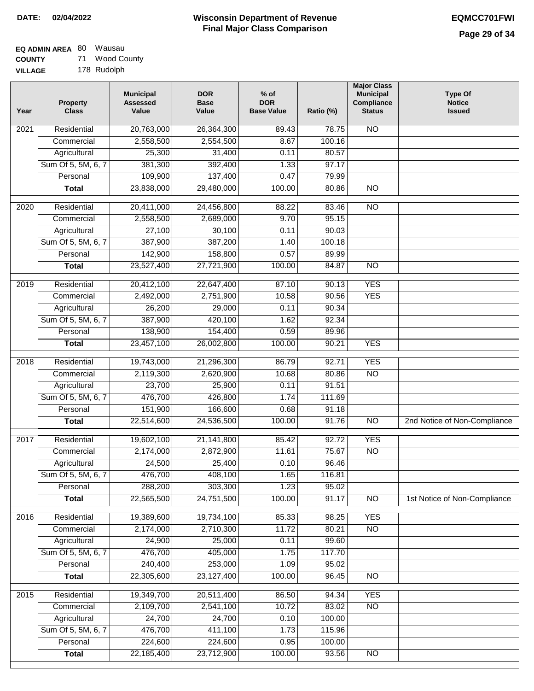#### **EQ ADMIN AREA** 80 Wausau **COUNTY** 71 Wood County

**VILLAGE** 178 Rudolph

| Year              | <b>Property</b><br><b>Class</b> | <b>Municipal</b><br><b>Assessed</b><br>Value | <b>DOR</b><br><b>Base</b><br>Value | % of<br><b>DOR</b><br><b>Base Value</b> | Ratio (%) | <b>Major Class</b><br><b>Municipal</b><br>Compliance<br><b>Status</b> | <b>Type Of</b><br><b>Notice</b><br><b>Issued</b> |
|-------------------|---------------------------------|----------------------------------------------|------------------------------------|-----------------------------------------|-----------|-----------------------------------------------------------------------|--------------------------------------------------|
| $\overline{202}1$ | Residential                     | 20,763,000                                   | 26,364,300                         | 89.43                                   | 78.75     | <b>NO</b>                                                             |                                                  |
|                   | Commercial                      | 2,558,500                                    | 2,554,500                          | 8.67                                    | 100.16    |                                                                       |                                                  |
|                   | Agricultural                    | 25,300                                       | 31,400                             | 0.11                                    | 80.57     |                                                                       |                                                  |
|                   | Sum Of 5, 5M, 6, 7              | 381,300                                      | 392,400                            | 1.33                                    | 97.17     |                                                                       |                                                  |
|                   | Personal                        | 109,900                                      | 137,400                            | 0.47                                    | 79.99     |                                                                       |                                                  |
|                   | <b>Total</b>                    | 23,838,000                                   | 29,480,000                         | 100.00                                  | 80.86     | $\overline{NO}$                                                       |                                                  |
| $\overline{2020}$ | Residential                     | 20,411,000                                   | 24,456,800                         | 88.22                                   | 83.46     | $\overline{NO}$                                                       |                                                  |
|                   | Commercial                      | 2,558,500                                    | 2,689,000                          | 9.70                                    | 95.15     |                                                                       |                                                  |
|                   | Agricultural                    | 27,100                                       | 30,100                             | 0.11                                    | 90.03     |                                                                       |                                                  |
|                   | Sum Of 5, 5M, 6, 7              | 387,900                                      | 387,200                            | 1.40                                    | 100.18    |                                                                       |                                                  |
|                   | Personal                        | 142,900                                      | 158,800                            | 0.57                                    | 89.99     |                                                                       |                                                  |
|                   | <b>Total</b>                    | 23,527,400                                   | 27,721,900                         | 100.00                                  | 84.87     | $\overline{NO}$                                                       |                                                  |
| 2019              | Residential                     | 20,412,100                                   | 22,647,400                         | 87.10                                   | 90.13     | <b>YES</b>                                                            |                                                  |
|                   | Commercial                      | 2,492,000                                    | 2,751,900                          | 10.58                                   | 90.56     | <b>YES</b>                                                            |                                                  |
|                   | Agricultural                    | 26,200                                       | 29,000                             | 0.11                                    | 90.34     |                                                                       |                                                  |
|                   | Sum Of 5, 5M, 6, 7              | 387,900                                      | 420,100                            | 1.62                                    | 92.34     |                                                                       |                                                  |
|                   | Personal                        | 138,900                                      | 154,400                            | 0.59                                    | 89.96     |                                                                       |                                                  |
|                   | <b>Total</b>                    | 23,457,100                                   | 26,002,800                         | 100.00                                  | 90.21     | <b>YES</b>                                                            |                                                  |
|                   |                                 |                                              |                                    |                                         |           |                                                                       |                                                  |
| 2018              | Residential                     | 19,743,000                                   | 21,296,300                         | 86.79                                   | 92.71     | <b>YES</b>                                                            |                                                  |
|                   | Commercial                      | 2,119,300                                    | 2,620,900                          | 10.68                                   | 80.86     | <b>NO</b>                                                             |                                                  |
|                   | Agricultural                    | 23,700                                       | 25,900                             | 0.11                                    | 91.51     |                                                                       |                                                  |
|                   | Sum Of 5, 5M, 6, 7              | 476,700                                      | 426,800                            | 1.74                                    | 111.69    |                                                                       |                                                  |
|                   | Personal                        | 151,900                                      | 166,600                            | 0.68                                    | 91.18     |                                                                       |                                                  |
|                   | <b>Total</b>                    | 22,514,600                                   | 24,536,500                         | 100.00                                  | 91.76     | $\overline{10}$                                                       | 2nd Notice of Non-Compliance                     |
| 2017              | Residential                     | 19,602,100                                   | 21, 141, 800                       | 85.42                                   | 92.72     | <b>YES</b>                                                            |                                                  |
|                   | Commercial                      | 2,174,000                                    | 2,872,900                          | 11.61                                   | 75.67     | $\overline{NO}$                                                       |                                                  |
|                   | Agricultural                    | 24,500                                       | 25,400                             | 0.10                                    | 96.46     |                                                                       |                                                  |
|                   | Sum Of 5, 5M, 6, 7              | 476,700                                      | 408,100                            | 1.65                                    | 116.81    |                                                                       |                                                  |
|                   | Personal                        | 288,200                                      | 303,300                            | 1.23                                    | 95.02     |                                                                       |                                                  |
|                   | <b>Total</b>                    | 22,565,500                                   | 24,751,500                         | 100.00                                  | 91.17     | <b>NO</b>                                                             | 1st Notice of Non-Compliance                     |
| 2016              | Residential                     | 19,389,600                                   | 19,734,100                         | 85.33                                   | 98.25     | <b>YES</b>                                                            |                                                  |
|                   | Commercial                      | 2,174,000                                    | 2,710,300                          | 11.72                                   | 80.21     | $\overline{NO}$                                                       |                                                  |
|                   | Agricultural                    | 24,900                                       | 25,000                             | 0.11                                    | 99.60     |                                                                       |                                                  |
|                   | Sum Of 5, 5M, 6, 7              | 476,700                                      | 405,000                            | 1.75                                    | 117.70    |                                                                       |                                                  |
|                   | Personal                        | 240,400                                      | 253,000                            | 1.09                                    | 95.02     |                                                                       |                                                  |
|                   | <b>Total</b>                    | 22,305,600                                   | 23,127,400                         | 100.00                                  | 96.45     | $\overline{NO}$                                                       |                                                  |
| 2015              | Residential                     | 19,349,700                                   | 20,511,400                         | 86.50                                   | 94.34     | <b>YES</b>                                                            |                                                  |
|                   | Commercial                      | 2,109,700                                    | 2,541,100                          | 10.72                                   | 83.02     | N <sub>O</sub>                                                        |                                                  |
|                   | Agricultural                    | 24,700                                       | 24,700                             | 0.10                                    | 100.00    |                                                                       |                                                  |
|                   | Sum Of 5, 5M, 6, 7              | 476,700                                      | 411,100                            | 1.73                                    | 115.96    |                                                                       |                                                  |
|                   | Personal                        | 224,600                                      | 224,600                            | 0.95                                    | 100.00    |                                                                       |                                                  |
|                   | <b>Total</b>                    | 22,185,400                                   | 23,712,900                         | 100.00                                  | 93.56     | N <sub>O</sub>                                                        |                                                  |
|                   |                                 |                                              |                                    |                                         |           |                                                                       |                                                  |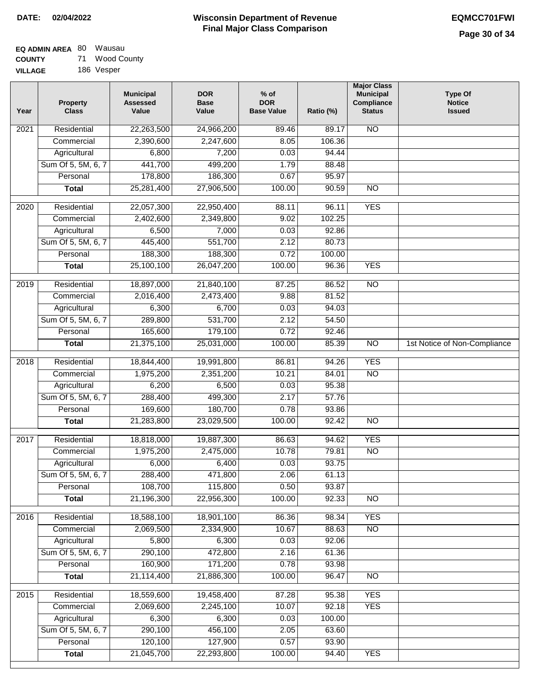#### **EQ ADMIN AREA** 80 Wausau **COUNTY** 71 Wood County

**VILLAGE** 186 Vesper

| Year              | <b>Property</b><br><b>Class</b> | <b>Municipal</b><br><b>Assessed</b><br>Value | <b>DOR</b><br><b>Base</b><br>Value | % of<br><b>DOR</b><br><b>Base Value</b> | Ratio (%) | <b>Major Class</b><br><b>Municipal</b><br>Compliance<br><b>Status</b> | <b>Type Of</b><br><b>Notice</b><br><b>Issued</b> |
|-------------------|---------------------------------|----------------------------------------------|------------------------------------|-----------------------------------------|-----------|-----------------------------------------------------------------------|--------------------------------------------------|
| $\overline{202}1$ | Residential                     | 22,263,500                                   | 24,966,200                         | 89.46                                   | 89.17     | N <sub>O</sub>                                                        |                                                  |
|                   | Commercial                      | 2,390,600                                    | 2,247,600                          | 8.05                                    | 106.36    |                                                                       |                                                  |
|                   | Agricultural                    | 6,800                                        | 7,200                              | 0.03                                    | 94.44     |                                                                       |                                                  |
|                   | Sum Of 5, 5M, 6, 7              | 441,700                                      | 499,200                            | 1.79                                    | 88.48     |                                                                       |                                                  |
|                   | Personal                        | 178,800                                      | 186,300                            | 0.67                                    | 95.97     |                                                                       |                                                  |
|                   | <b>Total</b>                    | 25,281,400                                   | 27,906,500                         | 100.00                                  | 90.59     | $\overline{NO}$                                                       |                                                  |
| 2020              | Residential                     | 22,057,300                                   | 22,950,400                         | 88.11                                   | 96.11     | <b>YES</b>                                                            |                                                  |
|                   | Commercial                      | 2,402,600                                    | 2,349,800                          | 9.02                                    | 102.25    |                                                                       |                                                  |
|                   | Agricultural                    | 6,500                                        | 7,000                              | 0.03                                    | 92.86     |                                                                       |                                                  |
|                   | Sum Of 5, 5M, 6, 7              | 445,400                                      | 551,700                            | 2.12                                    | 80.73     |                                                                       |                                                  |
|                   | Personal                        | 188,300                                      | 188,300                            | 0.72                                    | 100.00    |                                                                       |                                                  |
|                   | <b>Total</b>                    | 25,100,100                                   | 26,047,200                         | 100.00                                  | 96.36     | <b>YES</b>                                                            |                                                  |
| 2019              | Residential                     | 18,897,000                                   | 21,840,100                         | 87.25                                   | 86.52     | $\overline{10}$                                                       |                                                  |
|                   | Commercial                      | 2,016,400                                    | 2,473,400                          | 9.88                                    | 81.52     |                                                                       |                                                  |
|                   | Agricultural                    | 6,300                                        | 6,700                              | 0.03                                    | 94.03     |                                                                       |                                                  |
|                   | Sum Of 5, 5M, 6, 7              | 289,800                                      | 531,700                            | 2.12                                    | 54.50     |                                                                       |                                                  |
|                   | Personal                        | 165,600                                      | 179,100                            | 0.72                                    | 92.46     |                                                                       |                                                  |
|                   | <b>Total</b>                    | 21,375,100                                   | 25,031,000                         | 100.00                                  | 85.39     | $\overline{NO}$                                                       | 1st Notice of Non-Compliance                     |
| 2018              | Residential                     | 18,844,400                                   | 19,991,800                         | 86.81                                   | 94.26     | <b>YES</b>                                                            |                                                  |
|                   | Commercial                      | 1,975,200                                    | 2,351,200                          | 10.21                                   | 84.01     | <b>NO</b>                                                             |                                                  |
|                   | Agricultural                    | 6,200                                        | 6,500                              | 0.03                                    | 95.38     |                                                                       |                                                  |
|                   | Sum Of 5, 5M, 6, 7              | 288,400                                      | 499,300                            | 2.17                                    | 57.76     |                                                                       |                                                  |
|                   | Personal                        | 169,600                                      | 180,700                            | 0.78                                    | 93.86     |                                                                       |                                                  |
|                   | <b>Total</b>                    | 21,283,800                                   | 23,029,500                         | 100.00                                  | 92.42     | <b>NO</b>                                                             |                                                  |
| 2017              | Residential                     | 18,818,000                                   | 19,887,300                         | 86.63                                   | 94.62     | <b>YES</b>                                                            |                                                  |
|                   | Commercial                      | 1,975,200                                    | 2,475,000                          | 10.78                                   | 79.81     | $\overline{NO}$                                                       |                                                  |
|                   | Agricultural                    | 6,000                                        | 6,400                              | 0.03                                    | 93.75     |                                                                       |                                                  |
|                   | Sum Of 5, 5M, 6, 7              | 288,400                                      | 471,800                            | 2.06                                    | 61.13     |                                                                       |                                                  |
|                   | Personal                        | 108,700                                      | 115,800                            | 0.50                                    | 93.87     |                                                                       |                                                  |
|                   | <b>Total</b>                    | 21,196,300                                   | 22,956,300                         | 100.00                                  | 92.33     | <b>NO</b>                                                             |                                                  |
| 2016              | Residential                     | 18,588,100                                   | 18,901,100                         | 86.36                                   | 98.34     | <b>YES</b>                                                            |                                                  |
|                   | Commercial                      | 2,069,500                                    | 2,334,900                          | 10.67                                   | 88.63     | $\overline{NO}$                                                       |                                                  |
|                   | Agricultural                    | 5,800                                        | 6,300                              | 0.03                                    | 92.06     |                                                                       |                                                  |
|                   | Sum Of 5, 5M, 6, 7              | 290,100                                      | 472,800                            | 2.16                                    | 61.36     |                                                                       |                                                  |
|                   | Personal                        | 160,900                                      | 171,200                            | 0.78                                    | 93.98     |                                                                       |                                                  |
|                   | <b>Total</b>                    | 21,114,400                                   | 21,886,300                         | 100.00                                  | 96.47     | $\overline{NO}$                                                       |                                                  |
| 2015              | Residential                     | 18,559,600                                   | 19,458,400                         | 87.28                                   | 95.38     | <b>YES</b>                                                            |                                                  |
|                   | Commercial                      | 2,069,600                                    | 2,245,100                          | 10.07                                   | 92.18     | <b>YES</b>                                                            |                                                  |
|                   | Agricultural                    | 6,300                                        | 6,300                              | 0.03                                    | 100.00    |                                                                       |                                                  |
|                   | Sum Of 5, 5M, 6, 7              | 290,100                                      | 456,100                            | 2.05                                    | 63.60     |                                                                       |                                                  |
|                   | Personal                        | 120,100                                      | 127,900                            | 0.57                                    | 93.90     |                                                                       |                                                  |
|                   | <b>Total</b>                    | 21,045,700                                   | 22,293,800                         | 100.00                                  | 94.40     | <b>YES</b>                                                            |                                                  |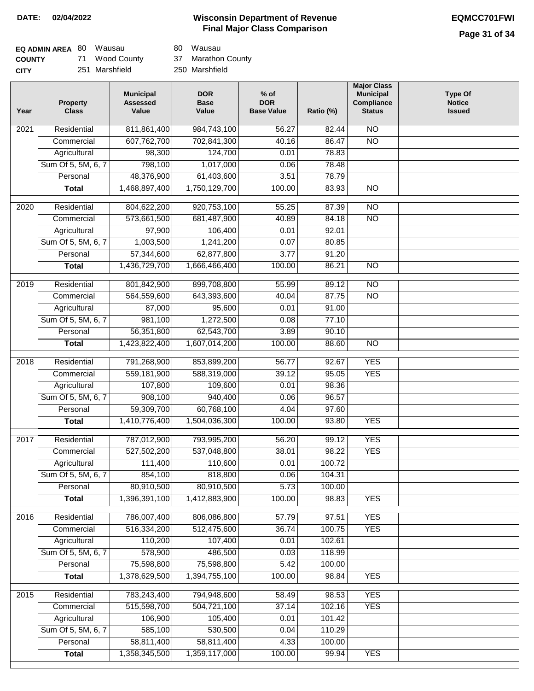# **Page 31 of 34**

| <b>EQ ADMIN AREA 80 Wausau</b> |                | 80 Wausau          |
|--------------------------------|----------------|--------------------|
| <b>COUNTY</b>                  | 71 Wood County | 37 Marathon County |
| <b>CITY</b>                    | 251 Marshfield | 250 Marshfield     |

| Year             | Property<br><b>Class</b> | <b>Municipal</b><br><b>Assessed</b><br>Value | <b>DOR</b><br><b>Base</b><br>Value | $%$ of<br><b>DOR</b><br><b>Base Value</b> | Ratio (%) | <b>Municipal</b><br>Compliance<br><b>Status</b> | <b>Type Of</b><br><b>Notice</b><br><b>Issued</b> |
|------------------|--------------------------|----------------------------------------------|------------------------------------|-------------------------------------------|-----------|-------------------------------------------------|--------------------------------------------------|
| 2021             | Residential              | 811,861,400                                  | 984,743,100                        | 56.27                                     | 82.44     | <b>NO</b>                                       |                                                  |
|                  | Commercial               | 607,762,700                                  | 702,841,300                        | 40.16                                     | 86.47     | $\overline{NO}$                                 |                                                  |
|                  | Agricultural             | 98,300                                       | 124,700                            | 0.01                                      | 78.83     |                                                 |                                                  |
|                  | Sum Of 5, 5M, 6, 7       | 798,100                                      | 1,017,000                          | 0.06                                      | 78.48     |                                                 |                                                  |
|                  | Personal                 | 48,376,900                                   | 61,403,600                         | 3.51                                      | 78.79     |                                                 |                                                  |
|                  | <b>Total</b>             | 1,468,897,400                                | 1,750,129,700                      | 100.00                                    | 83.93     | $\overline{NO}$                                 |                                                  |
| $\frac{1}{2020}$ | Residential              | 804,622,200                                  | 920,753,100                        | 55.25                                     | 87.39     | $\overline{NO}$                                 |                                                  |
|                  | Commercial               | 573,661,500                                  | 681,487,900                        | 40.89                                     | 84.18     | $\overline{NO}$                                 |                                                  |
|                  | Agricultural             | 97,900                                       | 106,400                            | 0.01                                      | 92.01     |                                                 |                                                  |
|                  | Sum Of 5, 5M, 6, 7       | 1,003,500                                    | 1,241,200                          | 0.07                                      | 80.85     |                                                 |                                                  |
|                  | Personal                 | 57,344,600                                   | 62,877,800                         | 3.77                                      | 91.20     |                                                 |                                                  |
|                  | <b>Total</b>             | 1,436,729,700                                | 1,666,466,400                      | 100.00                                    | 86.21     | <b>NO</b>                                       |                                                  |
| $\frac{2019}{ }$ | Residential              | 801,842,900                                  | 899,708,800                        | 55.99                                     | 89.12     | $\overline{NO}$                                 |                                                  |
|                  | Commercial               | 564,559,600                                  | 643,393,600                        | 40.04                                     | 87.75     | $\overline{NO}$                                 |                                                  |
|                  | Agricultural             | 87,000                                       | 95,600                             | 0.01                                      | 91.00     |                                                 |                                                  |
|                  | Sum Of 5, 5M, 6, 7       | 981,100                                      | 1,272,500                          | 0.08                                      | 77.10     |                                                 |                                                  |
|                  | Personal                 | 56,351,800                                   | 62,543,700                         | 3.89                                      | 90.10     |                                                 |                                                  |
|                  | <b>Total</b>             | 1,423,822,400                                | 1,607,014,200                      | 100.00                                    | 88.60     | N <sub>O</sub>                                  |                                                  |
|                  |                          |                                              |                                    |                                           |           |                                                 |                                                  |
| 2018             | Residential              | 791,268,900                                  | 853,899,200                        | 56.77                                     | 92.67     | <b>YES</b>                                      |                                                  |
|                  | Commercial               | 559,181,900                                  | 588,319,000                        | 39.12                                     | 95.05     | <b>YES</b>                                      |                                                  |
|                  | Agricultural             | 107,800                                      | 109,600                            | 0.01                                      | 98.36     |                                                 |                                                  |
|                  | Sum Of 5, 5M, 6, 7       | 908,100                                      | 940,400                            | 0.06                                      | 96.57     |                                                 |                                                  |
|                  | Personal                 | 59,309,700                                   | 60,768,100                         | 4.04                                      | 97.60     |                                                 |                                                  |
|                  | Total                    | 1,410,776,400                                | 1,504,036,300                      | 100.00                                    | 93.80     | <b>YES</b>                                      |                                                  |
| 2017             | Residential              | 787,012,900                                  | 793,995,200                        | 56.20                                     | 99.12     | <b>YES</b>                                      |                                                  |
|                  | Commercial               | 527,502,200                                  | 537,048,800                        | 38.01                                     | 98.22     | <b>YES</b>                                      |                                                  |
|                  | Agricultural             | 111,400                                      | 110,600                            | 0.01                                      | 100.72    |                                                 |                                                  |
|                  | Sum Of 5, 5M, 6, 7       | 854,100                                      | 818,800                            | 0.06                                      | 104.31    |                                                 |                                                  |
|                  | Personal                 | 80,910,500                                   | 80,910,500                         | 5.73                                      | 100.00    |                                                 |                                                  |
|                  | <b>Total</b>             | 1,396,391,100                                | 1,412,883,900                      | 100.00                                    | 98.83     | <b>YES</b>                                      |                                                  |
| 2016             | Residential              | 786,007,400                                  | 806,086,800                        | 57.79                                     | 97.51     | <b>YES</b>                                      |                                                  |
|                  | Commercial               | 516,334,200                                  | 512,475,600                        | 36.74                                     | 100.75    | <b>YES</b>                                      |                                                  |
|                  | Agricultural             | 110,200                                      | 107,400                            | 0.01                                      | 102.61    |                                                 |                                                  |
|                  | Sum Of 5, 5M, 6, 7       | 578,900                                      | 486,500                            | 0.03                                      | 118.99    |                                                 |                                                  |
|                  | Personal                 | 75,598,800                                   | 75,598,800                         | 5.42                                      | 100.00    |                                                 |                                                  |
|                  | <b>Total</b>             | 1,378,629,500                                | 1,394,755,100                      | 100.00                                    | 98.84     | <b>YES</b>                                      |                                                  |
| 2015             | Residential              | 783,243,400                                  | 794,948,600                        | 58.49                                     | 98.53     | <b>YES</b>                                      |                                                  |
|                  | Commercial               | 515,598,700                                  | 504,721,100                        | 37.14                                     | 102.16    | <b>YES</b>                                      |                                                  |
|                  | Agricultural             | 106,900                                      | 105,400                            | 0.01                                      | 101.42    |                                                 |                                                  |
|                  | Sum Of 5, 5M, 6, 7       | 585,100                                      | 530,500                            | 0.04                                      | 110.29    |                                                 |                                                  |
|                  | Personal                 | 58,811,400                                   | 58,811,400                         | 4.33                                      | 100.00    |                                                 |                                                  |
|                  | <b>Total</b>             | 1,358,345,500                                | 1,359,117,000                      | 100.00                                    | 99.94     | <b>YES</b>                                      |                                                  |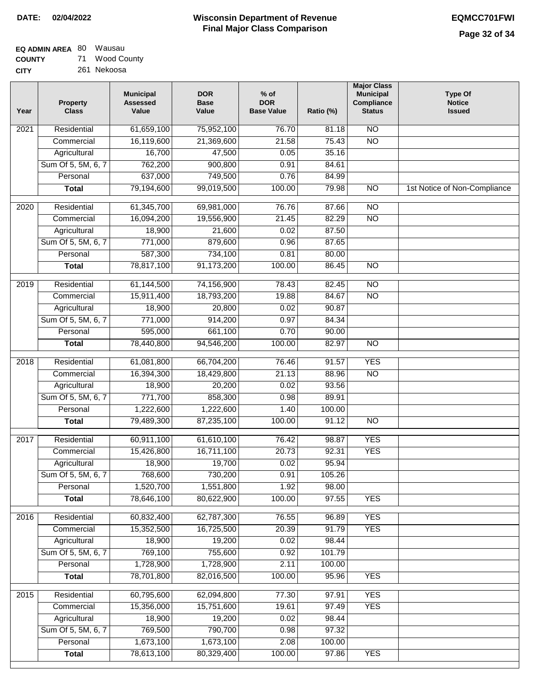| <b>EQ ADMIN AREA 80 Wausau</b> |                |
|--------------------------------|----------------|
| <b>COUNTY</b>                  | 71 Wood County |
| <b>CITY</b>                    | 261 Nekoosa    |

| Year | <b>Property</b><br><b>Class</b> | <b>Municipal</b><br><b>Assessed</b><br>Value | <b>DOR</b><br><b>Base</b><br>Value | $%$ of<br><b>DOR</b><br><b>Base Value</b> | Ratio (%) | <b>Major Class</b><br><b>Municipal</b><br>Compliance<br><b>Status</b> | <b>Type Of</b><br><b>Notice</b><br><b>Issued</b> |
|------|---------------------------------|----------------------------------------------|------------------------------------|-------------------------------------------|-----------|-----------------------------------------------------------------------|--------------------------------------------------|
| 2021 | Residential                     | 61,659,100                                   | 75,952,100                         | 76.70                                     | 81.18     | N <sub>O</sub>                                                        |                                                  |
|      | Commercial                      | 16,119,600                                   | 21,369,600                         | 21.58                                     | 75.43     | $\overline{NO}$                                                       |                                                  |
|      | Agricultural                    | 16,700                                       | 47,500                             | 0.05                                      | 35.16     |                                                                       |                                                  |
|      | Sum Of 5, 5M, 6, 7              | 762,200                                      | 900,800                            | 0.91                                      | 84.61     |                                                                       |                                                  |
|      | Personal                        | 637,000                                      | 749,500                            | 0.76                                      | 84.99     |                                                                       |                                                  |
|      | <b>Total</b>                    | 79,194,600                                   | 99,019,500                         | 100.00                                    | 79.98     | $\overline{NO}$                                                       | 1st Notice of Non-Compliance                     |
| 2020 | Residential                     | 61,345,700                                   | 69,981,000                         | 76.76                                     | 87.66     | $\overline{10}$                                                       |                                                  |
|      | Commercial                      | 16,094,200                                   | 19,556,900                         | 21.45                                     | 82.29     | $\overline{NO}$                                                       |                                                  |
|      | Agricultural                    | 18,900                                       | 21,600                             | 0.02                                      | 87.50     |                                                                       |                                                  |
|      | Sum Of 5, 5M, 6, 7              | 771,000                                      | 879,600                            | 0.96                                      | 87.65     |                                                                       |                                                  |
|      | Personal                        | 587,300                                      | 734,100                            | 0.81                                      | 80.00     |                                                                       |                                                  |
|      | <b>Total</b>                    | 78,817,100                                   | 91,173,200                         | 100.00                                    | 86.45     | $\overline{NO}$                                                       |                                                  |
| 2019 | Residential                     | 61,144,500                                   | 74,156,900                         | 78.43                                     | 82.45     | $\overline{10}$                                                       |                                                  |
|      | Commercial                      | 15,911,400                                   | 18,793,200                         | 19.88                                     | 84.67     | $\overline{NO}$                                                       |                                                  |
|      | Agricultural                    | 18,900                                       | 20,800                             | 0.02                                      | 90.87     |                                                                       |                                                  |
|      | Sum Of 5, 5M, 6, 7              | 771,000                                      | 914,200                            | 0.97                                      | 84.34     |                                                                       |                                                  |
|      | Personal                        | 595,000                                      | 661,100                            | 0.70                                      | 90.00     |                                                                       |                                                  |
|      | <b>Total</b>                    | 78,440,800                                   | 94,546,200                         | 100.00                                    | 82.97     | $\overline{NO}$                                                       |                                                  |
| 2018 | Residential                     | 61,081,800                                   | 66,704,200                         | 76.46                                     | 91.57     | <b>YES</b>                                                            |                                                  |
|      | Commercial                      | 16,394,300                                   | 18,429,800                         | 21.13                                     | 88.96     | <b>NO</b>                                                             |                                                  |
|      | Agricultural                    | 18,900                                       | 20,200                             | 0.02                                      | 93.56     |                                                                       |                                                  |
|      | Sum Of 5, 5M, 6, 7              | 771,700                                      | 858,300                            | 0.98                                      | 89.91     |                                                                       |                                                  |
|      | Personal                        | 1,222,600                                    | 1,222,600                          | 1.40                                      | 100.00    |                                                                       |                                                  |
|      | <b>Total</b>                    | 79,489,300                                   | 87,235,100                         | 100.00                                    | 91.12     | <b>NO</b>                                                             |                                                  |
| 2017 | Residential                     | 60,911,100                                   | 61,610,100                         | 76.42                                     | 98.87     | <b>YES</b>                                                            |                                                  |
|      | Commercial                      | 15,426,800                                   | 16,711,100                         | 20.73                                     | 92.31     | <b>YES</b>                                                            |                                                  |
|      | Agricultural                    | 18,900                                       | 19,700                             | 0.02                                      | 95.94     |                                                                       |                                                  |
|      | Sum Of 5, 5M, 6, 7              | 768,600                                      | 730,200                            | 0.91                                      | 105.26    |                                                                       |                                                  |
|      | Personal                        | 1,520,700                                    | 1,551,800                          | 1.92                                      | 98.00     |                                                                       |                                                  |
|      | <b>Total</b>                    | 78,646,100                                   | 80,622,900                         | 100.00                                    | 97.55     | <b>YES</b>                                                            |                                                  |
| 2016 | Residential                     | 60,832,400                                   | 62,787,300                         | 76.55                                     | 96.89     | <b>YES</b>                                                            |                                                  |
|      | Commercial                      | 15,352,500                                   | 16,725,500                         | 20.39                                     | 91.79     | <b>YES</b>                                                            |                                                  |
|      | Agricultural                    | 18,900                                       | 19,200                             | 0.02                                      | 98.44     |                                                                       |                                                  |
|      | Sum Of 5, 5M, 6, 7              | 769,100                                      | 755,600                            | 0.92                                      | 101.79    |                                                                       |                                                  |
|      | Personal                        | 1,728,900                                    | 1,728,900                          | 2.11                                      | 100.00    |                                                                       |                                                  |
|      | <b>Total</b>                    | 78,701,800                                   | 82,016,500                         | 100.00                                    | 95.96     | <b>YES</b>                                                            |                                                  |
| 2015 | Residential                     | 60,795,600                                   | 62,094,800                         | 77.30                                     | 97.91     | <b>YES</b>                                                            |                                                  |
|      | Commercial                      | 15,356,000                                   | 15,751,600                         | 19.61                                     | 97.49     | <b>YES</b>                                                            |                                                  |
|      | Agricultural                    | 18,900                                       | 19,200                             | 0.02                                      | 98.44     |                                                                       |                                                  |
|      | Sum Of 5, 5M, 6, 7              | 769,500                                      | 790,700                            | 0.98                                      | 97.32     |                                                                       |                                                  |
|      | Personal                        | 1,673,100                                    | 1,673,100                          | 2.08                                      | 100.00    |                                                                       |                                                  |
|      | <b>Total</b>                    | 78,613,100                                   | 80,329,400                         | 100.00                                    | 97.86     | <b>YES</b>                                                            |                                                  |
|      |                                 |                                              |                                    |                                           |           |                                                                       |                                                  |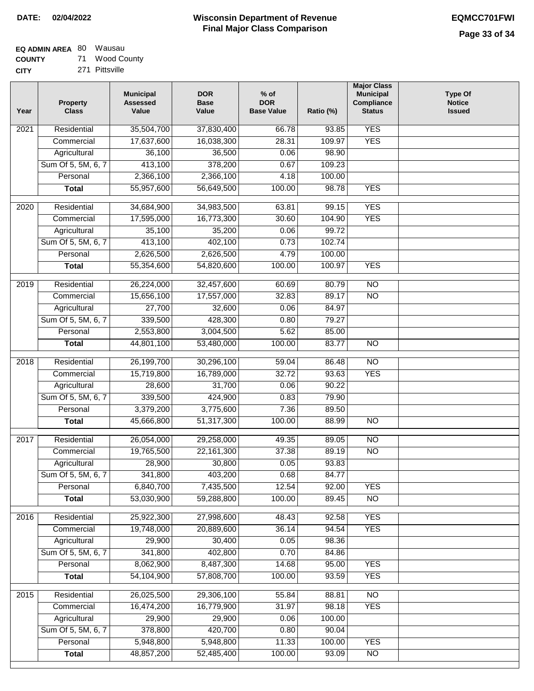| EQ ADMIN AREA 80 Wausau |             |
|-------------------------|-------------|
| <b>COUNTY</b>           | Wood County |

**COUNTY CITY** 271 Pittsville

| Year | <b>Property</b><br><b>Class</b> | <b>Municipal</b><br><b>Assessed</b><br>Value | <b>DOR</b><br><b>Base</b><br>Value | $%$ of<br><b>DOR</b><br><b>Base Value</b> | Ratio (%)      | <b>Major Class</b><br><b>Municipal</b><br>Compliance<br><b>Status</b> | <b>Type Of</b><br><b>Notice</b><br><b>Issued</b> |
|------|---------------------------------|----------------------------------------------|------------------------------------|-------------------------------------------|----------------|-----------------------------------------------------------------------|--------------------------------------------------|
| 2021 | Residential                     | 35,504,700                                   | 37,830,400                         | 66.78                                     | 93.85          | <b>YES</b>                                                            |                                                  |
|      | Commercial                      | 17,637,600                                   | 16,038,300                         | 28.31                                     | 109.97         | <b>YES</b>                                                            |                                                  |
|      | Agricultural                    | 36,100                                       | 36,500                             | 0.06                                      | 98.90          |                                                                       |                                                  |
|      | Sum Of 5, 5M, 6, 7              | 413,100                                      | 378,200                            | 0.67                                      | 109.23         |                                                                       |                                                  |
|      | Personal                        | 2,366,100                                    | 2,366,100                          | 4.18                                      | 100.00         |                                                                       |                                                  |
|      | <b>Total</b>                    | 55,957,600                                   | 56,649,500                         | 100.00                                    | 98.78          | <b>YES</b>                                                            |                                                  |
| 2020 | Residential                     | 34,684,900                                   | 34,983,500                         | 63.81                                     | 99.15          | <b>YES</b>                                                            |                                                  |
|      | Commercial                      | 17,595,000                                   | 16,773,300                         | 30.60                                     | 104.90         | <b>YES</b>                                                            |                                                  |
|      | Agricultural                    | 35,100                                       | 35,200                             | 0.06                                      | 99.72          |                                                                       |                                                  |
|      | Sum Of 5, 5M, 6, 7              | 413,100                                      | 402,100                            | 0.73                                      | 102.74         |                                                                       |                                                  |
|      | Personal                        | 2,626,500                                    | 2,626,500                          | 4.79                                      | 100.00         |                                                                       |                                                  |
|      | <b>Total</b>                    | 55,354,600                                   | 54,820,600                         | 100.00                                    | 100.97         | <b>YES</b>                                                            |                                                  |
|      |                                 |                                              |                                    |                                           |                |                                                                       |                                                  |
| 2019 | Residential                     | 26,224,000                                   | 32,457,600                         | 60.69                                     | 80.79          | $\overline{10}$                                                       |                                                  |
|      | Commercial                      | 15,656,100                                   | 17,557,000                         | 32.83                                     | 89.17          | $\overline{NO}$                                                       |                                                  |
|      | Agricultural                    | 27,700                                       | 32,600                             | 0.06                                      | 84.97          |                                                                       |                                                  |
|      | Sum Of 5, 5M, 6, 7              | 339,500                                      | 428,300                            | 0.80                                      | 79.27          |                                                                       |                                                  |
|      | Personal                        | 2,553,800                                    | 3,004,500                          | 5.62                                      | 85.00          |                                                                       |                                                  |
|      | <b>Total</b>                    | 44,801,100                                   | 53,480,000                         | 100.00                                    | 83.77          | $\overline{NO}$                                                       |                                                  |
| 2018 | Residential                     | 26,199,700                                   | 30,296,100                         | 59.04                                     | 86.48          | $\overline{10}$                                                       |                                                  |
|      | Commercial                      | 15,719,800                                   | 16,789,000                         | 32.72                                     | 93.63          | <b>YES</b>                                                            |                                                  |
|      | Agricultural                    | 28,600                                       | 31,700                             | 0.06                                      | 90.22          |                                                                       |                                                  |
|      | Sum Of 5, 5M, 6, 7              | 339,500                                      | 424,900                            | 0.83                                      | 79.90          |                                                                       |                                                  |
|      | Personal                        | 3,379,200                                    | 3,775,600                          | 7.36                                      | 89.50          |                                                                       |                                                  |
|      | <b>Total</b>                    | 45,666,800                                   | 51,317,300                         | 100.00                                    | 88.99          | <b>NO</b>                                                             |                                                  |
| 2017 | Residential                     | 26,054,000                                   | 29,258,000                         | 49.35                                     | 89.05          | N <sub>O</sub>                                                        |                                                  |
|      | Commercial                      | 19,765,500                                   | 22, 161, 300                       | 37.38                                     | 89.19          | $\overline{N}$                                                        |                                                  |
|      | Agricultural                    | 28,900                                       | 30,800                             | 0.05                                      | 93.83          |                                                                       |                                                  |
|      | Sum Of 5, 5M, 6, 7              | 341,800                                      | 403,200                            | 0.68                                      | 84.77          |                                                                       |                                                  |
|      | Personal                        | 6,840,700                                    | 7,435,500                          | 12.54                                     | 92.00          | <b>YES</b>                                                            |                                                  |
|      | <b>Total</b>                    | 53,030,900                                   | 59,288,800                         | 100.00                                    | 89.45          | $\overline{NO}$                                                       |                                                  |
|      |                                 |                                              |                                    |                                           |                |                                                                       |                                                  |
| 2016 | Residential                     | 25,922,300                                   | 27,998,600                         | 48.43                                     | 92.58          | <b>YES</b>                                                            |                                                  |
|      | Commercial                      | 19,748,000                                   | 20,889,600                         | 36.14                                     | 94.54          | <b>YES</b>                                                            |                                                  |
|      | Agricultural                    | 29,900                                       | 30,400                             | 0.05<br>0.70                              | 98.36          |                                                                       |                                                  |
|      | Sum Of 5, 5M, 6, 7              | 341,800                                      | 402,800                            |                                           | 84.86          |                                                                       |                                                  |
|      | Personal<br><b>Total</b>        | 8,062,900<br>54,104,900                      | 8,487,300<br>57,808,700            | 14.68<br>100.00                           | 95.00<br>93.59 | <b>YES</b><br><b>YES</b>                                              |                                                  |
|      |                                 |                                              |                                    |                                           |                |                                                                       |                                                  |
| 2015 | Residential                     | 26,025,500                                   | 29,306,100                         | 55.84                                     | 88.81          | N <sub>O</sub>                                                        |                                                  |
|      | Commercial                      | 16,474,200                                   | 16,779,900                         | 31.97                                     | 98.18          | <b>YES</b>                                                            |                                                  |
|      | Agricultural                    | 29,900                                       | 29,900                             | 0.06                                      | 100.00         |                                                                       |                                                  |
|      | Sum Of 5, 5M, 6, 7              | 378,800                                      | 420,700                            | 0.80                                      | 90.04          |                                                                       |                                                  |
|      | Personal                        | 5,948,800                                    | 5,948,800                          | 11.33                                     | 100.00         | <b>YES</b>                                                            |                                                  |
|      | <b>Total</b>                    | 48,857,200                                   | 52,485,400                         | 100.00                                    | 93.09          | N <sub>O</sub>                                                        |                                                  |